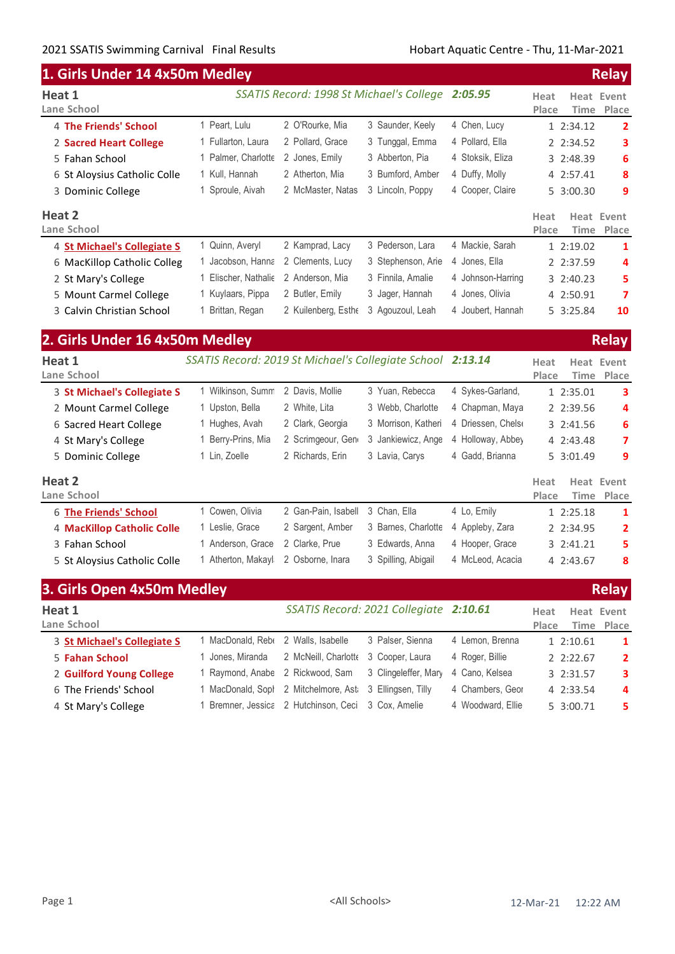| 1. Girls Under 14 4x50m Medley |                                                            |                     |                                          |                    |                              | <b>Relay</b>               |
|--------------------------------|------------------------------------------------------------|---------------------|------------------------------------------|--------------------|------------------------------|----------------------------|
| Heat 1<br>Lane School          |                                                            |                     | SSATIS Record: 1998 St Michael's College | 2:05.95            | Heat<br>Place<br><b>Time</b> | <b>Heat Event</b><br>Place |
| 4 The Friends' School          | 1 Peart, Lulu                                              | 2 O'Rourke, Mia     | 3 Saunder, Keely                         | 4 Chen, Lucy       | 1 2:34.12                    | $\overline{2}$             |
| 2 Sacred Heart College         | 1 Fullarton, Laura                                         | 2 Pollard, Grace    | 3 Tunggal, Emma                          | 4 Pollard, Ella    | 2 2:34.52                    | 3                          |
| 5 Fahan School                 | 1 Palmer, Charlotte                                        | 2 Jones, Emily      | 3 Abberton, Pia                          | 4 Stoksik, Eliza   | 3 2:48.39                    | 6                          |
| 6 St Aloysius Catholic Colle   | 1 Kull, Hannah                                             | 2 Atherton, Mia     | 3 Bumford, Amber                         | 4 Duffy, Molly     | 4 2:57.41                    | 8                          |
| 3 Dominic College              | 1 Sproule, Aivah                                           | 2 McMaster, Natas   | 3 Lincoln, Poppy                         | 4 Cooper, Claire   | 5 3:00.30                    | 9                          |
| Heat 2<br>Lane School          |                                                            |                     |                                          |                    | Heat<br>Place<br>Time        | Heat Event<br>Place        |
| 4 St Michael's Collegiate S    | 1 Quinn, Averyl                                            | 2 Kamprad, Lacy     | 3 Pederson, Lara                         | 4 Mackie, Sarah    | 1 2:19.02                    | 1                          |
| 6 MacKillop Catholic Colleg    | 1 Jacobson, Hanna                                          | 2 Clements, Lucy    | 3 Stephenson, Arie                       | 4 Jones, Ella      | 2 2:37.59                    | 4                          |
| 2 St Mary's College            | 1 Elischer, Nathalie                                       | 2 Anderson, Mia     | 3 Finnila, Amalie                        | 4 Johnson-Harring  | 3 2:40.23                    | 5                          |
| 5 Mount Carmel College         | 1 Kuylaars, Pippa                                          | 2 Butler, Emily     | 3 Jager, Hannah                          | 4 Jones, Olivia    | 4 2:50.91                    | 7                          |
| 3 Calvin Christian School      | 1 Brittan, Regan                                           | 2 Kuilenberg, Esthe | 3 Agouzoul, Leah                         | 4 Joubert, Hannah  | 5 3:25.84                    | 10                         |
| 2. Girls Under 16 4x50m Medley |                                                            |                     |                                          |                    |                              | <b>Relay</b>               |
| Heat 1<br>Lane School          | SSATIS Record: 2019 St Michael's Collegiate School 2:13.14 |                     |                                          |                    | Heat<br>Place<br>Time        | <b>Heat Event</b><br>Place |
| 3 St Michael's Collegiate S    | 1 Wilkinson, Summ                                          | 2 Davis, Mollie     | 3 Yuan, Rebecca                          | 4 Sykes-Garland,   | 1 2:35.01                    | 3                          |
| 2 Mount Carmel College         | 1 Upston, Bella                                            | 2 White, Lita       | 3 Webb, Charlotte                        | 4 Chapman, Maya    | 2 2:39.56                    | 4                          |
| 6 Sacred Heart College         | 1 Hughes, Avah                                             | 2 Clark, Georgia    | 3 Morrison, Katheri                      | 4 Driessen, Chelse | 3 2:41.56                    | 6                          |
| 4 St Mary's College            | 1 Berry-Prins, Mia                                         | 2 Scrimgeour, Gen   | 3 Jankiewicz, Ange                       | 4 Holloway, Abbey  | 4 2:43.48                    | 7                          |
| 5 Dominic College              | 1 Lin, Zoelle                                              | 2 Richards, Erin    | 3 Lavia, Carys                           | 4 Gadd, Brianna    | 5 3:01.49                    | 9                          |
| Heat 2<br>Lane School          |                                                            |                     |                                          |                    | Heat<br>Time<br>Place        | Heat Event<br>Place        |
| <b>6 The Friends' School</b>   | 1 Cowen, Olivia                                            | 2 Gan-Pain, Isabell | 3 Chan, Ella                             | 4 Lo, Emily        | 1 2:25.18                    | 1                          |
| 4 MacKillop Catholic Colle     | 1 Leslie, Grace                                            | 2 Sargent, Amber    | 3 Barnes, Charlotte                      | 4 Appleby, Zara    | 2 2:34.95                    | $\overline{2}$             |
| 3 Fahan School                 | 1 Anderson, Grace                                          | 2 Clarke, Prue      | 3 Edwards, Anna                          | 4 Hooper, Grace    | 3 2:41.21                    | 5                          |
| 5 St Aloysius Catholic Colle   | 1 Atherton, Makayl                                         | 2 Osborne, Inara    | 3 Spilling, Abigail                      | 4 McLeod, Acacia   | 4 2:43.67                    | 8                          |
|                                |                                                            |                     |                                          |                    |                              |                            |

| 3. Girls Open 4x50m Medley  |                   |                                                         |                                        |                   |               |           | <b>Relay</b>             |
|-----------------------------|-------------------|---------------------------------------------------------|----------------------------------------|-------------------|---------------|-----------|--------------------------|
| Heat 1<br>Lane School       |                   |                                                         | SSATIS Record: 2021 Collegiate 2:10.61 |                   | Heat<br>Place |           | Heat Event<br>Time Place |
| 3 St Michael's Collegiate S | 1 MacDonald, Rebe | 2 Walls, Isabelle                                       | 3 Palser, Sienna                       | 4 Lemon, Brenna   |               | 12:10.61  | $\mathbf{1}$             |
| 5 Fahan School              | 1 Jones, Miranda  | 2 McNeill, Charlotte                                    | 3 Cooper, Laura                        | 4 Roger, Billie   |               | 2.2:22.67 | $\overline{2}$           |
| 2 Guilford Young College    | 1 Raymond, Anabe  | 2 Rickwood, Sam 3 Clingeleffer, Mary                    |                                        | 4 Cano, Kelsea    |               | 3 2:31.57 | 3                        |
| 6 The Friends' School       |                   | 1 MacDonald, Soph 2 Mitchelmore, Ast 3 Ellingsen, Tilly |                                        | 4 Chambers, Geor  |               | 4 2:33.54 | 4                        |
| 4 St Mary's College         |                   | 1 Bremner, Jessica 2 Hutchinson, Ceci 3 Cox, Amelie     |                                        | 4 Woodward, Ellie |               | 5 3:00.71 | 5.                       |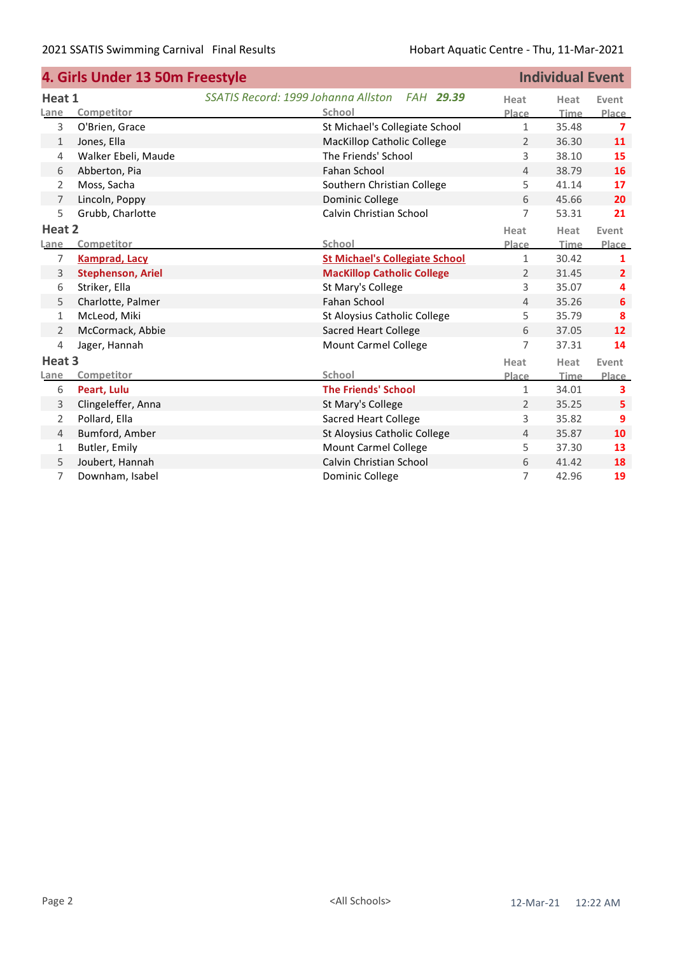|                | 4. Girls Under 13 50m Freestyle |                                                  |                | <b>Individual Event</b> |                   |
|----------------|---------------------------------|--------------------------------------------------|----------------|-------------------------|-------------------|
| Heat 1         |                                 | SSATIS Record: 1999 Johanna Allston<br>FAH 29.39 | Heat           | Heat                    | Event             |
| Lane           | Competitor                      | School                                           | Place          | Time                    | Place             |
| 3              | O'Brien, Grace                  | St Michael's Collegiate School                   | $\mathbf{1}$   | 35.48                   | $\overline{7}$    |
| 1              | Jones, Ella                     | <b>MacKillop Catholic College</b>                | 2              | 36.30                   | 11                |
| 4              | Walker Ebeli, Maude             | The Friends' School                              | 3              | 38.10                   | 15                |
| 6              | Abberton, Pia                   | Fahan School                                     | $\overline{4}$ | 38.79                   | 16                |
| 2              | Moss, Sacha                     | Southern Christian College                       | 5              | 41.14                   | 17                |
| 7              | Lincoln, Poppy                  | Dominic College                                  | 6              | 45.66                   | 20                |
| 5              | Grubb, Charlotte                | Calvin Christian School                          | 7              | 53.31                   | 21                |
| Heat 2         |                                 |                                                  | Heat           | Heat                    | Event             |
| Lane           | Competitor                      | School                                           | Place          | <b>Time</b>             | Place             |
| 7              | <b>Kamprad, Lacy</b>            | <b>St Michael's Collegiate School</b>            | $\mathbf{1}$   | 30.42                   | $\mathbf{1}$      |
| 3              | <b>Stephenson, Ariel</b>        | <b>MacKillop Catholic College</b>                | $\overline{2}$ | 31.45                   | $\overline{2}$    |
| 6              | Striker, Ella                   | St Mary's College                                | 3              | 35.07                   | 4                 |
| 5              | Charlotte, Palmer               | Fahan School                                     | $\overline{4}$ | 35.26                   | 6                 |
| $\mathbf{1}$   | McLeod, Miki                    | St Aloysius Catholic College                     | 5              | 35.79                   | 8                 |
| 2              | McCormack, Abbie                | <b>Sacred Heart College</b>                      | 6              | 37.05                   | $12 \overline{ }$ |
| $\overline{4}$ | Jager, Hannah                   | <b>Mount Carmel College</b>                      | $\overline{7}$ | 37.31                   | 14                |
| Heat 3         |                                 |                                                  | Heat           | Heat                    | Event             |
| Lane           | Competitor                      | <b>School</b>                                    | Place          | Time                    | Place             |
| 6              | Peart, Lulu                     | <b>The Friends' School</b>                       | 1              | 34.01                   | 3                 |
| 3              | Clingeleffer, Anna              | St Mary's College                                | 2              | 35.25                   | 5                 |
| 2              | Pollard, Ella                   | <b>Sacred Heart College</b>                      | 3              | 35.82                   | 9                 |
| $\overline{4}$ | Bumford, Amber                  | St Aloysius Catholic College                     | $\overline{4}$ | 35.87                   | 10                |
| 1              | Butler, Emily                   | <b>Mount Carmel College</b>                      | 5              | 37.30                   | 13                |
| 5              | Joubert, Hannah                 | Calvin Christian School                          | 6              | 41.42                   | 18                |
| 7              | Downham, Isabel                 | Dominic College                                  | 7              | 42.96                   | 19                |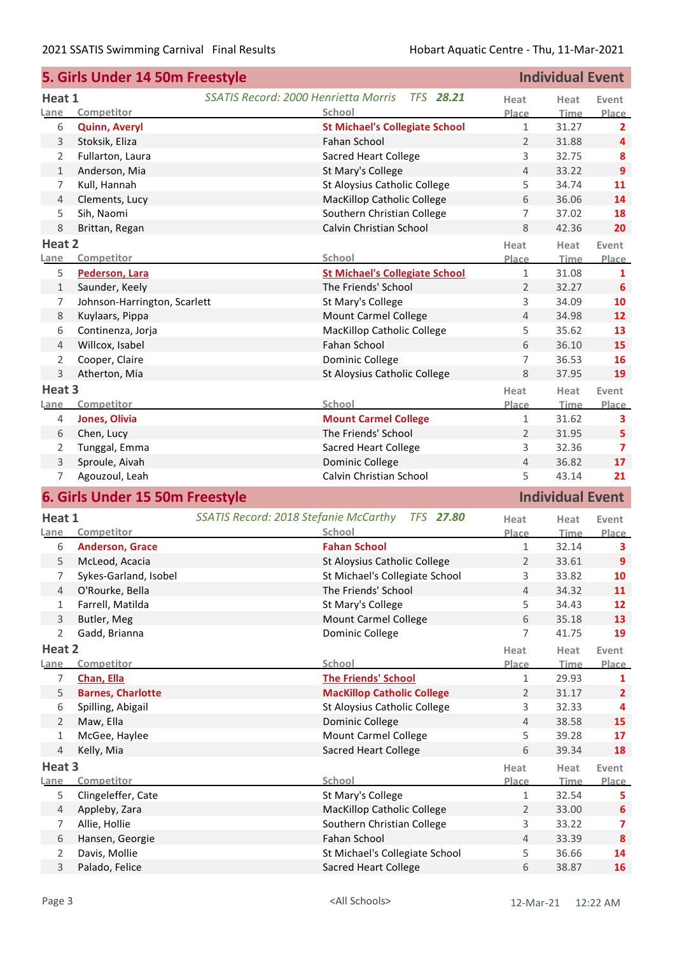|                | 5. Girls Under 14 50m Freestyle |                                                           | <b>Individual Event</b> |                         |                  |
|----------------|---------------------------------|-----------------------------------------------------------|-------------------------|-------------------------|------------------|
| Heat 1         |                                 | SSATIS Record: 2000 Henrietta Morris<br><b>TFS 28.21</b>  | Heat                    | Heat                    | Event            |
| Lane           | Competitor                      | School                                                    | Place                   | <b>Time</b>             | Place            |
| 6              | <b>Quinn, Averyl</b>            | <b>St Michael's Collegiate School</b>                     | $\mathbf{1}$            | 31.27                   | 2                |
| 3              | Stoksik, Eliza                  | Fahan School                                              | $\overline{2}$          | 31.88                   | 4                |
| 2              | Fullarton, Laura                | <b>Sacred Heart College</b>                               | 3                       | 32.75                   | 8                |
| $\mathbf{1}$   | Anderson, Mia                   | St Mary's College                                         | 4                       | 33.22                   | $\overline{9}$   |
| 7              | Kull, Hannah                    | St Aloysius Catholic College                              | 5                       | 34.74                   | 11               |
| $\overline{4}$ | Clements, Lucy                  | <b>MacKillop Catholic College</b>                         | 6                       | 36.06                   | 14               |
| 5              | Sih, Naomi                      | Southern Christian College                                | 7                       | 37.02                   | 18               |
| 8              | Brittan, Regan                  | Calvin Christian School                                   | 8                       | 42.36                   | 20               |
| Heat 2         |                                 |                                                           | Heat                    | Heat                    | Event            |
| Lane           | Competitor                      | School                                                    | Place                   | <b>Time</b>             | Place            |
| 5              | Pederson, Lara                  | <b>St Michael's Collegiate School</b>                     | $\mathbf{1}$            | 31.08                   | 1                |
| $\mathbf{1}$   | Saunder, Keely                  | The Friends' School                                       | $\overline{2}$          | 32.27                   | 6                |
| 7              | Johnson-Harrington, Scarlett    | St Mary's College                                         | 3                       | 34.09                   | 10               |
| $\,8\,$        | Kuylaars, Pippa                 | <b>Mount Carmel College</b>                               | $\overline{4}$          | 34.98                   | 12               |
| 6              | Continenza, Jorja               | <b>MacKillop Catholic College</b>                         | 5                       | 35.62                   | 13               |
| $\overline{4}$ | Willcox, Isabel                 | Fahan School                                              | 6                       | 36.10                   | 15               |
| 2              | Cooper, Claire                  | Dominic College                                           | 7                       | 36.53                   | 16               |
| 3              | Atherton, Mia                   | St Aloysius Catholic College                              | 8                       | 37.95                   | 19               |
| Heat 3         |                                 |                                                           | Heat                    | Heat                    | Event            |
| Lane           | Competitor                      | School                                                    | Place                   | <b>Time</b>             | Place            |
| 4              | Jones, Olivia                   | <b>Mount Carmel College</b>                               | $\mathbf{1}$            | 31.62                   | 3                |
| 6              | Chen, Lucy                      | The Friends' School                                       | $\overline{2}$          | 31.95                   | 5                |
| 2              | Tunggal, Emma                   | <b>Sacred Heart College</b>                               | 3                       | 32.36                   | 7                |
| 3              | Sproule, Aivah                  | Dominic College                                           | 4                       | 36.82                   | 17               |
| 7              | Agouzoul, Leah                  | Calvin Christian School                                   | 5                       | 43.14                   | 21               |
|                | 6. Girls Under 15 50m Freestyle |                                                           |                         | <b>Individual Event</b> |                  |
| Heat 1         |                                 | SSATIS Record: 2018 Stefanie McCarthy<br><b>TFS 27.80</b> | Heat                    | Heat                    | Event            |
| Lane           | Competitor                      | School                                                    | Place                   | <b>Time</b>             | Place            |
| 6              | <b>Anderson, Grace</b>          | <b>Fahan School</b>                                       | $\mathbf{1}$            | 32.14                   | 3                |
| 5              | McLeod, Acacia                  | St Aloysius Catholic College                              | $\overline{2}$          | 33.61                   | $\boldsymbol{9}$ |
| 7              | Sykes-Garland, Isobel           | St Michael's Collegiate School                            | 3                       | 33.82                   | 10               |
| 4              | O'Rourke, Bella                 | The Friends' School                                       | $\overline{4}$          | 34.32                   | 11               |
| 1              | Farrell, Matilda                | St Mary's College                                         | 5                       | 34.43                   | 12               |
| 3              | Butler, Meg                     | Mount Carmel College                                      | 6                       | 35.18                   | 13               |
| $\overline{2}$ | Gadd, Brianna                   | Dominic College                                           | $\overline{7}$          | 41.75                   | 19               |
| Heat 2         |                                 |                                                           | Heat                    | Heat                    | Event            |
| Lane           | Competitor                      | School                                                    | Place                   | Time                    | Place            |
| 7              | Chan, Ella                      | <b>The Friends' School</b>                                | $\mathbf{1}$            | 29.93                   | 1                |
| 5              | <b>Barnes, Charlotte</b>        | <b>MacKillop Catholic College</b>                         | $\overline{2}$          | 31.17                   | $\overline{2}$   |
| 6              | Spilling, Abigail               | St Aloysius Catholic College                              | 3                       | 32.33                   | 4                |
| $\overline{2}$ | Maw, Ella                       | Dominic College                                           | $\overline{4}$          | 38.58                   | 15               |
| $\mathbf{1}$   | McGee, Haylee                   | <b>Mount Carmel College</b>                               | 5                       | 39.28                   | 17               |
| $\overline{4}$ | Kelly, Mia                      | <b>Sacred Heart College</b>                               | 6                       | 39.34                   | 18               |
| Heat 3         |                                 |                                                           | Heat                    | Heat                    | Event            |
| Lane           | Competitor                      | School                                                    | Place                   | Time                    | Place            |
| 5              | Clingeleffer, Cate              | St Mary's College                                         | $\mathbf{1}$            | 32.54                   | 5.               |
| $\overline{4}$ | Appleby, Zara                   | <b>MacKillop Catholic College</b>                         | $\overline{2}$          | 33.00                   | $\boldsymbol{6}$ |
| 7              | Allie, Hollie                   | Southern Christian College                                | 3                       | 33.22                   | 7                |
| 6              | Hansen, Georgie                 | Fahan School                                              | $\overline{4}$          | 33.39                   | 8                |
| $\overline{2}$ | Davis, Mollie                   | St Michael's Collegiate School                            | 5                       | 36.66                   | 14               |
| 3              | Palado, Felice                  | <b>Sacred Heart College</b>                               | 6                       | 38.87                   | 16               |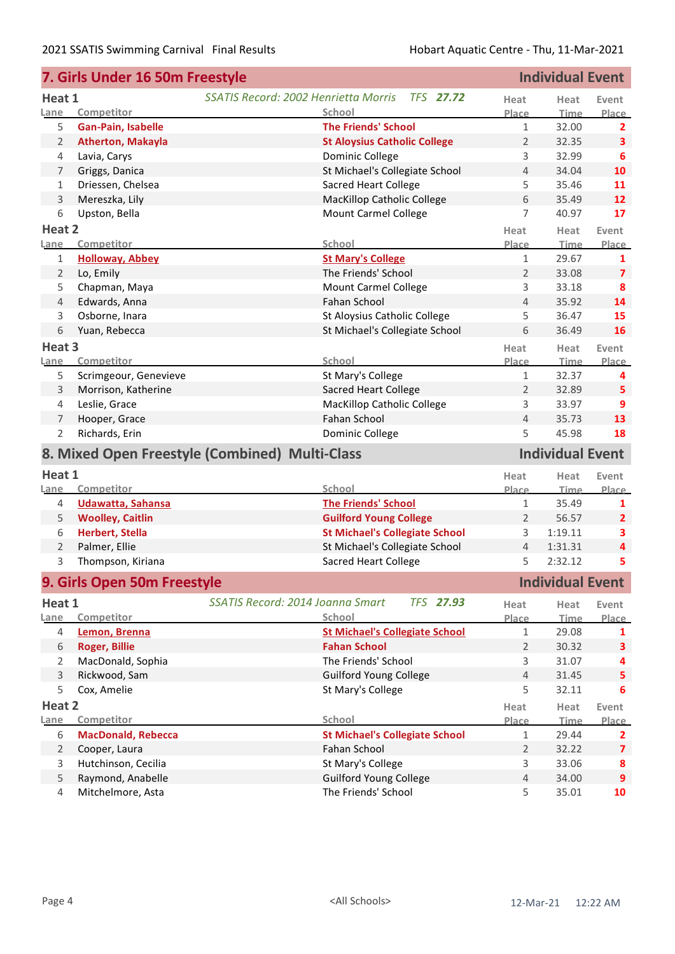|                | 7. Girls Under 16 50m Freestyle        |                                                          | <b>Individual Event</b> |                         |                         |
|----------------|----------------------------------------|----------------------------------------------------------|-------------------------|-------------------------|-------------------------|
| Heat 1         |                                        | SSATIS Record: 2002 Henrietta Morris<br><b>TFS 27.72</b> | Heat                    | Heat                    | Event                   |
| Lane           | Competitor                             | School                                                   | Place                   | <b>Time</b>             | Place                   |
| 5              | <b>Gan-Pain, Isabelle</b>              | <b>The Friends' School</b>                               | $\mathbf{1}$            | 32.00                   | 2                       |
| $\overline{2}$ | <b>Atherton, Makayla</b>               | <b>St Aloysius Catholic College</b>                      | 2                       | 32.35                   | $\overline{\mathbf{3}}$ |
| 4              | Lavia, Carys                           | Dominic College                                          | 3                       | 32.99                   | 6                       |
| 7              | Griggs, Danica                         | St Michael's Collegiate School                           | $\overline{4}$          | 34.04                   | 10                      |
| 1              | Driessen, Chelsea                      | <b>Sacred Heart College</b>                              | 5                       | 35.46                   | 11                      |
| 3              | Mereszka, Lily                         | <b>MacKillop Catholic College</b>                        | 6                       | 35.49                   | 12                      |
| 6              | Upston, Bella                          | <b>Mount Carmel College</b>                              | 7                       | 40.97                   | 17                      |
| Heat 2         |                                        |                                                          | Heat                    | Heat                    | Event                   |
| Lane           | Competitor                             | School                                                   | Place                   | <b>Time</b>             | Place                   |
| 1              | <b>Holloway, Abbey</b>                 | <b>St Mary's College</b>                                 | $\mathbf{1}$            | 29.67                   | 1                       |
| $\overline{2}$ | Lo, Emily                              | The Friends' School                                      | $\overline{2}$          | 33.08                   | $\overline{7}$          |
| 5              | Chapman, Maya                          | Mount Carmel College                                     | 3                       | 33.18                   | 8                       |
| 4              | Edwards, Anna                          | Fahan School                                             | 4                       | 35.92                   | 14                      |
| 3              | Osborne, Inara                         | St Aloysius Catholic College                             | 5                       | 36.47                   | 15                      |
| 6              | Yuan, Rebecca                          | St Michael's Collegiate School                           | 6                       | 36.49                   | 16                      |
| Heat 3         |                                        |                                                          | Heat                    | Heat                    | Event                   |
| Lane           | Competitor                             | School                                                   | Place                   | <b>Time</b>             | Place                   |
| 5              | Scrimgeour, Genevieve                  | St Mary's College                                        | $\mathbf{1}$            | 32.37                   | 4                       |
| 3              | Morrison, Katherine                    | <b>Sacred Heart College</b>                              | $\overline{2}$          | 32.89                   | 5                       |
| 4              | Leslie, Grace                          | <b>MacKillop Catholic College</b>                        | 3                       | 33.97                   | 9                       |
| 7              | Hooper, Grace                          | Fahan School                                             | $\overline{4}$          | 35.73                   | 13                      |
|                | Richards, Erin                         |                                                          | 5                       | 45.98                   | 18                      |
| 2              |                                        |                                                          |                         |                         |                         |
|                |                                        | Dominic College                                          |                         |                         |                         |
|                |                                        | 8. Mixed Open Freestyle (Combined) Multi-Class           |                         | <b>Individual Event</b> |                         |
| Heat 1         |                                        |                                                          | Heat                    | Heat                    | Event                   |
| Lane           | Competitor                             | School                                                   | Place                   | <b>Time</b>             | Place                   |
| 4              | Udawatta, Sahansa                      | <b>The Friends' School</b>                               | $\mathbf{1}$            | 35.49                   | 1                       |
| 5              | <b>Woolley, Caitlin</b>                | <b>Guilford Young College</b>                            | $\overline{2}$          | 56.57                   | $\overline{2}$          |
| 6              | Herbert, Stella                        | <b>St Michael's Collegiate School</b>                    | $\mathbf{3}$            | 1:19.11                 | з                       |
| $\overline{2}$ | Palmer, Ellie                          | St Michael's Collegiate School                           | $\overline{4}$          | 1:31.31                 | $\overline{\mathbf{4}}$ |
| 3              | Thompson, Kiriana                      | <b>Sacred Heart College</b>                              | 5                       | 2:32.12                 | 5                       |
|                |                                        |                                                          |                         | <b>Individual Event</b> |                         |
|                | 9. Girls Open 50m Freestyle            |                                                          |                         |                         |                         |
| Heat 1         |                                        | SSATIS Record: 2014 Joanna Smart<br><b>TFS 27.93</b>     | Heat                    | Heat                    | Event                   |
| Lane           | Competitor                             | School                                                   | Place                   | <b>Time</b>             | <b>Place</b>            |
| 4              | Lemon, Brenna                          | <b>St Michael's Collegiate School</b>                    | $\mathbf{1}$            | 29.08                   | 1                       |
| 6              | <b>Roger, Billie</b>                   | <b>Fahan School</b>                                      | $\overline{2}$          | 30.32                   | $\overline{\mathbf{3}}$ |
| 2              | MacDonald, Sophia                      | The Friends' School                                      | 3                       | 31.07                   | 4                       |
| $\mathsf{3}$   | Rickwood, Sam                          | Guilford Young College                                   | $\overline{4}$          | 31.45                   | 5                       |
| 5              | Cox, Amelie                            | St Mary's College                                        | 5                       | 32.11                   | 6                       |
| Heat 2         |                                        |                                                          | Heat                    | Heat                    | Event                   |
| Lane           | Competitor                             | School                                                   | Place                   | <b>Time</b>             |                         |
| 6              | <b>MacDonald, Rebecca</b>              | <b>St Michael's Collegiate School</b>                    | $\mathbf{1}$            | 29.44                   | $\overline{2}$          |
| $\overline{2}$ | Cooper, Laura                          | Fahan School                                             | $\overline{2}$          | 32.22                   | $\overline{\mathbf{z}}$ |
| 3              | Hutchinson, Cecilia                    | St Mary's College                                        | 3                       | 33.06                   | 8                       |
| 5<br>4         | Raymond, Anabelle<br>Mitchelmore, Asta | <b>Guilford Young College</b><br>The Friends' School     | $\sqrt{4}$<br>5         | 34.00<br>35.01          | Place<br>9<br>10        |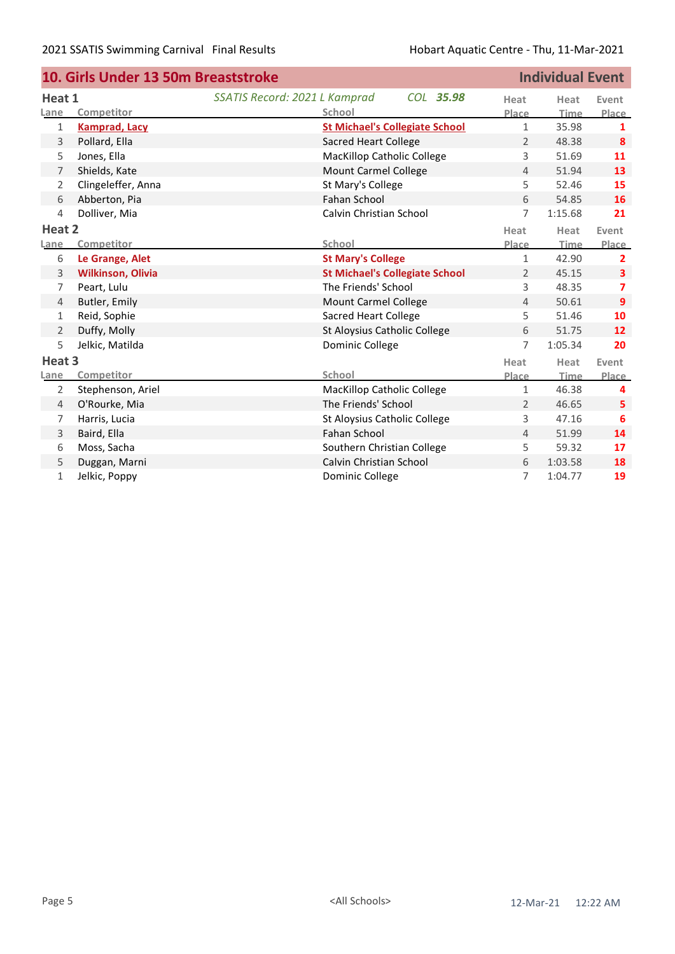|                | 10. Girls Under 13 50m Breaststroke |                                   | <b>Individual Event</b>               |                |         |                |
|----------------|-------------------------------------|-----------------------------------|---------------------------------------|----------------|---------|----------------|
| Heat 1         |                                     | SSATIS Record: 2021 L Kamprad     | COL 35.98                             | Heat           | Heat    | Event          |
| Lane           | Competitor                          | School                            |                                       | Place          | Time    | <b>Place</b>   |
| 1              | <b>Kamprad, Lacy</b>                |                                   | <b>St Michael's Collegiate School</b> | $\mathbf{1}$   | 35.98   | 1              |
| 3              | Pollard, Ella                       | <b>Sacred Heart College</b>       |                                       | $\overline{2}$ | 48.38   | 8              |
| 5              | Jones, Ella                         | <b>MacKillop Catholic College</b> |                                       | 3              | 51.69   | 11             |
| 7              | Shields, Kate                       | <b>Mount Carmel College</b>       |                                       | $\overline{4}$ | 51.94   | 13             |
| 2              | Clingeleffer, Anna                  | St Mary's College                 |                                       | 5              | 52.46   | 15             |
| 6              | Abberton, Pia                       | Fahan School                      |                                       | 6              | 54.85   | 16             |
| $\overline{4}$ | Dolliver, Mia                       | Calvin Christian School           |                                       | 7              | 1:15.68 | 21             |
| Heat 2         |                                     |                                   |                                       | Heat           | Heat    | Event          |
| <b>Lane</b>    | Competitor                          | School                            |                                       | Place          | Time    | Place          |
| 6              | Le Grange, Alet                     | <b>St Mary's College</b>          |                                       | $\mathbf{1}$   | 42.90   | $\overline{2}$ |
| 3              | <b>Wilkinson, Olivia</b>            |                                   | <b>St Michael's Collegiate School</b> | $\overline{2}$ | 45.15   | 3              |
| 7              | Peart, Lulu                         | The Friends' School               |                                       | 3              | 48.35   | $\overline{7}$ |
| $\overline{4}$ | Butler, Emily                       | <b>Mount Carmel College</b>       |                                       | $\overline{4}$ | 50.61   | $\overline{9}$ |
| $\mathbf{1}$   | Reid, Sophie                        | <b>Sacred Heart College</b>       |                                       | 5              | 51.46   | 10             |
| 2              | Duffy, Molly                        | St Aloysius Catholic College      |                                       | 6              | 51.75   | 12             |
| 5              | Jelkic, Matilda                     | Dominic College                   |                                       | $\overline{7}$ | 1:05.34 | 20             |
| Heat 3         |                                     |                                   |                                       | Heat           | Heat    | Event          |
| Lane           | Competitor                          | <b>School</b>                     |                                       | Place          | Time    | Place          |
| 2              | Stephenson, Ariel                   | <b>MacKillop Catholic College</b> |                                       | $\mathbf{1}$   | 46.38   | 4              |
| $\overline{4}$ | O'Rourke, Mia                       | The Friends' School               |                                       | $\overline{2}$ | 46.65   | 5              |
| 7              | Harris, Lucia                       | St Aloysius Catholic College      |                                       | 3              | 47.16   | 6              |
| 3              | Baird, Ella                         | Fahan School                      |                                       | $\overline{4}$ | 51.99   | 14             |
| 6              | Moss, Sacha                         | Southern Christian College        |                                       | 5              | 59.32   | 17             |
| 5              | Duggan, Marni                       | Calvin Christian School           |                                       | 6              | 1:03.58 | 18             |
| $\mathbf{1}$   | Jelkic, Poppy                       | Dominic College                   |                                       | 7              | 1:04.77 | 19             |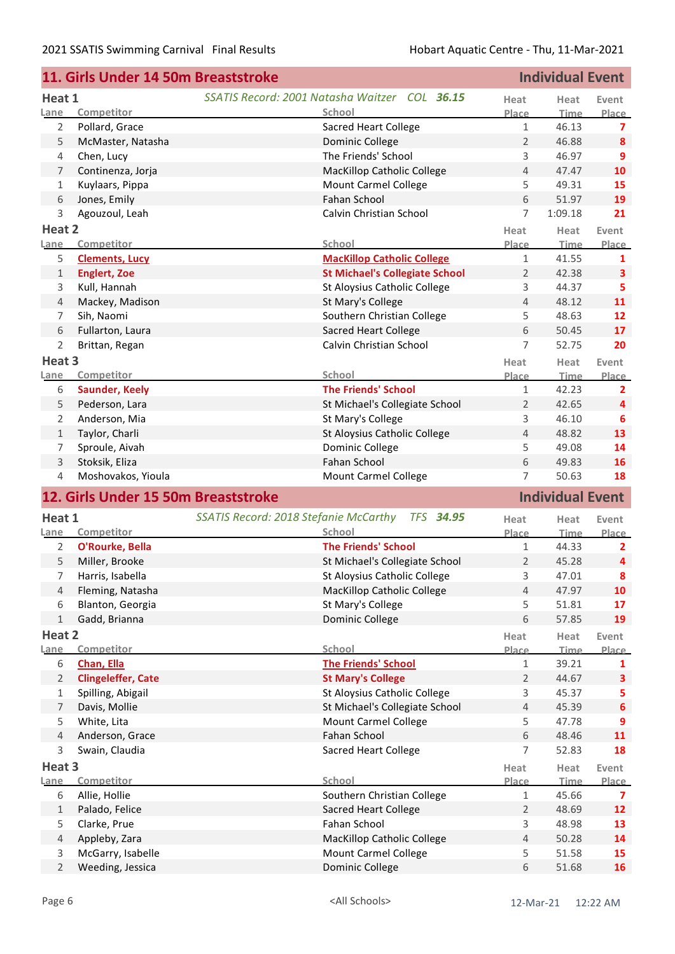| <b>Individual Event</b><br>11. Girls Under 14 50m Breaststroke |                                     |                                                           |                |                         |                         |
|----------------------------------------------------------------|-------------------------------------|-----------------------------------------------------------|----------------|-------------------------|-------------------------|
| Heat 1                                                         |                                     | SSATIS Record: 2001 Natasha Waitzer COL 36.15             | Heat           | Heat                    | Event                   |
| Lane                                                           | Competitor                          | School                                                    | Place          | <b>Time</b>             | <b>Place</b>            |
| 2                                                              | Pollard, Grace                      | <b>Sacred Heart College</b>                               | $\mathbf{1}$   | 46.13                   | 7                       |
| 5                                                              | McMaster, Natasha                   | Dominic College                                           | $\overline{2}$ | 46.88                   | 8                       |
| 4                                                              | Chen, Lucy                          | The Friends' School                                       | 3              | 46.97                   | 9                       |
| $\overline{7}$                                                 | Continenza, Jorja                   | <b>MacKillop Catholic College</b>                         | $\overline{4}$ | 47.47                   | 10                      |
| 1                                                              | Kuylaars, Pippa                     | <b>Mount Carmel College</b>                               | 5              | 49.31                   | 15                      |
| 6                                                              | Jones, Emily                        | Fahan School                                              | 6              | 51.97                   | 19                      |
| 3                                                              | Agouzoul, Leah                      | Calvin Christian School                                   | $\overline{7}$ | 1:09.18                 | 21                      |
| Heat 2                                                         |                                     |                                                           | Heat           | Heat                    | Event                   |
| Lane                                                           | Competitor                          | School                                                    | Place          | <b>Time</b>             | <b>Place</b>            |
| 5                                                              | <b>Clements, Lucy</b>               | <b>MacKillop Catholic College</b>                         | $\mathbf{1}$   | 41.55                   | 1                       |
| $\mathbf{1}$                                                   | <b>Englert, Zoe</b>                 | <b>St Michael's Collegiate School</b>                     | $\overline{2}$ | 42.38                   | 3                       |
| 3                                                              | Kull, Hannah                        | St Aloysius Catholic College                              | 3              | 44.37                   | 5                       |
| $\overline{4}$                                                 | Mackey, Madison                     | St Mary's College                                         | $\overline{4}$ | 48.12                   | 11                      |
| 7                                                              | Sih, Naomi                          | Southern Christian College                                | 5              | 48.63                   | 12                      |
| 6                                                              | Fullarton, Laura                    | <b>Sacred Heart College</b>                               | 6              | 50.45                   | 17                      |
| 2                                                              | Brittan, Regan                      | Calvin Christian School                                   | 7              | 52.75                   | 20                      |
| Heat 3                                                         |                                     |                                                           | Heat           | Heat                    | Event                   |
| Lane                                                           | Competitor                          | School                                                    | Place          | <b>Time</b>             | Place                   |
| 6                                                              | <b>Saunder, Keely</b>               | <b>The Friends' School</b>                                | $\mathbf{1}$   | 42.23                   | 2                       |
| 5                                                              | Pederson, Lara                      | St Michael's Collegiate School                            | 2              | 42.65                   | 4                       |
| 2                                                              | Anderson, Mia                       | St Mary's College                                         | 3              | 46.10                   | 6                       |
| $\mathbf{1}$                                                   | Taylor, Charli                      | St Aloysius Catholic College                              | $\overline{4}$ | 48.82                   | 13                      |
| 7                                                              | Sproule, Aivah                      | Dominic College                                           | 5              | 49.08                   | 14                      |
| $\mathsf 3$                                                    | Stoksik, Eliza                      | Fahan School                                              | 6              | 49.83                   | 16                      |
| 4                                                              | Moshovakos, Yioula                  | Mount Carmel College                                      | $\overline{7}$ | 50.63                   | 18                      |
|                                                                | 12. Girls Under 15 50m Breaststroke |                                                           |                | <b>Individual Event</b> |                         |
| Heat 1                                                         |                                     | SSATIS Record: 2018 Stefanie McCarthy<br><b>TFS 34.95</b> | Heat           | Heat                    | Event                   |
| Lane                                                           | Competitor                          | School                                                    | Place          | Time                    | Place                   |
| 2                                                              | O'Rourke, Bella                     | <b>The Friends' School</b>                                | $\mathbf{1}$   | 44.33                   | 2                       |
| 5                                                              | Miller, Brooke                      | St Michael's Collegiate School                            | $\overline{2}$ | 45.28                   | 4                       |
| 7                                                              | Harris, Isabella                    | St Aloysius Catholic College                              | 3              | 47.01                   | 8                       |
| 4                                                              | Fleming, Natasha                    | <b>MacKillop Catholic College</b>                         | $\overline{4}$ | 47.97                   | 10                      |
| 6                                                              | Blanton, Georgia                    | St Mary's College                                         | 5              | 51.81                   | 17                      |
| $\mathbf{1}$                                                   | Gadd, Brianna                       | Dominic College                                           | 6              | 57.85                   | 19                      |
| Heat 2                                                         |                                     |                                                           | Heat           | Heat                    | Event                   |
| Lane                                                           | Competitor                          | School                                                    | Place          | Time                    | Place                   |
| 6                                                              | Chan, Ella                          | <b>The Friends' School</b>                                | 1              | 39.21                   | 1                       |
| 2                                                              | <b>Clingeleffer, Cate</b>           | <b>St Mary's College</b>                                  | $\overline{2}$ | 44.67                   | 3                       |
| $\mathbf{1}$                                                   | Spilling, Abigail                   | St Aloysius Catholic College                              | 3              | 45.37                   | 5                       |
| 7                                                              | Davis, Mollie                       | St Michael's Collegiate School                            | $\overline{4}$ | 45.39                   | 6                       |
| 5                                                              | White, Lita                         | <b>Mount Carmel College</b>                               | 5              | 47.78                   | 9                       |
| $\overline{4}$                                                 | Anderson, Grace                     | Fahan School                                              | 6              | 48.46                   | 11                      |
| 3                                                              | Swain, Claudia                      | <b>Sacred Heart College</b>                               | 7              | 52.83                   | 18                      |
| Heat 3                                                         |                                     |                                                           | Heat           | Heat                    | Event                   |
| Lane                                                           | Competitor                          | School                                                    | Place          | <b>Time</b>             | Place                   |
| 6                                                              | Allie, Hollie                       | Southern Christian College                                | 1              | 45.66                   | $\overline{\mathbf{z}}$ |
| $1\,$                                                          | Palado, Felice                      | <b>Sacred Heart College</b>                               | $\overline{2}$ | 48.69                   | 12                      |
| 5                                                              | Clarke, Prue                        | Fahan School                                              | 3              | 48.98                   | 13                      |
| 4                                                              | Appleby, Zara                       | <b>MacKillop Catholic College</b>                         | 4              | 50.28                   | 14                      |
| 3                                                              | McGarry, Isabelle                   | <b>Mount Carmel College</b>                               | 5              | 51.58                   | 15                      |
| $\overline{2}$                                                 | Weeding, Jessica                    | Dominic College                                           | 6              | 51.68                   | 16                      |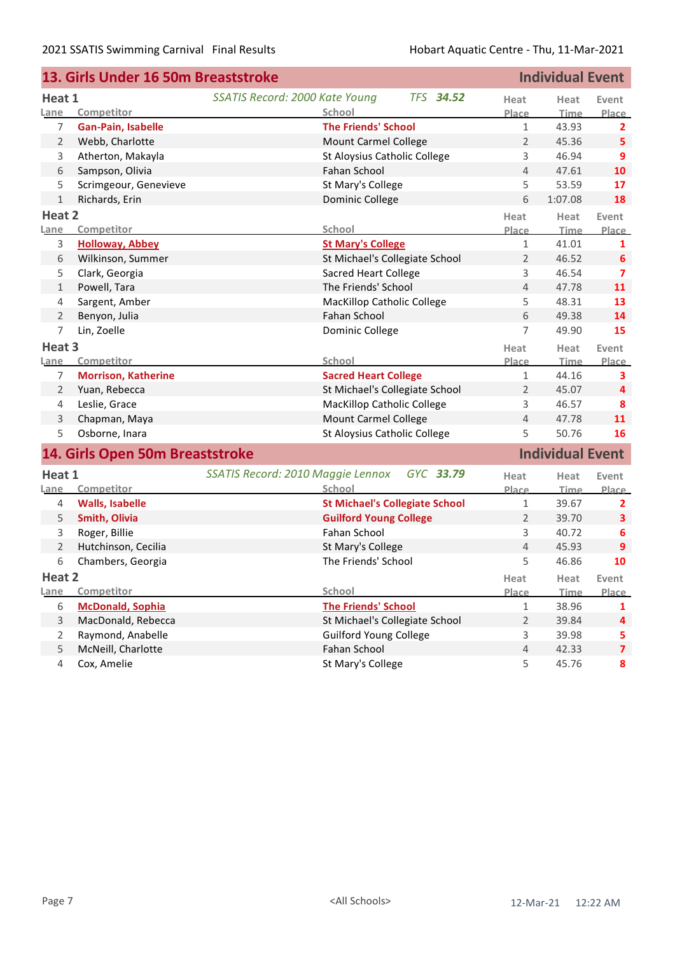| <b>Individual Event</b><br>13. Girls Under 16 50m Breaststroke |                                 |                                                    |                |                         |                |
|----------------------------------------------------------------|---------------------------------|----------------------------------------------------|----------------|-------------------------|----------------|
| Heat 1                                                         |                                 | SSATIS Record: 2000 Kate Young<br><b>TFS 34.52</b> | Heat           | Heat                    | Event          |
| Lane                                                           | Competitor                      | School                                             | Place          | <b>Time</b>             | Place          |
| 7                                                              | Gan-Pain, Isabelle              | <b>The Friends' School</b>                         | 1              | 43.93                   | $\mathbf{2}$   |
| $\overline{2}$                                                 | Webb, Charlotte                 | Mount Carmel College                               | $\overline{2}$ | 45.36                   | 5              |
| 3                                                              | Atherton, Makayla               | St Aloysius Catholic College                       | 3              | 46.94                   | $\overline{9}$ |
| 6                                                              | Sampson, Olivia                 | Fahan School                                       | $\overline{4}$ | 47.61                   | 10             |
| 5                                                              | Scrimgeour, Genevieve           | St Mary's College                                  | 5              | 53.59                   | 17             |
| $\mathbf{1}$                                                   | Richards, Erin                  | Dominic College                                    | 6              | 1:07.08                 | 18             |
| Heat 2                                                         |                                 |                                                    | Heat           | Heat                    | Event          |
| Lane                                                           | Competitor                      | School                                             | Place          | <b>Time</b>             | <b>Place</b>   |
| 3                                                              | <b>Holloway, Abbey</b>          | <b>St Mary's College</b>                           | 1              | 41.01                   | $\mathbf{1}$   |
| 6                                                              | Wilkinson, Summer               | St Michael's Collegiate School                     | $\overline{2}$ | 46.52                   | 6              |
| 5                                                              | Clark, Georgia                  | <b>Sacred Heart College</b>                        | 3              | 46.54                   | 7              |
| 1                                                              | Powell, Tara                    | The Friends' School                                | $\overline{4}$ | 47.78                   | 11             |
| 4                                                              | Sargent, Amber                  | MacKillop Catholic College                         | 5              | 48.31                   | 13             |
| 2                                                              | Benyon, Julia                   | <b>Fahan School</b>                                | 6              | 49.38                   | 14             |
| 7                                                              | Lin, Zoelle                     | Dominic College                                    | 7              | 49.90                   | 15             |
| Heat 3                                                         |                                 |                                                    | Heat           | Heat                    | Event          |
| Lane                                                           | Competitor                      | School                                             | Place          | <b>Time</b>             | Place          |
| 7                                                              | <b>Morrison, Katherine</b>      | <b>Sacred Heart College</b>                        | $\mathbf 1$    | 44.16                   | 3              |
| $\overline{2}$                                                 | Yuan, Rebecca                   | St Michael's Collegiate School                     | 2              | 45.07                   | 4              |
| 4                                                              | Leslie, Grace                   | MacKillop Catholic College                         | 3              | 46.57                   | 8              |
| 3                                                              | Chapman, Maya                   | Mount Carmel College                               | 4              | 47.78                   | 11             |
| 5                                                              | Osborne, Inara                  | St Aloysius Catholic College                       | 5              | 50.76                   | 16             |
|                                                                | 14. Girls Open 50m Breaststroke |                                                    |                | <b>Individual Event</b> |                |
| Heat 1                                                         |                                 | SSATIS Record: 2010 Maggie Lennox<br>GYC 33.79     | Heat           | Heat                    | Event          |
| Lane                                                           | Competitor                      | School                                             | Place          | <u>Time.</u>            | Place          |
| 4                                                              | <b>Walls, Isabelle</b>          | <b>St Michael's Collegiate School</b>              | 1              | 39.67                   | $\overline{2}$ |
| 5                                                              | Smith, Olivia                   | <b>Guilford Young College</b>                      | 2              | 39.70                   | 3              |
| 3                                                              | Roger, Billie                   | Fahan School                                       | 3              | 40.72                   | 6              |
| $\overline{2}$                                                 | Hutchinson, Cecilia             | St Mary's College                                  | $\overline{4}$ | 45.93                   | 9              |
| 6                                                              | Chambers, Georgia               | The Friends' School                                | 5              | 46.86                   | 10             |
| Heat 2                                                         |                                 |                                                    | Heat           | Heat                    | Event          |
| Lane                                                           | Competitor                      | School                                             | Place          | Time                    | Place          |
| 6                                                              | <b>McDonald, Sophia</b>         | <b>The Friends' School</b>                         | $\mathbf{1}$   | 38.96                   | 1              |
| 3                                                              | MacDonald, Rebecca              | St Michael's Collegiate School                     | $\overline{2}$ | 39.84                   | 4              |
| 2                                                              | Raymond, Anabelle               | <b>Guilford Young College</b>                      | 3              | 39.98                   | 5              |
| 5                                                              | McNeill, Charlotte              | Fahan School                                       | 4              | 42.33                   | $\overline{7}$ |
| 4                                                              | Cox, Amelie                     | St Mary's College                                  | 5              | 45.76                   | 8              |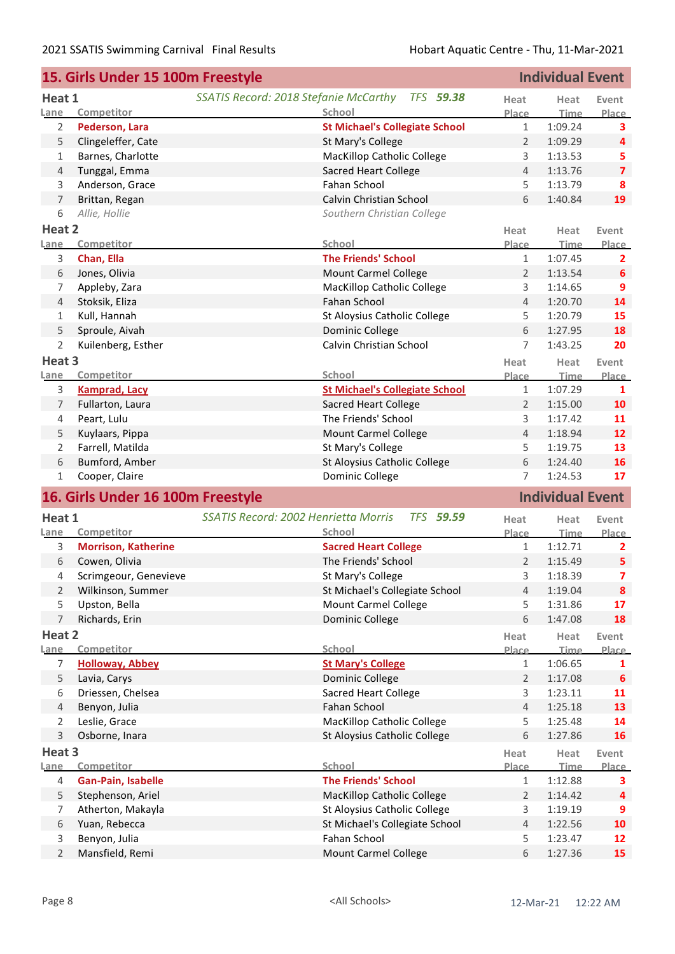|                     | <b>Individual Event</b><br>15. Girls Under 15 100m Freestyle |                                                                 |                |                         |                         |
|---------------------|--------------------------------------------------------------|-----------------------------------------------------------------|----------------|-------------------------|-------------------------|
| Heat 1              |                                                              | SSATIS Record: 2018 Stefanie McCarthy<br><b>TFS 59.38</b>       | Heat           | Heat                    | Event                   |
| Lane                | Competitor                                                   | School                                                          | <b>Place</b>   | <b>Time</b>             | Place                   |
| 2                   | Pederson, Lara                                               | <b>St Michael's Collegiate School</b>                           | $\mathbf{1}$   | 1:09.24                 | 3                       |
| 5                   | Clingeleffer, Cate                                           | St Mary's College                                               | $\overline{2}$ | 1:09.29                 | 4                       |
| 1                   | Barnes, Charlotte                                            | <b>MacKillop Catholic College</b>                               | 3              | 1:13.53                 | 5                       |
| $\overline{4}$      | Tunggal, Emma                                                | <b>Sacred Heart College</b>                                     | $\overline{4}$ | 1:13.76                 | $\overline{\mathbf{z}}$ |
| 3                   | Anderson, Grace                                              | Fahan School                                                    | 5              | 1:13.79                 | 8                       |
| $\overline{7}$      | Brittan, Regan                                               | Calvin Christian School                                         | 6              | 1:40.84                 | 19                      |
| 6                   | Allie, Hollie                                                | Southern Christian College                                      |                |                         |                         |
| Heat 2              |                                                              |                                                                 | Heat           | Heat                    | Event                   |
| Lane                | Competitor                                                   | School                                                          | Place          | <b>Time</b>             | Place                   |
| 3                   | Chan, Ella                                                   | <b>The Friends' School</b>                                      | $\mathbf{1}$   | 1:07.45                 | $\overline{2}$          |
| 6                   | Jones, Olivia                                                | <b>Mount Carmel College</b>                                     | $\overline{2}$ | 1:13.54                 | 6                       |
| 7                   | Appleby, Zara                                                | <b>MacKillop Catholic College</b>                               | 3              | 1:14.65                 | 9                       |
| $\overline{4}$      | Stoksik, Eliza                                               | Fahan School                                                    | $\overline{4}$ | 1:20.70                 | 14                      |
| 1                   | Kull, Hannah                                                 | St Aloysius Catholic College                                    | 5              | 1:20.79                 | 15                      |
| 5                   | Sproule, Aivah                                               | <b>Dominic College</b>                                          | 6              | 1:27.95                 | 18                      |
| 2                   | Kuilenberg, Esther                                           | Calvin Christian School                                         | $\overline{7}$ | 1:43.25                 | 20                      |
| Heat 3              |                                                              |                                                                 | Heat           | Heat                    | Event                   |
| Lane                | Competitor                                                   | School                                                          | Place          | <b>Time</b>             | Place                   |
| 3                   | <b>Kamprad, Lacy</b>                                         | <b>St Michael's Collegiate School</b>                           | $\mathbf{1}$   | 1:07.29                 | $\mathbf{1}$            |
| 7                   | Fullarton, Laura                                             | <b>Sacred Heart College</b>                                     | $\overline{2}$ | 1:15.00                 | 10                      |
| 4                   | Peart, Lulu                                                  | The Friends' School                                             | 3              | 1:17.42                 | 11                      |
| 5                   | Kuylaars, Pippa                                              | Mount Carmel College                                            | 4              | 1:18.94                 | 12                      |
| 2                   | Farrell, Matilda                                             | St Mary's College                                               | 5              | 1:19.75                 | 13                      |
| 6                   | Bumford, Amber                                               | St Aloysius Catholic College                                    | 6              | 1:24.40                 | 16                      |
| 1                   | Cooper, Claire                                               | Dominic College                                                 | 7              | 1:24.53                 | 17                      |
|                     | 16. Girls Under 16 100m Freestyle                            |                                                                 |                | <b>Individual Event</b> |                         |
| Heat 1              |                                                              | <b>SSATIS Record: 2002 Henrietta Morris</b><br><b>TFS 59.59</b> | Heat           | Heat                    | Event                   |
| Lane                | Competitor                                                   | School                                                          | Place          | <b>Time</b>             | Place                   |
| 3                   | <b>Morrison, Katherine</b>                                   | <b>Sacred Heart College</b>                                     | $\mathbf{1}$   | 1:12.71                 | 2                       |
| 6                   | Cowen, Olivia                                                | The Friends' School                                             | $\overline{2}$ | 1:15.49                 | 5                       |
| 4                   | Scrimgeour, Genevieve                                        | St Mary's College                                               | 3              | 1:18.39                 | 7                       |
| 2                   | Wilkinson, Summer                                            | St Michael's Collegiate School                                  | $\overline{4}$ | 1:19.04                 | 8                       |
| 5                   | Upston, Bella                                                | Mount Carmel College                                            | 5              | 1:31.86                 | 17                      |
| $\overline{7}$      | Richards, Erin                                               | Dominic College                                                 | 6              | 1:47.08                 | 18                      |
| Heat 2              |                                                              |                                                                 | Heat           | Heat                    | Event                   |
| Lane                | Competitor                                                   | School                                                          | <u>Place</u>   | <b>Time</b>             | Place                   |
| 7                   | <b>Holloway, Abbey</b>                                       | <b>St Mary's College</b>                                        | $\mathbf{1}$   | 1:06.65                 | 1                       |
| 5                   | Lavia, Carys                                                 | Dominic College                                                 | $\overline{2}$ | 1:17.08                 | 6                       |
| 6                   | Driessen, Chelsea                                            | <b>Sacred Heart College</b>                                     | 3              | 1:23.11                 | 11                      |
| $\overline{4}$      | Benyon, Julia                                                | <b>Fahan School</b>                                             | $\overline{4}$ | 1:25.18                 | 13                      |
| $\overline{2}$      | Leslie, Grace                                                | <b>MacKillop Catholic College</b>                               | 5              | 1:25.48                 | 14                      |
| $\mathsf 3$         | Osborne, Inara                                               | St Aloysius Catholic College                                    | 6              | 1:27.86                 | 16                      |
| Heat 3              |                                                              |                                                                 | Heat           | Heat                    | Event                   |
| Lane                | Competitor                                                   | School                                                          | <b>Place</b>   | Time                    | Place                   |
| 4                   | Gan-Pain, Isabelle                                           | <b>The Friends' School</b>                                      | $\mathbf{1}$   | 1:12.88                 | 3                       |
| 5                   | Stephenson, Ariel                                            | <b>MacKillop Catholic College</b>                               | $\overline{2}$ | 1:14.42                 | 4                       |
| 7                   | Atherton, Makayla                                            | St Aloysius Catholic College                                    | 3              | 1:19.19                 | 9                       |
| 6                   |                                                              |                                                                 | $\overline{4}$ |                         |                         |
|                     | Yuan, Rebecca                                                | St Michael's Collegiate School                                  |                | 1:22.56                 | 10                      |
| 3<br>$\overline{2}$ | Benyon, Julia<br>Mansfield, Remi                             | Fahan School<br><b>Mount Carmel College</b>                     | 5<br>6         | 1:23.47<br>1:27.36      | 12<br>15                |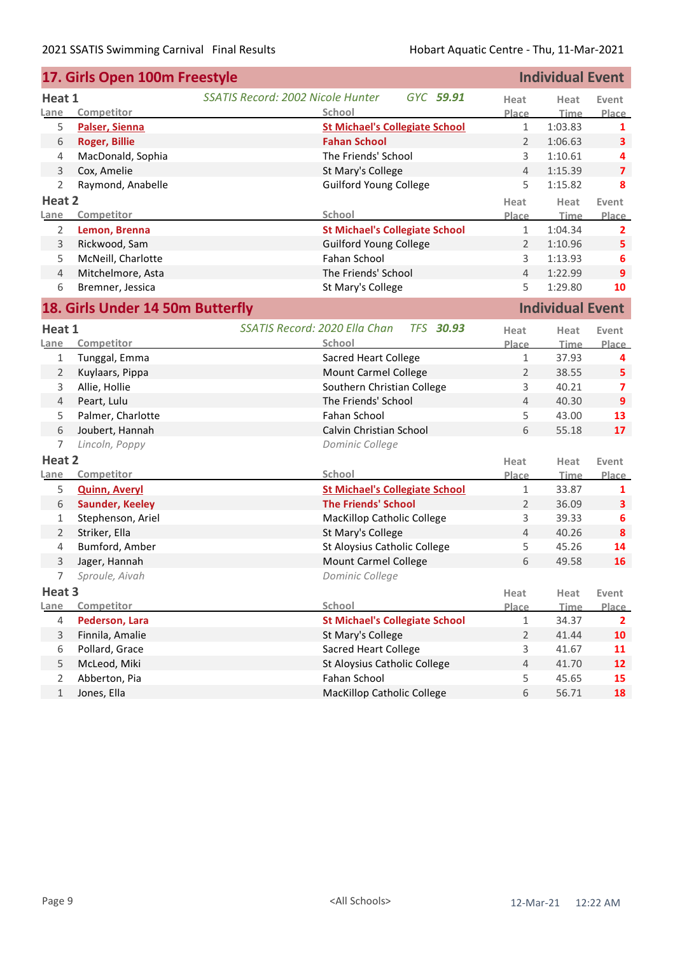| <b>Individual Event</b><br>17. Girls Open 100m Freestyle |                                  |                                                       |                |                         |                         |
|----------------------------------------------------------|----------------------------------|-------------------------------------------------------|----------------|-------------------------|-------------------------|
| Heat 1                                                   |                                  | <b>SSATIS Record: 2002 Nicole Hunter</b><br>GYC 59.91 | Heat           | Heat                    | Event                   |
| Lane                                                     | Competitor                       | School                                                | Place          | <b>Time</b>             | Place                   |
| 5                                                        | Palser, Sienna                   | <b>St Michael's Collegiate School</b>                 | $\mathbf{1}$   | 1:03.83                 | 1                       |
| 6                                                        | <b>Roger, Billie</b>             | <b>Fahan School</b>                                   | $\overline{2}$ | 1:06.63                 | $\overline{\mathbf{3}}$ |
| 4                                                        | MacDonald, Sophia                | The Friends' School                                   | 3              | 1:10.61                 | 4                       |
| 3                                                        | Cox, Amelie                      | St Mary's College                                     | 4              | 1:15.39                 | $\overline{\mathbf{z}}$ |
| 2                                                        | Raymond, Anabelle                | <b>Guilford Young College</b>                         | 5              | 1:15.82                 | 8                       |
| Heat 2                                                   |                                  |                                                       | Heat           | Heat                    | Event                   |
| Lane                                                     | Competitor                       | School                                                | Place          | <b>Time</b>             | Place                   |
| $\overline{2}$                                           | Lemon, Brenna                    | <b>St Michael's Collegiate School</b>                 | $\mathbf{1}$   | 1:04.34                 | $\overline{2}$          |
| $\mathsf{3}$                                             | Rickwood, Sam                    | <b>Guilford Young College</b>                         | $\overline{2}$ | 1:10.96                 | 5                       |
| 5                                                        | McNeill, Charlotte               | Fahan School                                          | 3              | 1:13.93                 | 6                       |
| $\overline{4}$                                           | Mitchelmore, Asta                | The Friends' School                                   | $\overline{4}$ | 1:22.99                 | 9                       |
| 6                                                        | Bremner, Jessica                 | St Mary's College                                     | 5              | 1:29.80                 | 10                      |
|                                                          | 18. Girls Under 14 50m Butterfly |                                                       |                | <b>Individual Event</b> |                         |
| Heat 1                                                   |                                  | SSATIS Record: 2020 Ella Chan<br><b>TFS 30.93</b>     | Heat           | Heat                    | Event                   |
| Lane                                                     | Competitor                       | School                                                | Place          | Time                    | <b>Place</b>            |
| 1                                                        | Tunggal, Emma                    | <b>Sacred Heart College</b>                           | $\mathbf{1}$   | 37.93                   | 4                       |
| $\overline{2}$                                           | Kuylaars, Pippa                  | <b>Mount Carmel College</b>                           | 2              | 38.55                   | 5                       |
| 3                                                        | Allie, Hollie                    | Southern Christian College                            | 3              | 40.21                   | $\overline{ }$          |
| $\overline{4}$                                           | Peart, Lulu                      | The Friends' School                                   | 4              | 40.30                   | 9                       |
| 5                                                        | Palmer, Charlotte                | Fahan School                                          | 5              | 43.00                   | 13                      |
| 6                                                        | Joubert, Hannah                  | Calvin Christian School                               | 6              | 55.18                   | 17                      |
| $\overline{7}$                                           | Lincoln, Poppy                   | Dominic College                                       |                |                         |                         |
| Heat 2                                                   |                                  |                                                       | Heat           | Heat                    | Event                   |
| Lane                                                     | Competitor                       | School                                                | Place          | <u>Time</u>             | Place                   |
| 5                                                        | <b>Quinn, Averyl</b>             | <b>St Michael's Collegiate School</b>                 | 1              | 33.87                   | 1                       |
| 6                                                        | <b>Saunder, Keeley</b>           | <b>The Friends' School</b>                            | $\overline{2}$ | 36.09                   | 3                       |
| 1                                                        | Stephenson, Ariel                | <b>MacKillop Catholic College</b>                     | 3              | 39.33                   | 6                       |
| $\overline{2}$                                           | Striker, Ella                    | St Mary's College                                     | $\overline{4}$ | 40.26                   | 8                       |
| 4                                                        | Bumford, Amber                   | St Aloysius Catholic College                          | 5              | 45.26                   | 14                      |
| 3                                                        | Jager, Hannah                    | Mount Carmel College                                  | 6              | 49.58                   | 16                      |
|                                                          | 7<br>Sproule, Aivah              | Dominic College                                       |                |                         |                         |
| Heat 3                                                   |                                  |                                                       | Heat           | Heat                    | Event                   |
| Lane                                                     | Competitor                       | School                                                | Place          | Time                    | Place                   |
| $\overline{4}$                                           | Pederson, Lara                   | <b>St Michael's Collegiate School</b>                 | 1              | 34.37                   | $\mathbf{2}$            |
| $\mathsf{3}$                                             | Finnila, Amalie                  | St Mary's College                                     | $\overline{2}$ | 41.44                   | 10                      |
| 6                                                        | Pollard, Grace                   | <b>Sacred Heart College</b>                           | 3              | 41.67                   | 11                      |
| 5                                                        | McLeod, Miki                     | St Aloysius Catholic College                          | $\overline{4}$ | 41.70                   | 12                      |
| $\overline{2}$                                           | Abberton, Pia                    | Fahan School                                          | 5              | 45.65                   | 15                      |
| $\mathbf{1}$                                             | Jones, Ella                      | MacKillop Catholic College                            | 6              | 56.71                   | 18                      |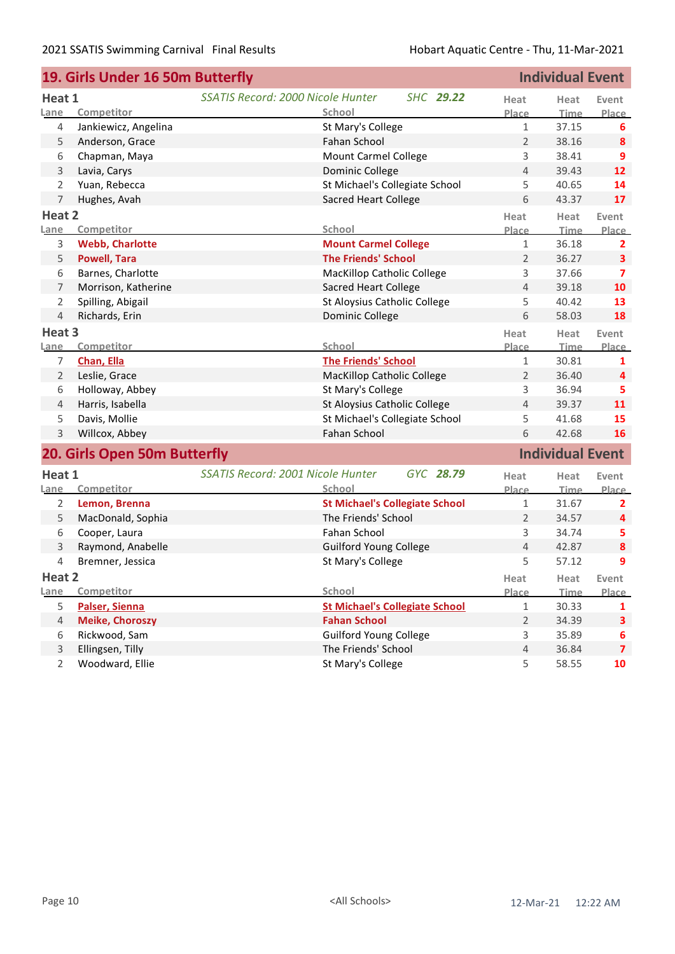| <b>Individual Event</b><br>19. Girls Under 16 50m Butterfly |                              |                                                       |                |                         |                         |
|-------------------------------------------------------------|------------------------------|-------------------------------------------------------|----------------|-------------------------|-------------------------|
| Heat 1                                                      |                              | <b>SSATIS Record: 2000 Nicole Hunter</b><br>SHC 29.22 | Heat           | Heat                    | Event                   |
| Lane                                                        | Competitor                   | School                                                | Place          | <b>Time</b>             | Place                   |
| 4                                                           | Jankiewicz, Angelina         | St Mary's College                                     | 1              | 37.15                   | 6                       |
| 5                                                           | Anderson, Grace              | <b>Fahan School</b>                                   | $\overline{2}$ | 38.16                   | 8                       |
| 6                                                           | Chapman, Maya                | <b>Mount Carmel College</b>                           | 3              | 38.41                   | 9                       |
| 3                                                           | Lavia, Carys                 | Dominic College                                       | $\overline{4}$ | 39.43                   | 12                      |
| 2                                                           | Yuan, Rebecca                | St Michael's Collegiate School                        | 5              | 40.65                   | 14                      |
| $\overline{7}$                                              | Hughes, Avah                 | Sacred Heart College                                  | 6              | 43.37                   | 17                      |
| Heat 2                                                      |                              |                                                       | Heat           | Heat                    | Event                   |
| Lane                                                        | Competitor                   | <b>School</b>                                         | Place          | <b>Time</b>             | Place                   |
| 3                                                           | <b>Webb, Charlotte</b>       | <b>Mount Carmel College</b>                           | $\mathbf{1}$   | 36.18                   | $\overline{2}$          |
| 5                                                           | <b>Powell, Tara</b>          | <b>The Friends' School</b>                            | $\overline{2}$ | 36.27                   | $\overline{\mathbf{3}}$ |
| 6                                                           | Barnes, Charlotte            | <b>MacKillop Catholic College</b>                     | 3              | 37.66                   | 7                       |
| 7                                                           | Morrison, Katherine          | <b>Sacred Heart College</b>                           | $\overline{4}$ | 39.18                   | 10                      |
| 2                                                           | Spilling, Abigail            | St Aloysius Catholic College                          | 5              | 40.42                   | 13                      |
| 4                                                           | Richards, Erin               | Dominic College                                       | 6              | 58.03                   | 18                      |
| Heat 3                                                      |                              |                                                       | Heat           | Heat                    | Event                   |
| <u>Lane</u>                                                 | Competitor                   | School                                                | Place          | <b>Time</b>             | Place                   |
| 7                                                           | Chan, Ella                   | <b>The Friends' School</b>                            | $\mathbf 1$    | 30.81                   | 1                       |
| 2                                                           | Leslie, Grace                | MacKillop Catholic College                            | $\overline{2}$ | 36.40                   | 4                       |
| 6                                                           | Holloway, Abbey              | St Mary's College                                     | 3              | 36.94                   | 5                       |
| 4                                                           | Harris, Isabella             | St Aloysius Catholic College                          | $\overline{4}$ | 39.37                   | 11                      |
| 5                                                           | Davis, Mollie                | St Michael's Collegiate School                        | 5              | 41.68                   | 15                      |
| 3                                                           | Willcox, Abbey               | Fahan School                                          | 6              | 42.68                   | 16                      |
|                                                             | 20. Girls Open 50m Butterfly |                                                       |                | <b>Individual Event</b> |                         |
| Heat 1                                                      |                              | SSATIS Record: 2001 Nicole Hunter<br>GYC 28.79        | Heat           | Heat                    | Event                   |
| Lane                                                        | Competitor                   | School                                                | Place          | <u>Time.</u>            | <b>Place</b>            |
| 2                                                           | Lemon, Brenna                | <b>St Michael's Collegiate School</b>                 | $\mathbf{1}$   | 31.67                   | $\overline{2}$          |
| 5                                                           | MacDonald, Sophia            | The Friends' School                                   | 2              | 34.57                   | 4                       |
| 6                                                           | Cooper, Laura                | Fahan School                                          | 3              | 34.74                   | 5                       |
| 3                                                           | Raymond, Anabelle            | <b>Guilford Young College</b>                         | 4              | 42.87                   | $\pmb{8}$               |
| 4                                                           | Bremner, Jessica             | St Mary's College                                     | 5              | 57.12                   | 9                       |
| Heat 2                                                      |                              |                                                       | Heat           | Heat                    | Event                   |
| Lane                                                        | Competitor                   | School                                                | Place          | Time                    | Place                   |
| 5                                                           | Palser, Sienna               | <b>St Michael's Collegiate School</b>                 | 1              | 30.33                   | 1                       |
| 4                                                           | <b>Meike, Choroszy</b>       | <b>Fahan School</b>                                   | $\overline{2}$ | 34.39                   | $\mathbf{3}$            |
| 6                                                           | Rickwood, Sam                | <b>Guilford Young College</b>                         | 3              | 35.89                   | 6                       |
| 3                                                           | Ellingsen, Tilly             | The Friends' School                                   | $\overline{4}$ | 36.84                   | $\overline{7}$          |
| $\overline{2}$                                              | Woodward, Ellie              | St Mary's College                                     | 5              | 58.55                   | 10                      |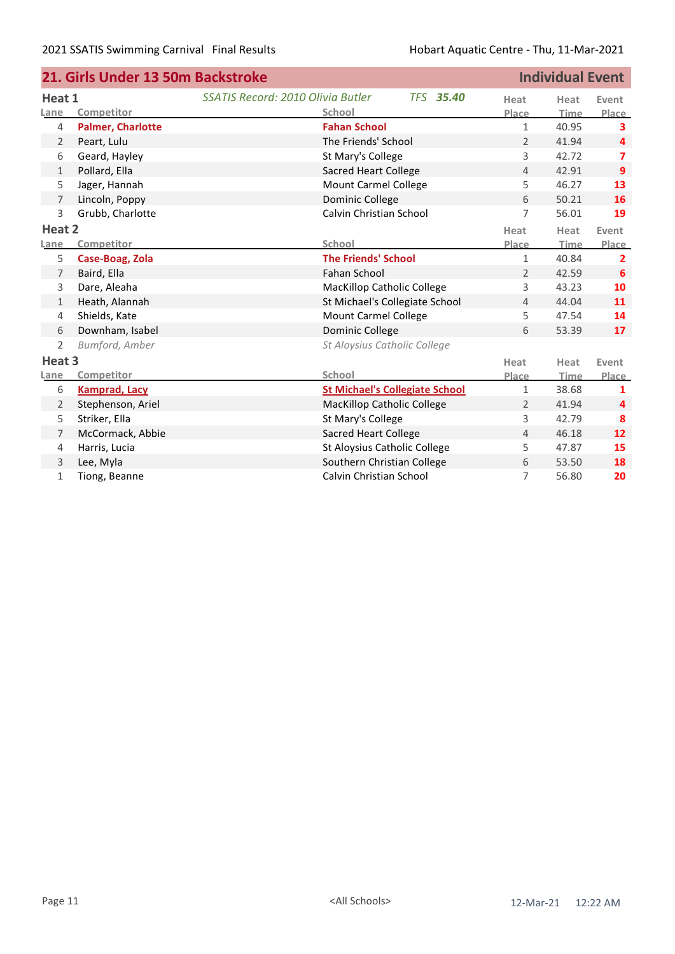|                   | 21. Girls Under 13 50m Backstroke |                                          | <b>Individual Event</b>               |                |             |                |
|-------------------|-----------------------------------|------------------------------------------|---------------------------------------|----------------|-------------|----------------|
| Heat 1            |                                   | <b>SSATIS Record: 2010 Olivia Butler</b> | <b>TFS 35.40</b>                      | Heat           | Heat        | Event          |
| Lane              | Competitor                        | School                                   |                                       | Place          | Time        | Place          |
| $\overline{4}$    | <b>Palmer, Charlotte</b>          | <b>Fahan School</b>                      |                                       | $\mathbf{1}$   | 40.95       | 3              |
| 2                 | Peart, Lulu                       | The Friends' School                      |                                       | 2              | 41.94       | 4              |
| 6                 | Geard, Hayley                     | St Mary's College                        |                                       | 3              | 42.72       | 7              |
| 1                 | Pollard, Ella                     | Sacred Heart College                     |                                       | 4              | 42.91       | 9              |
| 5                 | Jager, Hannah                     | <b>Mount Carmel College</b>              |                                       | 5              | 46.27       | 13             |
| $\overline{7}$    | Lincoln, Poppy                    | Dominic College                          |                                       | 6              | 50.21       | 16             |
| 3                 | Grubb, Charlotte                  | Calvin Christian School                  |                                       | 7              | 56.01       | 19             |
| Heat 2            |                                   |                                          |                                       | Heat           | Heat        | Event          |
| Lane              | Competitor                        | School                                   |                                       | Place          | <b>Time</b> | Place          |
| 5                 | Case-Boag, Zola                   | <b>The Friends' School</b>               |                                       | $\mathbf{1}$   | 40.84       | $\overline{2}$ |
| 7                 | Baird, Ella                       | Fahan School                             |                                       | $\overline{2}$ | 42.59       | 6              |
| 3                 | Dare, Aleaha                      | MacKillop Catholic College               |                                       | 3              | 43.23       | 10             |
| 1                 | Heath, Alannah                    | St Michael's Collegiate School           |                                       | 4              | 44.04       | 11             |
| $\overline{4}$    | Shields, Kate                     | <b>Mount Carmel College</b>              |                                       | 5              | 47.54       | 14             |
| $\,$ 6 $\,$       | Downham, Isabel                   | Dominic College                          |                                       | 6              | 53.39       | 17             |
| 2                 | Bumford, Amber                    | St Aloysius Catholic College             |                                       |                |             |                |
| Heat <sub>3</sub> |                                   |                                          |                                       | Heat           | Heat        | Event          |
| Lane              | Competitor                        | <b>School</b>                            |                                       | Place          | Time        | Place          |
| 6                 | <b>Kamprad, Lacy</b>              |                                          | <b>St Michael's Collegiate School</b> | 1              | 38.68       | 1              |
| 2                 | Stephenson, Ariel                 | MacKillop Catholic College               |                                       | 2              | 41.94       | 4              |
| 5                 | Striker, Ella                     | St Mary's College                        |                                       | 3              | 42.79       | 8              |
| 7                 | McCormack, Abbie                  | <b>Sacred Heart College</b>              |                                       | $\overline{4}$ | 46.18       | 12             |
| 4                 | Harris, Lucia                     | St Aloysius Catholic College             |                                       | 5              | 47.87       | 15             |
| 3                 | Lee, Myla                         | Southern Christian College               |                                       | 6              | 53.50       | 18             |
| $\mathbf{1}$      | Tiong, Beanne                     | Calvin Christian School                  |                                       | 7              | 56.80       | 20             |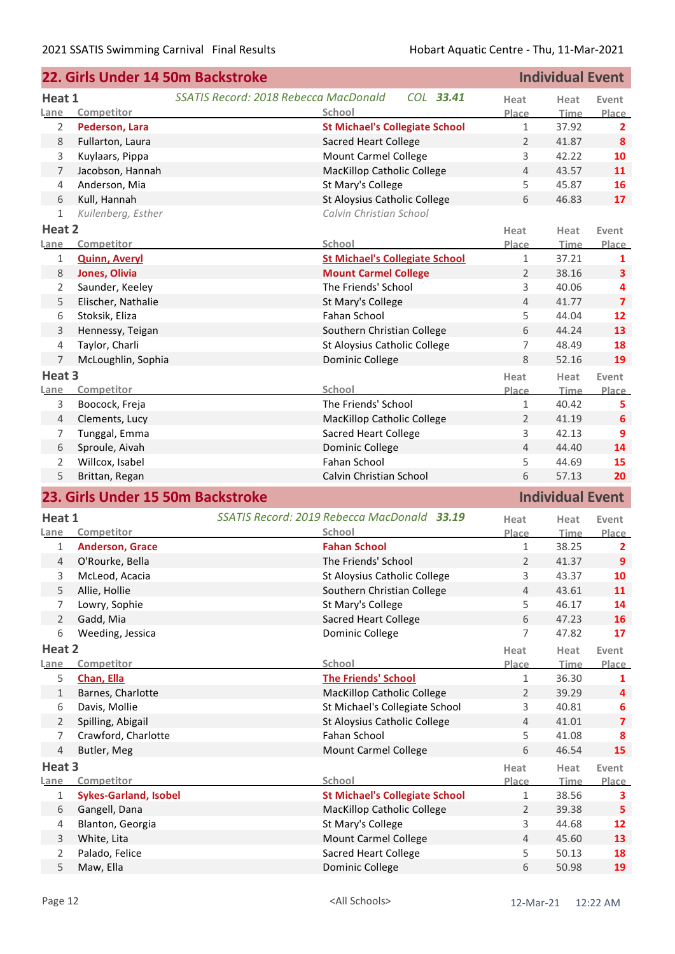| SSATIS Record: 2018 Rebecca MacDonald<br>COL 33.41<br>Heat 1<br>Heat<br>Heat<br>Event<br>Lane<br>Competitor<br>School<br>Place<br><b>Time</b><br><b>Place</b><br><b>St Michael's Collegiate School</b><br>$\mathbf{1}$<br>37.92<br>2<br>Pederson, Lara<br>$\mathbf{2}$<br>$\overline{2}$<br>8<br>Fullarton, Laura<br><b>Sacred Heart College</b><br>41.87<br>8<br><b>Mount Carmel College</b><br>3<br>3<br>Kuylaars, Pippa<br>42.22<br>10<br>$\overline{4}$<br>Jacobson, Hannah<br>MacKillop Catholic College<br>43.57<br>11<br>7<br>5<br>Anderson, Mia<br>St Mary's College<br>45.87<br>16<br>4<br>St Aloysius Catholic College<br>6<br>6<br>Kull, Hannah<br>46.83<br>17<br>Kuilenberg, Esther<br>Calvin Christian School<br>$\mathbf{1}$<br>Heat 2<br>Heat<br>Heat<br>Event<br>Competitor<br><b>School</b><br>Place<br><b>Time</b><br>Place<br><b>Quinn, Averyl</b><br><b>St Michael's Collegiate School</b><br>$\mathbf{1}$<br>37.21<br>1<br>1<br>$\overline{2}$<br>8<br>Jones, Olivia<br><b>Mount Carmel College</b><br>38.16<br>$\mathbf{3}$<br>3<br>Saunder, Keeley<br>The Friends' School<br>40.06<br>2<br>4<br>$\overline{4}$<br>Elischer, Nathalie<br>5<br>St Mary's College<br>41.77<br>$\overline{7}$<br>5<br>Fahan School<br>12<br>6<br>Stoksik, Eliza<br>44.04<br>6<br>3<br>Hennessy, Teigan<br>Southern Christian College<br>44.24<br>13<br>$\overline{7}$<br>48.49<br>Taylor, Charli<br>St Aloysius Catholic College<br>18<br>4<br>Dominic College<br>8<br>7<br>McLoughlin, Sophia<br>52.16<br>19<br>Heat 3<br>Heat<br>Heat<br>Event<br>School<br>Competitor<br>Time<br>Place<br>Place<br>The Friends' School<br>40.42<br>3<br>Boocock, Freja<br>$\mathbf{1}$<br>5.<br>MacKillop Catholic College<br>2<br>41.19<br>4<br>Clements, Lucy<br>6<br>3<br>42.13<br>Tunggal, Emma<br><b>Sacred Heart College</b><br>9<br>7<br>Dominic College<br>$\overline{4}$<br>6<br>Sproule, Aivah<br>44.40<br>14<br>Willcox, Isabel<br>Fahan School<br>5<br>2<br>44.69<br>15<br>6<br>5<br>Brittan, Regan<br>Calvin Christian School<br>57.13<br>20<br><b>Individual Event</b><br>23. Girls Under 15 50m Backstroke<br>SSATIS Record: 2019 Rebecca MacDonald 33.19<br>Heat 1<br>Heat<br>Event<br>Heat<br>Competitor<br>School<br>Place<br>Time<br>Place<br><b>Fahan School</b><br><b>Anderson, Grace</b><br>$\mathbf{1}$<br>38.25<br>1<br>2<br>The Friends' School<br>$\overline{2}$<br>O'Rourke, Bella<br>41.37<br>9<br>4<br>3<br>43.37<br>10<br>3<br>St Aloysius Catholic College<br>McLeod, Acacia<br>Southern Christian College<br>43.61<br>5<br>Allie, Hollie<br>$\overline{4}$<br>11<br>46.17<br>Lowry, Sophie<br>St Mary's College<br>5<br>14<br>7<br>6<br>$\overline{2}$<br>Gadd, Mia<br><b>Sacred Heart College</b><br>16<br>47.23<br>7<br>6<br>Weeding, Jessica<br>Dominic College<br>47.82<br>17<br>Heat 2<br>Heat<br>Heat<br>Event<br>School<br>Competitor<br>Lane<br>Place<br>Time<br>5<br><b>The Friends' School</b><br>Chan, Ella<br>1<br>36.30<br>1<br>$\overline{2}$<br>Barnes, Charlotte<br>MacKillop Catholic College<br>39.29<br>1<br>4<br>St Michael's Collegiate School<br>3<br>6<br>Davis, Mollie<br>40.81<br>6<br>St Aloysius Catholic College<br>Spilling, Abigail<br>$\overline{4}$<br>41.01<br>2<br>$\overline{\mathbf{z}}$<br>Fahan School<br>5<br>Crawford, Charlotte<br>41.08<br>7<br>8<br><b>Mount Carmel College</b><br>6<br>4<br>Butler, Meg<br>46.54<br>15<br>Heat 3<br>Heat<br>Heat<br>Event<br>School<br>Competitor<br>Lane<br>Place<br>Time<br>Place<br><b>St Michael's Collegiate School</b><br><b>Sykes-Garland, Isobel</b><br>$\mathbf{1}$<br>38.56<br>1<br>3<br>MacKillop Catholic College<br>2<br>39.38<br>6<br>Gangell, Dana<br>5<br>St Mary's College<br>Blanton, Georgia<br>3<br>44.68<br>12<br>4<br><b>Mount Carmel College</b><br>3<br>White, Lita<br>$\overline{4}$<br>45.60<br>13<br>Palado, Felice<br><b>Sacred Heart College</b><br>5<br>$\overline{2}$<br>50.13<br>18<br>5<br>Maw, Ella<br>Dominic College<br>6<br>50.98<br>19 |      | 22. Girls Under 14 50m Backstroke |  | <b>Individual Event</b> |  |
|--------------------------------------------------------------------------------------------------------------------------------------------------------------------------------------------------------------------------------------------------------------------------------------------------------------------------------------------------------------------------------------------------------------------------------------------------------------------------------------------------------------------------------------------------------------------------------------------------------------------------------------------------------------------------------------------------------------------------------------------------------------------------------------------------------------------------------------------------------------------------------------------------------------------------------------------------------------------------------------------------------------------------------------------------------------------------------------------------------------------------------------------------------------------------------------------------------------------------------------------------------------------------------------------------------------------------------------------------------------------------------------------------------------------------------------------------------------------------------------------------------------------------------------------------------------------------------------------------------------------------------------------------------------------------------------------------------------------------------------------------------------------------------------------------------------------------------------------------------------------------------------------------------------------------------------------------------------------------------------------------------------------------------------------------------------------------------------------------------------------------------------------------------------------------------------------------------------------------------------------------------------------------------------------------------------------------------------------------------------------------------------------------------------------------------------------------------------------------------------------------------------------------------------------------------------------------------------------------------------------------------------------------------------------------------------------------------------------------------------------------------------------------------------------------------------------------------------------------------------------------------------------------------------------------------------------------------------------------------------------------------------------------------------------------------------------------------------------------------------------------------------------------------------------------------------------------------------------------------------------------------------------------------------------------------------------------------------------------------------------------------------------------------------------------------------------------------------------------------------------------------------------------------------------------------------------------------------------------------------------------------------------------------------------------------------------------------------------------------------------------------------------------------------------------------------------------------------------------------------------------------------------------------------------------------------------------------------------------------|------|-----------------------------------|--|-------------------------|--|
|                                                                                                                                                                                                                                                                                                                                                                                                                                                                                                                                                                                                                                                                                                                                                                                                                                                                                                                                                                                                                                                                                                                                                                                                                                                                                                                                                                                                                                                                                                                                                                                                                                                                                                                                                                                                                                                                                                                                                                                                                                                                                                                                                                                                                                                                                                                                                                                                                                                                                                                                                                                                                                                                                                                                                                                                                                                                                                                                                                                                                                                                                                                                                                                                                                                                                                                                                                                                                                                                                                                                                                                                                                                                                                                                                                                                                                                                                                                                                                                |      |                                   |  |                         |  |
|                                                                                                                                                                                                                                                                                                                                                                                                                                                                                                                                                                                                                                                                                                                                                                                                                                                                                                                                                                                                                                                                                                                                                                                                                                                                                                                                                                                                                                                                                                                                                                                                                                                                                                                                                                                                                                                                                                                                                                                                                                                                                                                                                                                                                                                                                                                                                                                                                                                                                                                                                                                                                                                                                                                                                                                                                                                                                                                                                                                                                                                                                                                                                                                                                                                                                                                                                                                                                                                                                                                                                                                                                                                                                                                                                                                                                                                                                                                                                                                |      |                                   |  |                         |  |
|                                                                                                                                                                                                                                                                                                                                                                                                                                                                                                                                                                                                                                                                                                                                                                                                                                                                                                                                                                                                                                                                                                                                                                                                                                                                                                                                                                                                                                                                                                                                                                                                                                                                                                                                                                                                                                                                                                                                                                                                                                                                                                                                                                                                                                                                                                                                                                                                                                                                                                                                                                                                                                                                                                                                                                                                                                                                                                                                                                                                                                                                                                                                                                                                                                                                                                                                                                                                                                                                                                                                                                                                                                                                                                                                                                                                                                                                                                                                                                                |      |                                   |  |                         |  |
|                                                                                                                                                                                                                                                                                                                                                                                                                                                                                                                                                                                                                                                                                                                                                                                                                                                                                                                                                                                                                                                                                                                                                                                                                                                                                                                                                                                                                                                                                                                                                                                                                                                                                                                                                                                                                                                                                                                                                                                                                                                                                                                                                                                                                                                                                                                                                                                                                                                                                                                                                                                                                                                                                                                                                                                                                                                                                                                                                                                                                                                                                                                                                                                                                                                                                                                                                                                                                                                                                                                                                                                                                                                                                                                                                                                                                                                                                                                                                                                |      |                                   |  |                         |  |
|                                                                                                                                                                                                                                                                                                                                                                                                                                                                                                                                                                                                                                                                                                                                                                                                                                                                                                                                                                                                                                                                                                                                                                                                                                                                                                                                                                                                                                                                                                                                                                                                                                                                                                                                                                                                                                                                                                                                                                                                                                                                                                                                                                                                                                                                                                                                                                                                                                                                                                                                                                                                                                                                                                                                                                                                                                                                                                                                                                                                                                                                                                                                                                                                                                                                                                                                                                                                                                                                                                                                                                                                                                                                                                                                                                                                                                                                                                                                                                                |      |                                   |  |                         |  |
|                                                                                                                                                                                                                                                                                                                                                                                                                                                                                                                                                                                                                                                                                                                                                                                                                                                                                                                                                                                                                                                                                                                                                                                                                                                                                                                                                                                                                                                                                                                                                                                                                                                                                                                                                                                                                                                                                                                                                                                                                                                                                                                                                                                                                                                                                                                                                                                                                                                                                                                                                                                                                                                                                                                                                                                                                                                                                                                                                                                                                                                                                                                                                                                                                                                                                                                                                                                                                                                                                                                                                                                                                                                                                                                                                                                                                                                                                                                                                                                |      |                                   |  |                         |  |
|                                                                                                                                                                                                                                                                                                                                                                                                                                                                                                                                                                                                                                                                                                                                                                                                                                                                                                                                                                                                                                                                                                                                                                                                                                                                                                                                                                                                                                                                                                                                                                                                                                                                                                                                                                                                                                                                                                                                                                                                                                                                                                                                                                                                                                                                                                                                                                                                                                                                                                                                                                                                                                                                                                                                                                                                                                                                                                                                                                                                                                                                                                                                                                                                                                                                                                                                                                                                                                                                                                                                                                                                                                                                                                                                                                                                                                                                                                                                                                                |      |                                   |  |                         |  |
|                                                                                                                                                                                                                                                                                                                                                                                                                                                                                                                                                                                                                                                                                                                                                                                                                                                                                                                                                                                                                                                                                                                                                                                                                                                                                                                                                                                                                                                                                                                                                                                                                                                                                                                                                                                                                                                                                                                                                                                                                                                                                                                                                                                                                                                                                                                                                                                                                                                                                                                                                                                                                                                                                                                                                                                                                                                                                                                                                                                                                                                                                                                                                                                                                                                                                                                                                                                                                                                                                                                                                                                                                                                                                                                                                                                                                                                                                                                                                                                |      |                                   |  |                         |  |
|                                                                                                                                                                                                                                                                                                                                                                                                                                                                                                                                                                                                                                                                                                                                                                                                                                                                                                                                                                                                                                                                                                                                                                                                                                                                                                                                                                                                                                                                                                                                                                                                                                                                                                                                                                                                                                                                                                                                                                                                                                                                                                                                                                                                                                                                                                                                                                                                                                                                                                                                                                                                                                                                                                                                                                                                                                                                                                                                                                                                                                                                                                                                                                                                                                                                                                                                                                                                                                                                                                                                                                                                                                                                                                                                                                                                                                                                                                                                                                                |      |                                   |  |                         |  |
|                                                                                                                                                                                                                                                                                                                                                                                                                                                                                                                                                                                                                                                                                                                                                                                                                                                                                                                                                                                                                                                                                                                                                                                                                                                                                                                                                                                                                                                                                                                                                                                                                                                                                                                                                                                                                                                                                                                                                                                                                                                                                                                                                                                                                                                                                                                                                                                                                                                                                                                                                                                                                                                                                                                                                                                                                                                                                                                                                                                                                                                                                                                                                                                                                                                                                                                                                                                                                                                                                                                                                                                                                                                                                                                                                                                                                                                                                                                                                                                |      |                                   |  |                         |  |
|                                                                                                                                                                                                                                                                                                                                                                                                                                                                                                                                                                                                                                                                                                                                                                                                                                                                                                                                                                                                                                                                                                                                                                                                                                                                                                                                                                                                                                                                                                                                                                                                                                                                                                                                                                                                                                                                                                                                                                                                                                                                                                                                                                                                                                                                                                                                                                                                                                                                                                                                                                                                                                                                                                                                                                                                                                                                                                                                                                                                                                                                                                                                                                                                                                                                                                                                                                                                                                                                                                                                                                                                                                                                                                                                                                                                                                                                                                                                                                                | Lane |                                   |  |                         |  |
|                                                                                                                                                                                                                                                                                                                                                                                                                                                                                                                                                                                                                                                                                                                                                                                                                                                                                                                                                                                                                                                                                                                                                                                                                                                                                                                                                                                                                                                                                                                                                                                                                                                                                                                                                                                                                                                                                                                                                                                                                                                                                                                                                                                                                                                                                                                                                                                                                                                                                                                                                                                                                                                                                                                                                                                                                                                                                                                                                                                                                                                                                                                                                                                                                                                                                                                                                                                                                                                                                                                                                                                                                                                                                                                                                                                                                                                                                                                                                                                |      |                                   |  |                         |  |
|                                                                                                                                                                                                                                                                                                                                                                                                                                                                                                                                                                                                                                                                                                                                                                                                                                                                                                                                                                                                                                                                                                                                                                                                                                                                                                                                                                                                                                                                                                                                                                                                                                                                                                                                                                                                                                                                                                                                                                                                                                                                                                                                                                                                                                                                                                                                                                                                                                                                                                                                                                                                                                                                                                                                                                                                                                                                                                                                                                                                                                                                                                                                                                                                                                                                                                                                                                                                                                                                                                                                                                                                                                                                                                                                                                                                                                                                                                                                                                                |      |                                   |  |                         |  |
|                                                                                                                                                                                                                                                                                                                                                                                                                                                                                                                                                                                                                                                                                                                                                                                                                                                                                                                                                                                                                                                                                                                                                                                                                                                                                                                                                                                                                                                                                                                                                                                                                                                                                                                                                                                                                                                                                                                                                                                                                                                                                                                                                                                                                                                                                                                                                                                                                                                                                                                                                                                                                                                                                                                                                                                                                                                                                                                                                                                                                                                                                                                                                                                                                                                                                                                                                                                                                                                                                                                                                                                                                                                                                                                                                                                                                                                                                                                                                                                |      |                                   |  |                         |  |
|                                                                                                                                                                                                                                                                                                                                                                                                                                                                                                                                                                                                                                                                                                                                                                                                                                                                                                                                                                                                                                                                                                                                                                                                                                                                                                                                                                                                                                                                                                                                                                                                                                                                                                                                                                                                                                                                                                                                                                                                                                                                                                                                                                                                                                                                                                                                                                                                                                                                                                                                                                                                                                                                                                                                                                                                                                                                                                                                                                                                                                                                                                                                                                                                                                                                                                                                                                                                                                                                                                                                                                                                                                                                                                                                                                                                                                                                                                                                                                                |      |                                   |  |                         |  |
|                                                                                                                                                                                                                                                                                                                                                                                                                                                                                                                                                                                                                                                                                                                                                                                                                                                                                                                                                                                                                                                                                                                                                                                                                                                                                                                                                                                                                                                                                                                                                                                                                                                                                                                                                                                                                                                                                                                                                                                                                                                                                                                                                                                                                                                                                                                                                                                                                                                                                                                                                                                                                                                                                                                                                                                                                                                                                                                                                                                                                                                                                                                                                                                                                                                                                                                                                                                                                                                                                                                                                                                                                                                                                                                                                                                                                                                                                                                                                                                |      |                                   |  |                         |  |
|                                                                                                                                                                                                                                                                                                                                                                                                                                                                                                                                                                                                                                                                                                                                                                                                                                                                                                                                                                                                                                                                                                                                                                                                                                                                                                                                                                                                                                                                                                                                                                                                                                                                                                                                                                                                                                                                                                                                                                                                                                                                                                                                                                                                                                                                                                                                                                                                                                                                                                                                                                                                                                                                                                                                                                                                                                                                                                                                                                                                                                                                                                                                                                                                                                                                                                                                                                                                                                                                                                                                                                                                                                                                                                                                                                                                                                                                                                                                                                                |      |                                   |  |                         |  |
|                                                                                                                                                                                                                                                                                                                                                                                                                                                                                                                                                                                                                                                                                                                                                                                                                                                                                                                                                                                                                                                                                                                                                                                                                                                                                                                                                                                                                                                                                                                                                                                                                                                                                                                                                                                                                                                                                                                                                                                                                                                                                                                                                                                                                                                                                                                                                                                                                                                                                                                                                                                                                                                                                                                                                                                                                                                                                                                                                                                                                                                                                                                                                                                                                                                                                                                                                                                                                                                                                                                                                                                                                                                                                                                                                                                                                                                                                                                                                                                |      |                                   |  |                         |  |
|                                                                                                                                                                                                                                                                                                                                                                                                                                                                                                                                                                                                                                                                                                                                                                                                                                                                                                                                                                                                                                                                                                                                                                                                                                                                                                                                                                                                                                                                                                                                                                                                                                                                                                                                                                                                                                                                                                                                                                                                                                                                                                                                                                                                                                                                                                                                                                                                                                                                                                                                                                                                                                                                                                                                                                                                                                                                                                                                                                                                                                                                                                                                                                                                                                                                                                                                                                                                                                                                                                                                                                                                                                                                                                                                                                                                                                                                                                                                                                                |      |                                   |  |                         |  |
|                                                                                                                                                                                                                                                                                                                                                                                                                                                                                                                                                                                                                                                                                                                                                                                                                                                                                                                                                                                                                                                                                                                                                                                                                                                                                                                                                                                                                                                                                                                                                                                                                                                                                                                                                                                                                                                                                                                                                                                                                                                                                                                                                                                                                                                                                                                                                                                                                                                                                                                                                                                                                                                                                                                                                                                                                                                                                                                                                                                                                                                                                                                                                                                                                                                                                                                                                                                                                                                                                                                                                                                                                                                                                                                                                                                                                                                                                                                                                                                |      |                                   |  |                         |  |
|                                                                                                                                                                                                                                                                                                                                                                                                                                                                                                                                                                                                                                                                                                                                                                                                                                                                                                                                                                                                                                                                                                                                                                                                                                                                                                                                                                                                                                                                                                                                                                                                                                                                                                                                                                                                                                                                                                                                                                                                                                                                                                                                                                                                                                                                                                                                                                                                                                                                                                                                                                                                                                                                                                                                                                                                                                                                                                                                                                                                                                                                                                                                                                                                                                                                                                                                                                                                                                                                                                                                                                                                                                                                                                                                                                                                                                                                                                                                                                                | Lane |                                   |  |                         |  |
|                                                                                                                                                                                                                                                                                                                                                                                                                                                                                                                                                                                                                                                                                                                                                                                                                                                                                                                                                                                                                                                                                                                                                                                                                                                                                                                                                                                                                                                                                                                                                                                                                                                                                                                                                                                                                                                                                                                                                                                                                                                                                                                                                                                                                                                                                                                                                                                                                                                                                                                                                                                                                                                                                                                                                                                                                                                                                                                                                                                                                                                                                                                                                                                                                                                                                                                                                                                                                                                                                                                                                                                                                                                                                                                                                                                                                                                                                                                                                                                |      |                                   |  |                         |  |
|                                                                                                                                                                                                                                                                                                                                                                                                                                                                                                                                                                                                                                                                                                                                                                                                                                                                                                                                                                                                                                                                                                                                                                                                                                                                                                                                                                                                                                                                                                                                                                                                                                                                                                                                                                                                                                                                                                                                                                                                                                                                                                                                                                                                                                                                                                                                                                                                                                                                                                                                                                                                                                                                                                                                                                                                                                                                                                                                                                                                                                                                                                                                                                                                                                                                                                                                                                                                                                                                                                                                                                                                                                                                                                                                                                                                                                                                                                                                                                                |      |                                   |  |                         |  |
|                                                                                                                                                                                                                                                                                                                                                                                                                                                                                                                                                                                                                                                                                                                                                                                                                                                                                                                                                                                                                                                                                                                                                                                                                                                                                                                                                                                                                                                                                                                                                                                                                                                                                                                                                                                                                                                                                                                                                                                                                                                                                                                                                                                                                                                                                                                                                                                                                                                                                                                                                                                                                                                                                                                                                                                                                                                                                                                                                                                                                                                                                                                                                                                                                                                                                                                                                                                                                                                                                                                                                                                                                                                                                                                                                                                                                                                                                                                                                                                |      |                                   |  |                         |  |
|                                                                                                                                                                                                                                                                                                                                                                                                                                                                                                                                                                                                                                                                                                                                                                                                                                                                                                                                                                                                                                                                                                                                                                                                                                                                                                                                                                                                                                                                                                                                                                                                                                                                                                                                                                                                                                                                                                                                                                                                                                                                                                                                                                                                                                                                                                                                                                                                                                                                                                                                                                                                                                                                                                                                                                                                                                                                                                                                                                                                                                                                                                                                                                                                                                                                                                                                                                                                                                                                                                                                                                                                                                                                                                                                                                                                                                                                                                                                                                                |      |                                   |  |                         |  |
|                                                                                                                                                                                                                                                                                                                                                                                                                                                                                                                                                                                                                                                                                                                                                                                                                                                                                                                                                                                                                                                                                                                                                                                                                                                                                                                                                                                                                                                                                                                                                                                                                                                                                                                                                                                                                                                                                                                                                                                                                                                                                                                                                                                                                                                                                                                                                                                                                                                                                                                                                                                                                                                                                                                                                                                                                                                                                                                                                                                                                                                                                                                                                                                                                                                                                                                                                                                                                                                                                                                                                                                                                                                                                                                                                                                                                                                                                                                                                                                |      |                                   |  |                         |  |
|                                                                                                                                                                                                                                                                                                                                                                                                                                                                                                                                                                                                                                                                                                                                                                                                                                                                                                                                                                                                                                                                                                                                                                                                                                                                                                                                                                                                                                                                                                                                                                                                                                                                                                                                                                                                                                                                                                                                                                                                                                                                                                                                                                                                                                                                                                                                                                                                                                                                                                                                                                                                                                                                                                                                                                                                                                                                                                                                                                                                                                                                                                                                                                                                                                                                                                                                                                                                                                                                                                                                                                                                                                                                                                                                                                                                                                                                                                                                                                                |      |                                   |  |                         |  |
|                                                                                                                                                                                                                                                                                                                                                                                                                                                                                                                                                                                                                                                                                                                                                                                                                                                                                                                                                                                                                                                                                                                                                                                                                                                                                                                                                                                                                                                                                                                                                                                                                                                                                                                                                                                                                                                                                                                                                                                                                                                                                                                                                                                                                                                                                                                                                                                                                                                                                                                                                                                                                                                                                                                                                                                                                                                                                                                                                                                                                                                                                                                                                                                                                                                                                                                                                                                                                                                                                                                                                                                                                                                                                                                                                                                                                                                                                                                                                                                |      |                                   |  |                         |  |
|                                                                                                                                                                                                                                                                                                                                                                                                                                                                                                                                                                                                                                                                                                                                                                                                                                                                                                                                                                                                                                                                                                                                                                                                                                                                                                                                                                                                                                                                                                                                                                                                                                                                                                                                                                                                                                                                                                                                                                                                                                                                                                                                                                                                                                                                                                                                                                                                                                                                                                                                                                                                                                                                                                                                                                                                                                                                                                                                                                                                                                                                                                                                                                                                                                                                                                                                                                                                                                                                                                                                                                                                                                                                                                                                                                                                                                                                                                                                                                                |      |                                   |  |                         |  |
|                                                                                                                                                                                                                                                                                                                                                                                                                                                                                                                                                                                                                                                                                                                                                                                                                                                                                                                                                                                                                                                                                                                                                                                                                                                                                                                                                                                                                                                                                                                                                                                                                                                                                                                                                                                                                                                                                                                                                                                                                                                                                                                                                                                                                                                                                                                                                                                                                                                                                                                                                                                                                                                                                                                                                                                                                                                                                                                                                                                                                                                                                                                                                                                                                                                                                                                                                                                                                                                                                                                                                                                                                                                                                                                                                                                                                                                                                                                                                                                | Lane |                                   |  |                         |  |
|                                                                                                                                                                                                                                                                                                                                                                                                                                                                                                                                                                                                                                                                                                                                                                                                                                                                                                                                                                                                                                                                                                                                                                                                                                                                                                                                                                                                                                                                                                                                                                                                                                                                                                                                                                                                                                                                                                                                                                                                                                                                                                                                                                                                                                                                                                                                                                                                                                                                                                                                                                                                                                                                                                                                                                                                                                                                                                                                                                                                                                                                                                                                                                                                                                                                                                                                                                                                                                                                                                                                                                                                                                                                                                                                                                                                                                                                                                                                                                                |      |                                   |  |                         |  |
|                                                                                                                                                                                                                                                                                                                                                                                                                                                                                                                                                                                                                                                                                                                                                                                                                                                                                                                                                                                                                                                                                                                                                                                                                                                                                                                                                                                                                                                                                                                                                                                                                                                                                                                                                                                                                                                                                                                                                                                                                                                                                                                                                                                                                                                                                                                                                                                                                                                                                                                                                                                                                                                                                                                                                                                                                                                                                                                                                                                                                                                                                                                                                                                                                                                                                                                                                                                                                                                                                                                                                                                                                                                                                                                                                                                                                                                                                                                                                                                |      |                                   |  |                         |  |
|                                                                                                                                                                                                                                                                                                                                                                                                                                                                                                                                                                                                                                                                                                                                                                                                                                                                                                                                                                                                                                                                                                                                                                                                                                                                                                                                                                                                                                                                                                                                                                                                                                                                                                                                                                                                                                                                                                                                                                                                                                                                                                                                                                                                                                                                                                                                                                                                                                                                                                                                                                                                                                                                                                                                                                                                                                                                                                                                                                                                                                                                                                                                                                                                                                                                                                                                                                                                                                                                                                                                                                                                                                                                                                                                                                                                                                                                                                                                                                                |      |                                   |  |                         |  |
|                                                                                                                                                                                                                                                                                                                                                                                                                                                                                                                                                                                                                                                                                                                                                                                                                                                                                                                                                                                                                                                                                                                                                                                                                                                                                                                                                                                                                                                                                                                                                                                                                                                                                                                                                                                                                                                                                                                                                                                                                                                                                                                                                                                                                                                                                                                                                                                                                                                                                                                                                                                                                                                                                                                                                                                                                                                                                                                                                                                                                                                                                                                                                                                                                                                                                                                                                                                                                                                                                                                                                                                                                                                                                                                                                                                                                                                                                                                                                                                |      |                                   |  |                         |  |
|                                                                                                                                                                                                                                                                                                                                                                                                                                                                                                                                                                                                                                                                                                                                                                                                                                                                                                                                                                                                                                                                                                                                                                                                                                                                                                                                                                                                                                                                                                                                                                                                                                                                                                                                                                                                                                                                                                                                                                                                                                                                                                                                                                                                                                                                                                                                                                                                                                                                                                                                                                                                                                                                                                                                                                                                                                                                                                                                                                                                                                                                                                                                                                                                                                                                                                                                                                                                                                                                                                                                                                                                                                                                                                                                                                                                                                                                                                                                                                                |      |                                   |  |                         |  |
|                                                                                                                                                                                                                                                                                                                                                                                                                                                                                                                                                                                                                                                                                                                                                                                                                                                                                                                                                                                                                                                                                                                                                                                                                                                                                                                                                                                                                                                                                                                                                                                                                                                                                                                                                                                                                                                                                                                                                                                                                                                                                                                                                                                                                                                                                                                                                                                                                                                                                                                                                                                                                                                                                                                                                                                                                                                                                                                                                                                                                                                                                                                                                                                                                                                                                                                                                                                                                                                                                                                                                                                                                                                                                                                                                                                                                                                                                                                                                                                |      |                                   |  |                         |  |
|                                                                                                                                                                                                                                                                                                                                                                                                                                                                                                                                                                                                                                                                                                                                                                                                                                                                                                                                                                                                                                                                                                                                                                                                                                                                                                                                                                                                                                                                                                                                                                                                                                                                                                                                                                                                                                                                                                                                                                                                                                                                                                                                                                                                                                                                                                                                                                                                                                                                                                                                                                                                                                                                                                                                                                                                                                                                                                                                                                                                                                                                                                                                                                                                                                                                                                                                                                                                                                                                                                                                                                                                                                                                                                                                                                                                                                                                                                                                                                                |      |                                   |  |                         |  |
| Place                                                                                                                                                                                                                                                                                                                                                                                                                                                                                                                                                                                                                                                                                                                                                                                                                                                                                                                                                                                                                                                                                                                                                                                                                                                                                                                                                                                                                                                                                                                                                                                                                                                                                                                                                                                                                                                                                                                                                                                                                                                                                                                                                                                                                                                                                                                                                                                                                                                                                                                                                                                                                                                                                                                                                                                                                                                                                                                                                                                                                                                                                                                                                                                                                                                                                                                                                                                                                                                                                                                                                                                                                                                                                                                                                                                                                                                                                                                                                                          |      |                                   |  |                         |  |
|                                                                                                                                                                                                                                                                                                                                                                                                                                                                                                                                                                                                                                                                                                                                                                                                                                                                                                                                                                                                                                                                                                                                                                                                                                                                                                                                                                                                                                                                                                                                                                                                                                                                                                                                                                                                                                                                                                                                                                                                                                                                                                                                                                                                                                                                                                                                                                                                                                                                                                                                                                                                                                                                                                                                                                                                                                                                                                                                                                                                                                                                                                                                                                                                                                                                                                                                                                                                                                                                                                                                                                                                                                                                                                                                                                                                                                                                                                                                                                                |      |                                   |  |                         |  |
|                                                                                                                                                                                                                                                                                                                                                                                                                                                                                                                                                                                                                                                                                                                                                                                                                                                                                                                                                                                                                                                                                                                                                                                                                                                                                                                                                                                                                                                                                                                                                                                                                                                                                                                                                                                                                                                                                                                                                                                                                                                                                                                                                                                                                                                                                                                                                                                                                                                                                                                                                                                                                                                                                                                                                                                                                                                                                                                                                                                                                                                                                                                                                                                                                                                                                                                                                                                                                                                                                                                                                                                                                                                                                                                                                                                                                                                                                                                                                                                |      |                                   |  |                         |  |
|                                                                                                                                                                                                                                                                                                                                                                                                                                                                                                                                                                                                                                                                                                                                                                                                                                                                                                                                                                                                                                                                                                                                                                                                                                                                                                                                                                                                                                                                                                                                                                                                                                                                                                                                                                                                                                                                                                                                                                                                                                                                                                                                                                                                                                                                                                                                                                                                                                                                                                                                                                                                                                                                                                                                                                                                                                                                                                                                                                                                                                                                                                                                                                                                                                                                                                                                                                                                                                                                                                                                                                                                                                                                                                                                                                                                                                                                                                                                                                                |      |                                   |  |                         |  |
|                                                                                                                                                                                                                                                                                                                                                                                                                                                                                                                                                                                                                                                                                                                                                                                                                                                                                                                                                                                                                                                                                                                                                                                                                                                                                                                                                                                                                                                                                                                                                                                                                                                                                                                                                                                                                                                                                                                                                                                                                                                                                                                                                                                                                                                                                                                                                                                                                                                                                                                                                                                                                                                                                                                                                                                                                                                                                                                                                                                                                                                                                                                                                                                                                                                                                                                                                                                                                                                                                                                                                                                                                                                                                                                                                                                                                                                                                                                                                                                |      |                                   |  |                         |  |
|                                                                                                                                                                                                                                                                                                                                                                                                                                                                                                                                                                                                                                                                                                                                                                                                                                                                                                                                                                                                                                                                                                                                                                                                                                                                                                                                                                                                                                                                                                                                                                                                                                                                                                                                                                                                                                                                                                                                                                                                                                                                                                                                                                                                                                                                                                                                                                                                                                                                                                                                                                                                                                                                                                                                                                                                                                                                                                                                                                                                                                                                                                                                                                                                                                                                                                                                                                                                                                                                                                                                                                                                                                                                                                                                                                                                                                                                                                                                                                                |      |                                   |  |                         |  |
|                                                                                                                                                                                                                                                                                                                                                                                                                                                                                                                                                                                                                                                                                                                                                                                                                                                                                                                                                                                                                                                                                                                                                                                                                                                                                                                                                                                                                                                                                                                                                                                                                                                                                                                                                                                                                                                                                                                                                                                                                                                                                                                                                                                                                                                                                                                                                                                                                                                                                                                                                                                                                                                                                                                                                                                                                                                                                                                                                                                                                                                                                                                                                                                                                                                                                                                                                                                                                                                                                                                                                                                                                                                                                                                                                                                                                                                                                                                                                                                |      |                                   |  |                         |  |
|                                                                                                                                                                                                                                                                                                                                                                                                                                                                                                                                                                                                                                                                                                                                                                                                                                                                                                                                                                                                                                                                                                                                                                                                                                                                                                                                                                                                                                                                                                                                                                                                                                                                                                                                                                                                                                                                                                                                                                                                                                                                                                                                                                                                                                                                                                                                                                                                                                                                                                                                                                                                                                                                                                                                                                                                                                                                                                                                                                                                                                                                                                                                                                                                                                                                                                                                                                                                                                                                                                                                                                                                                                                                                                                                                                                                                                                                                                                                                                                |      |                                   |  |                         |  |
|                                                                                                                                                                                                                                                                                                                                                                                                                                                                                                                                                                                                                                                                                                                                                                                                                                                                                                                                                                                                                                                                                                                                                                                                                                                                                                                                                                                                                                                                                                                                                                                                                                                                                                                                                                                                                                                                                                                                                                                                                                                                                                                                                                                                                                                                                                                                                                                                                                                                                                                                                                                                                                                                                                                                                                                                                                                                                                                                                                                                                                                                                                                                                                                                                                                                                                                                                                                                                                                                                                                                                                                                                                                                                                                                                                                                                                                                                                                                                                                |      |                                   |  |                         |  |
|                                                                                                                                                                                                                                                                                                                                                                                                                                                                                                                                                                                                                                                                                                                                                                                                                                                                                                                                                                                                                                                                                                                                                                                                                                                                                                                                                                                                                                                                                                                                                                                                                                                                                                                                                                                                                                                                                                                                                                                                                                                                                                                                                                                                                                                                                                                                                                                                                                                                                                                                                                                                                                                                                                                                                                                                                                                                                                                                                                                                                                                                                                                                                                                                                                                                                                                                                                                                                                                                                                                                                                                                                                                                                                                                                                                                                                                                                                                                                                                |      |                                   |  |                         |  |
|                                                                                                                                                                                                                                                                                                                                                                                                                                                                                                                                                                                                                                                                                                                                                                                                                                                                                                                                                                                                                                                                                                                                                                                                                                                                                                                                                                                                                                                                                                                                                                                                                                                                                                                                                                                                                                                                                                                                                                                                                                                                                                                                                                                                                                                                                                                                                                                                                                                                                                                                                                                                                                                                                                                                                                                                                                                                                                                                                                                                                                                                                                                                                                                                                                                                                                                                                                                                                                                                                                                                                                                                                                                                                                                                                                                                                                                                                                                                                                                |      |                                   |  |                         |  |
|                                                                                                                                                                                                                                                                                                                                                                                                                                                                                                                                                                                                                                                                                                                                                                                                                                                                                                                                                                                                                                                                                                                                                                                                                                                                                                                                                                                                                                                                                                                                                                                                                                                                                                                                                                                                                                                                                                                                                                                                                                                                                                                                                                                                                                                                                                                                                                                                                                                                                                                                                                                                                                                                                                                                                                                                                                                                                                                                                                                                                                                                                                                                                                                                                                                                                                                                                                                                                                                                                                                                                                                                                                                                                                                                                                                                                                                                                                                                                                                |      |                                   |  |                         |  |
|                                                                                                                                                                                                                                                                                                                                                                                                                                                                                                                                                                                                                                                                                                                                                                                                                                                                                                                                                                                                                                                                                                                                                                                                                                                                                                                                                                                                                                                                                                                                                                                                                                                                                                                                                                                                                                                                                                                                                                                                                                                                                                                                                                                                                                                                                                                                                                                                                                                                                                                                                                                                                                                                                                                                                                                                                                                                                                                                                                                                                                                                                                                                                                                                                                                                                                                                                                                                                                                                                                                                                                                                                                                                                                                                                                                                                                                                                                                                                                                |      |                                   |  |                         |  |
|                                                                                                                                                                                                                                                                                                                                                                                                                                                                                                                                                                                                                                                                                                                                                                                                                                                                                                                                                                                                                                                                                                                                                                                                                                                                                                                                                                                                                                                                                                                                                                                                                                                                                                                                                                                                                                                                                                                                                                                                                                                                                                                                                                                                                                                                                                                                                                                                                                                                                                                                                                                                                                                                                                                                                                                                                                                                                                                                                                                                                                                                                                                                                                                                                                                                                                                                                                                                                                                                                                                                                                                                                                                                                                                                                                                                                                                                                                                                                                                |      |                                   |  |                         |  |
|                                                                                                                                                                                                                                                                                                                                                                                                                                                                                                                                                                                                                                                                                                                                                                                                                                                                                                                                                                                                                                                                                                                                                                                                                                                                                                                                                                                                                                                                                                                                                                                                                                                                                                                                                                                                                                                                                                                                                                                                                                                                                                                                                                                                                                                                                                                                                                                                                                                                                                                                                                                                                                                                                                                                                                                                                                                                                                                                                                                                                                                                                                                                                                                                                                                                                                                                                                                                                                                                                                                                                                                                                                                                                                                                                                                                                                                                                                                                                                                |      |                                   |  |                         |  |
|                                                                                                                                                                                                                                                                                                                                                                                                                                                                                                                                                                                                                                                                                                                                                                                                                                                                                                                                                                                                                                                                                                                                                                                                                                                                                                                                                                                                                                                                                                                                                                                                                                                                                                                                                                                                                                                                                                                                                                                                                                                                                                                                                                                                                                                                                                                                                                                                                                                                                                                                                                                                                                                                                                                                                                                                                                                                                                                                                                                                                                                                                                                                                                                                                                                                                                                                                                                                                                                                                                                                                                                                                                                                                                                                                                                                                                                                                                                                                                                |      |                                   |  |                         |  |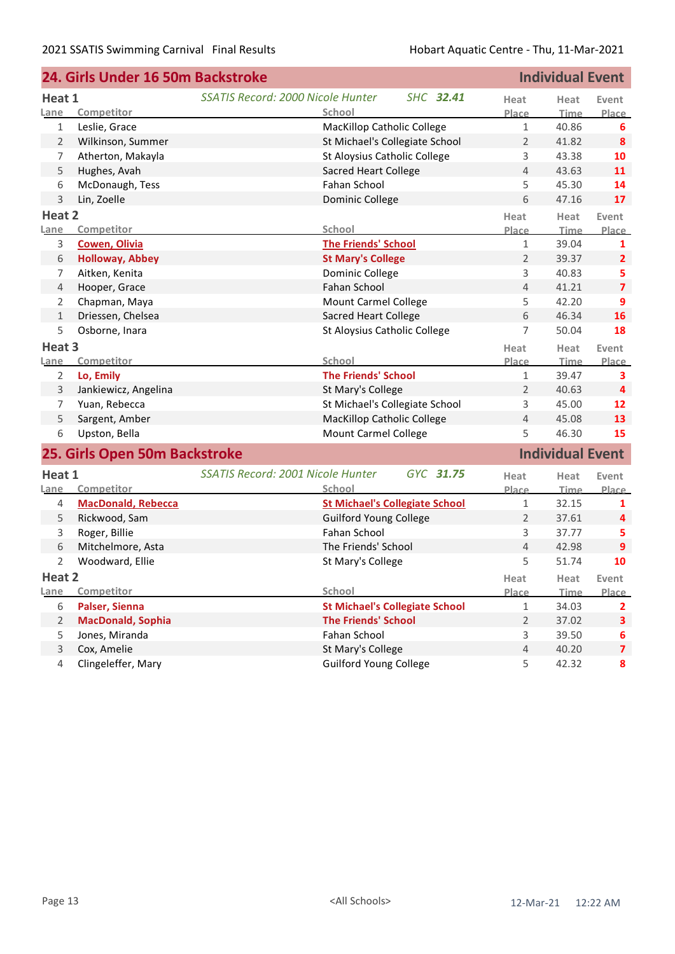|                   | 24. Girls Under 16 50m Backstroke | <b>Individual Event</b>                               |                |                         |                         |  |
|-------------------|-----------------------------------|-------------------------------------------------------|----------------|-------------------------|-------------------------|--|
| Heat 1            |                                   | <b>SSATIS Record: 2000 Nicole Hunter</b><br>SHC 32.41 | Heat           | Heat                    | Event                   |  |
| <u>Lane</u>       | Competitor                        | School                                                | Place          | <b>Time</b>             | Place                   |  |
| $\mathbf{1}$      | Leslie, Grace                     | MacKillop Catholic College                            | $\mathbf{1}$   | 40.86                   | 6                       |  |
| $\overline{2}$    | Wilkinson, Summer                 | St Michael's Collegiate School                        | $\overline{2}$ | 41.82                   | 8                       |  |
| 7                 | Atherton, Makayla                 | St Aloysius Catholic College                          | 3              | 43.38                   | 10                      |  |
| 5                 | Hughes, Avah                      | <b>Sacred Heart College</b>                           | $\overline{4}$ | 43.63                   | 11                      |  |
| 6                 | McDonaugh, Tess                   | Fahan School                                          | 5              | 45.30                   | 14                      |  |
| 3                 | Lin, Zoelle                       | Dominic College                                       | 6              | 47.16                   | 17                      |  |
| Heat 2            |                                   |                                                       | Heat           | Heat                    | Event                   |  |
| Lane              | Competitor                        | School                                                | Place          | Time                    | Place                   |  |
| 3                 | <b>Cowen, Olivia</b>              | <b>The Friends' School</b>                            | $\mathbf{1}$   | 39.04                   | 1                       |  |
| 6                 | <b>Holloway, Abbey</b>            | <b>St Mary's College</b>                              | $\overline{2}$ | 39.37                   | $\overline{2}$          |  |
| 7                 | Aitken, Kenita                    | Dominic College                                       | 3              | 40.83                   | 5                       |  |
| 4                 | Hooper, Grace                     | Fahan School                                          | $\overline{4}$ | 41.21                   | $\overline{\mathbf{z}}$ |  |
| 2                 | Chapman, Maya                     | Mount Carmel College                                  | 5              | 42.20                   | 9                       |  |
| $\mathbf{1}$      | Driessen, Chelsea                 | <b>Sacred Heart College</b>                           | 6              | 46.34                   | 16                      |  |
| 5                 | Osborne, Inara                    | St Aloysius Catholic College                          | 7              | 50.04                   | 18                      |  |
| Heat <sub>3</sub> |                                   |                                                       | Heat           | Heat                    | Event                   |  |
| Lane              | Competitor                        | School                                                | Place          | Time                    | <b>Place</b>            |  |
| $\overline{2}$    | Lo, Emily                         | <b>The Friends' School</b>                            | $\mathbf{1}$   | 39.47                   | 3                       |  |
| 3                 | Jankiewicz, Angelina              | St Mary's College                                     | 2              | 40.63                   | 4                       |  |
| 7                 | Yuan, Rebecca                     | St Michael's Collegiate School                        | 3              | 45.00                   | 12                      |  |
| 5                 | Sargent, Amber                    | MacKillop Catholic College                            | 4              | 45.08                   | 13                      |  |
| 6                 | Upston, Bella                     | Mount Carmel College                                  | 5              | 46.30                   | 15                      |  |
|                   | 25. Girls Open 50m Backstroke     |                                                       |                | <b>Individual Event</b> |                         |  |
| Heat 1            |                                   | SSATIS Record: 2001 Nicole Hunter<br>GYC 31.75        | Heat           | Heat                    | Event                   |  |
| Lane              | Competitor                        | School                                                | Place          | <b>Time</b>             | <b>Place</b>            |  |
| 4                 | <b>MacDonald, Rebecca</b>         | <b>St Michael's Collegiate School</b>                 | 1              | 32.15                   | 1                       |  |
| 5                 | Rickwood, Sam                     | <b>Guilford Young College</b>                         | 2              | 37.61                   | 4                       |  |
| 3                 | Roger, Billie                     | <b>Fahan School</b>                                   | 3              | 37.77                   | 5                       |  |
| 6                 | Mitchelmore, Asta                 | The Friends' School                                   | 4              | 42.98                   | 9                       |  |
| 2                 | Woodward, Ellie                   | St Mary's College                                     | 5              | 51.74                   | 10                      |  |
| Heat 2            |                                   |                                                       | Heat           | Heat                    | Event                   |  |
| Lane              | Competitor                        | School                                                | Place          | <b>Time</b>             | Place                   |  |
| 6                 | Palser, Sienna                    | <b>St Michael's Collegiate School</b>                 | $\mathbf 1$    | 34.03                   | $\mathbf{2}$            |  |
| $\overline{2}$    | <b>MacDonald, Sophia</b>          | <b>The Friends' School</b>                            | 2              | 37.02                   | 3                       |  |
| 5                 | Jones, Miranda                    | Fahan School                                          | 3              | 39.50                   | 6                       |  |
| 3                 | Cox, Amelie                       | St Mary's College                                     | 4              | 40.20                   | $\overline{7}$          |  |
| $\overline{4}$    | Clingeleffer, Mary                | <b>Guilford Young College</b>                         | 5              | 42.32                   | 8                       |  |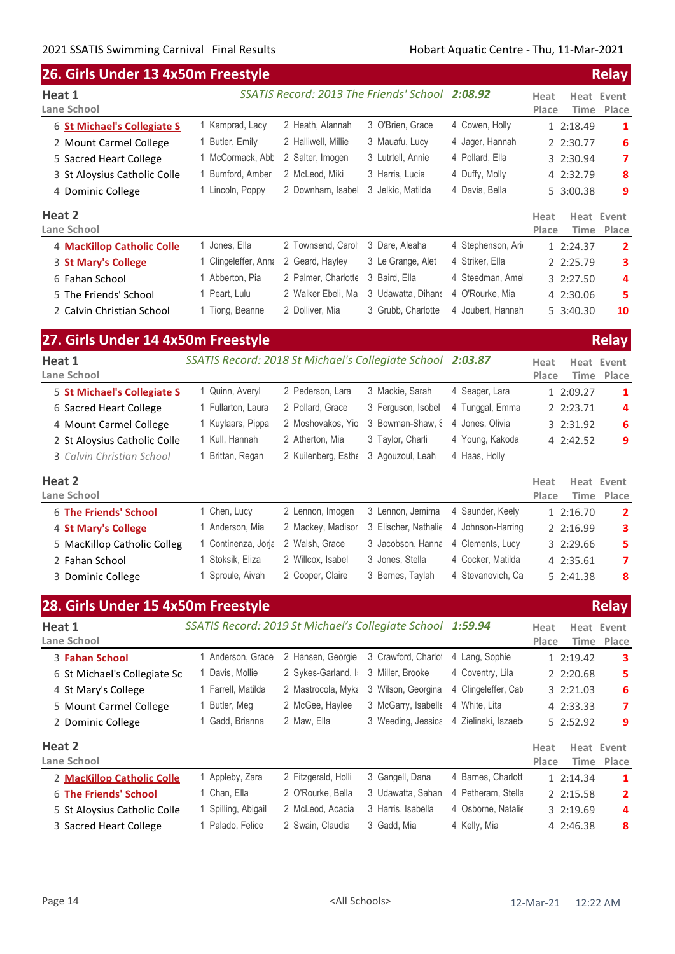| 26. Girls Under 13 4x50m Freestyle |                                                            |                     |                                                 |                     |                              | <b>Relay</b>               |
|------------------------------------|------------------------------------------------------------|---------------------|-------------------------------------------------|---------------------|------------------------------|----------------------------|
| Heat 1                             |                                                            |                     | SSATIS Record: 2013 The Friends' School 2:08.92 |                     | Heat                         | <b>Heat Event</b>          |
| <b>Lane School</b>                 |                                                            |                     |                                                 |                     | Place<br>Time                | Place                      |
| 6 St Michael's Collegiate S        | 1 Kamprad, Lacy                                            | 2 Heath, Alannah    | 3 O'Brien, Grace                                | 4 Cowen, Holly      | 1 2:18.49                    | 1                          |
| 2 Mount Carmel College             | 1 Butler, Emily                                            | 2 Halliwell, Millie | 3 Mauafu, Lucy                                  | 4 Jager, Hannah     | 2 2:30.77                    | 6                          |
| 5 Sacred Heart College             | 1 McCormack, Abb                                           | 2 Salter, Imogen    | 3 Lutrtell, Annie                               | 4 Pollard, Ella     | 3 2:30.94                    | 7                          |
| 3 St Aloysius Catholic Colle       | 1 Bumford, Amber                                           | 2 McLeod, Miki      | 3 Harris, Lucia                                 | 4 Duffy, Molly      | 4 2:32.79                    | 8                          |
| 4 Dominic College                  | 1 Lincoln, Poppy                                           | 2 Downham, Isabel   | 3 Jelkic, Matilda                               | 4 Davis, Bella      | 5 3:00.38                    | 9                          |
| Heat 2                             |                                                            |                     |                                                 |                     | Heat                         | <b>Heat Event</b>          |
| Lane School                        |                                                            |                     |                                                 |                     | Place<br><b>Time</b>         | Place                      |
| 4 MacKillop Catholic Colle         | 1 Jones, Ella                                              | 2 Townsend, Carol   | 3 Dare, Aleaha                                  | 4 Stephenson, Ari   | 1 2:24.37                    | $\overline{2}$             |
| 3 St Mary's College                | 1 Clingeleffer, Anna                                       | 2 Geard, Hayley     | 3 Le Grange, Alet                               | 4 Striker, Ella     | 2 2:25.79                    | з                          |
| 6 Fahan School                     | 1 Abberton, Pia                                            | 2 Palmer, Charlotte | 3 Baird, Ella                                   | 4 Steedman, Ame     | 3 2:27.50                    | 4                          |
| 5 The Friends' School              | 1 Peart, Lulu                                              | 2 Walker Ebeli, Ma  | 3 Udawatta, Dihans                              | 4 O'Rourke, Mia     | 4 2:30.06                    | 5                          |
| 2 Calvin Christian School          | 1 Tiong, Beanne                                            | 2 Dolliver, Mia     | 3 Grubb, Charlotte                              | 4 Joubert, Hannah   | 5 3:40.30                    | 10                         |
| 27. Girls Under 14 4x50m Freestyle |                                                            |                     |                                                 |                     |                              | <b>Relay</b>               |
| Heat 1                             | SSATIS Record: 2018 St Michael's Collegiate School 2:03.87 |                     |                                                 |                     | Heat                         | <b>Heat Event</b>          |
| Lane School                        |                                                            |                     |                                                 |                     | Place<br>Time                | Place                      |
| 5 St Michael's Collegiate S        | 1 Quinn, Averyl                                            | 2 Pederson, Lara    | 3 Mackie, Sarah                                 | 4 Seager, Lara      | 1 2:09.27                    | 1                          |
| 6 Sacred Heart College             | 1 Fullarton, Laura                                         | 2 Pollard, Grace    | 3 Ferguson, Isobel                              | 4 Tunggal, Emma     | 2 2:23.71                    | 4                          |
| 4 Mount Carmel College             | 1 Kuylaars, Pippa                                          | 2 Moshovakos, Yio   | 3 Bowman-Shaw, S                                | 4 Jones, Olivia     | 3 2:31.92                    | 6                          |
| 2 St Aloysius Catholic Colle       | 1 Kull, Hannah                                             | 2 Atherton, Mia     | 3 Taylor, Charli                                | 4 Young, Kakoda     | 4 2:42.52                    | 9                          |
| 3 Calvin Christian School          | 1 Brittan, Regan                                           | 2 Kuilenberg, Esthe | 3 Agouzoul, Leah                                | 4 Haas, Holly       |                              |                            |
| Heat 2<br>Lane School              |                                                            |                     |                                                 |                     | Heat<br>Place<br><b>Time</b> | <b>Heat Event</b><br>Place |
| <b>6 The Friends' School</b>       | 1 Chen, Lucy                                               | 2 Lennon, Imogen    | 3 Lennon, Jemima                                | 4 Saunder, Keely    | 1 2:16.70                    | 2                          |
| 4 St Mary's College                | 1 Anderson, Mia                                            | 2 Mackey, Madisor   | 3 Elischer, Nathalie                            | 4 Johnson-Harring   | 2 2:16.99                    | 3                          |
| 5 MacKillop Catholic Colleg        | 1 Continenza, Jorja                                        | 2 Walsh, Grace      | 3 Jacobson, Hanna                               | 4 Clements, Lucy    | 3 2:29.66                    | 5                          |
| 2 Fahan School                     | 1 Stoksik, Eliza                                           | 2 Willcox, Isabel   | 3 Jones, Stella                                 | 4 Cocker, Matilda   | 4 2:35.61                    | 7                          |
| 3 Dominic College                  | 1 Sproule, Aivah                                           | 2 Cooper, Claire    | 3 Bernes, Taylah                                | 4 Stevanovich, Ca   | 5 2:41.38                    | 8                          |
| 28. Girls Under 15 4x50m Freestyle |                                                            |                     |                                                 |                     |                              | <b>Relay</b>               |
| Heat 1                             | SSATIS Record: 2019 St Michael's Collegiate School 1:59.94 |                     |                                                 |                     | Heat                         | <b>Heat Event</b>          |
| Lane School                        |                                                            |                     |                                                 |                     | Time<br>Place                | Place                      |
| 3 Fahan School                     | 1 Anderson, Grace                                          | 2 Hansen, Georgie   | 3 Crawford, Charlot                             | 4 Lang, Sophie      | 1 2:19.42                    | з                          |
| 6 St Michael's Collegiate Sc       | 1 Davis, Mollie                                            | 2 Sykes-Garland, I: | 3 Miller, Brooke                                | 4 Coventry, Lila    | 2 2:20.68                    | 5                          |
| 4 St Mary's College                | 1 Farrell, Matilda                                         | 2 Mastrocola, Myka  | 3 Wilson, Georgina                              | 4 Clingeleffer, Cat | 3 2:21.03                    | 6                          |
| 5 Mount Carmel College             | 1 Butler, Meg                                              | 2 McGee, Haylee     | 3 McGarry, Isabelle                             | 4 White, Lita       | 4 2:33.33                    | 7                          |
| 2 Dominic College                  | 1 Gadd, Brianna                                            | 2 Maw, Ella         | 3 Weeding, Jessica                              | 4 Zielinski, Iszaeb | 5 2:52.92                    | 9                          |
| Heat 2                             |                                                            |                     |                                                 |                     | Heat                         | Heat Event                 |
| Lane School                        |                                                            |                     |                                                 |                     | Place<br>Time                | Place                      |

| ane school.                  |                         |                     |                    |                    | Place.     | Time Place |
|------------------------------|-------------------------|---------------------|--------------------|--------------------|------------|------------|
| 2 MacKillop Catholic Colle   | 1 Appleby, Zara         | 2 Fitzgerald, Holli | 3 Gangell, Dana    | 4 Barnes, Charlott | 1, 2:14.34 |            |
| 6 The Friends' School        | <sup>1</sup> Chan, Ella | 2 O'Rourke, Bella   | 3 Udawatta, Sahan  | 4 Petheram, Stella | 2 2:15.58  |            |
| 5 St Aloysius Catholic Colle | 1 Spilling, Abigail     | 2 McLeod, Acacia    | 3 Harris, Isabella | 4 Osborne, Natalie | 3, 2:19.69 | Δ          |
| 3 Sacred Heart College       | l Palado, Felice        | 2 Swain, Claudia    | 3 Gadd, Mia        | 4 Kelly, Mia       | 4 2:46.38  | 8          |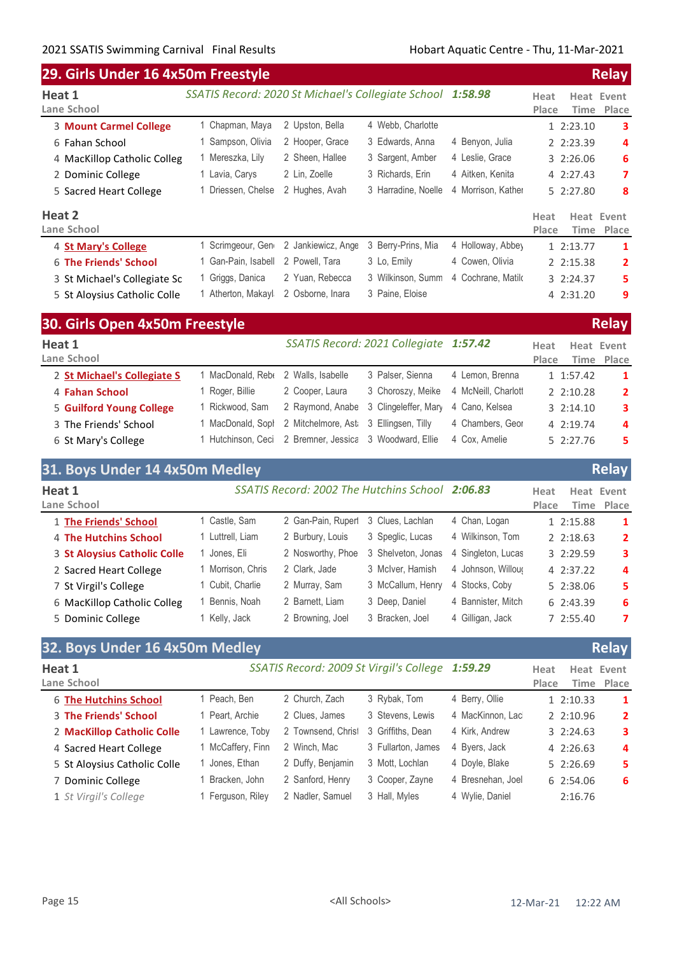|                               | 29. Girls Under 16 4x50m Freestyle                         |                    |                     |                    |               |               |                     |  |
|-------------------------------|------------------------------------------------------------|--------------------|---------------------|--------------------|---------------|---------------|---------------------|--|
| Heat 1<br>Lane School         | SSATIS Record: 2020 St Michael's Collegiate School 1:58.98 |                    |                     |                    | Heat<br>Place | Heat<br>Time  | Event<br>Place      |  |
| <b>3 Mount Carmel College</b> | 1 Chapman, Maya                                            | 2 Upston, Bella    | 4 Webb, Charlotte   |                    |               | 1 2:23.10     | 3                   |  |
| 6 Fahan School                | Sampson, Olivia                                            | 2 Hooper, Grace    | 3 Edwards, Anna     | 4 Benyon, Julia    |               | 2 2:23.39     | 4                   |  |
| 4 MacKillop Catholic Colleg   | 1 Mereszka, Lily                                           | 2 Sheen, Hallee    | 3 Sargent, Amber    | 4 Leslie, Grace    |               | 32:26.06      | 6                   |  |
| 2 Dominic College             | 1 Lavia, Carys                                             | 2 Lin, Zoelle      | 3 Richards, Erin    | 4 Aitken, Kenita   |               | 4 2:27.43     | 7                   |  |
| 5 Sacred Heart College        | Driessen, Chelse                                           | 2 Hughes, Avah     | 3 Harradine, Noelle | 4 Morrison, Kather |               | 5 2:27.80     | 8                   |  |
| Heat 2<br>Lane School         |                                                            |                    |                     |                    | Heat<br>Place | Time          | Heat Event<br>Place |  |
| 4 St Mary's College           | Scrimgeour, Gen                                            | 2 Jankiewicz, Ange | 3 Berry-Prins, Mia  | 4 Holloway, Abbey  |               | 1 2:13.77     | 1                   |  |
| 6 The Friends' School         | Gan-Pain, Isabell                                          | 2 Powell, Tara     | 3 Lo, Emily         | 4 Cowen, Olivia    |               | 2 2:15.38     | $\mathbf{2}$        |  |
| 3 St Michael's Collegiate Sc  | 1 Griggs, Danica                                           | 2 Yuan, Rebecca    | 3 Wilkinson, Summ   | 4 Cochrane, Matilo |               | $3 \t2:24.37$ | 5                   |  |
| 5 St Aloysius Catholic Colle  | 1 Atherton, Makayl                                         | 2 Osborne, Inara   | 3 Paine, Eloise     |                    |               | 4 2:31.20     | 9                   |  |

| 30. Girls Open 4x50m Freestyle |                   |                                                         |                                        |                     |               | <b>Relay</b>             |  |
|--------------------------------|-------------------|---------------------------------------------------------|----------------------------------------|---------------------|---------------|--------------------------|--|
| Heat 1<br>Lane School          |                   |                                                         | SSATIS Record: 2021 Collegiate 1:57.42 |                     | Heat<br>Place | Heat Event<br>Time Place |  |
| 2 St Michael's Collegiate S    | MacDonald, Rebe   | 2 Walls, Isabelle                                       | 3 Palser, Sienna                       | 4 Lemon, Brenna     | 1 1:57.42     | -1                       |  |
| 4 Fahan School                 | Roger, Billie     | 2 Cooper, Laura                                         | 3 Choroszy, Meike                      | 4 McNeill, Charlott | 22:10.28      | $\overline{2}$           |  |
| 5 Guilford Young College       | 1 Rickwood, Sam   |                                                         | 2 Raymond, Anabe 3 Clingeleffer, Mary  | 4 Cano, Kelsea      | $3 \t2:14.10$ | 3                        |  |
| 3 The Friends' School          | l MacDonald. Sopl | 2 Mitchelmore, Ast 3 Ellingsen, Tilly                   |                                        | 4 Chambers, Geor    | 4 2:19.74     | 4                        |  |
| 6 St Mary's College            |                   | l Hutchinson, Ceci 2 Bremner, Jessica 3 Woodward, Ellie |                                        | 4 Cox. Amelie       | 52:27.76      | 5.                       |  |

|                              | 31. Boys Under 14 4x50m Medley |                                                 |                    |                    |                   |                          |  |
|------------------------------|--------------------------------|-------------------------------------------------|--------------------|--------------------|-------------------|--------------------------|--|
| Heat 1<br>Lane School        |                                | SSATIS Record: 2002 The Hutchins School 2:06.83 |                    |                    | Heat<br>Place     | Heat Event<br>Time Place |  |
| 1 The Friends' School        | Castle, Sam                    | 2 Gan-Pain, Ruperl                              | 3 Clues, Lachlan   | 4 Chan, Logan      | 1 2:15.88         | 1                        |  |
| 4 The Hutchins School        | 1 Luttrell, Liam               | 2 Burbury, Louis                                | 3 Speglic, Lucas   | 4 Wilkinson, Tom   | $2 \cdot 2:18.63$ | $\overline{2}$           |  |
| 3 St Aloysius Catholic Colle | Jones, Eli                     | 2 Nosworthy, Phoe                               | 3 Shelveton, Jonas | 4 Singleton, Lucas | 3 2:29.59         | 3                        |  |
| 2 Sacred Heart College       | Morrison, Chris                | 2 Clark, Jade                                   | 3 McIver, Hamish   | 4 Johnson, Willour | 4 2:37.22         | 4                        |  |
| 7 St Virgil's College        | Cubit, Charlie                 | 2 Murray, Sam                                   | 3 McCallum, Henry  | 4 Stocks, Coby     | 5 2:38.06         | 5.                       |  |
| 6 MacKillop Catholic Colleg  | Bennis, Noah                   | 2 Barnett, Liam                                 | 3 Deep, Daniel     | 4 Bannister, Mitch | 6 2:43.39         | 6                        |  |
| 5 Dominic College            | Kelly, Jack                    | 2 Browning, Joel                                | 3 Bracken, Joel    | 4 Gilligan, Jack   | 7 2:55.40         | 7                        |  |

| 32. Boys Under 16 4x50m Medley |                    |                    |                   |                                                 |  |                                                                                                                   |
|--------------------------------|--------------------|--------------------|-------------------|-------------------------------------------------|--|-------------------------------------------------------------------------------------------------------------------|
|                                |                    |                    |                   | Heat<br>Place                                   |  | Time Place                                                                                                        |
| 1 Peach, Ben                   | 2 Church, Zach     | 3 Rybak, Tom       | 4 Berry, Ollie    |                                                 |  | 1                                                                                                                 |
| 1 Peart, Archie                | 2 Clues, James     | 3 Stevens, Lewis   | 4 MacKinnon, Lac  |                                                 |  | $\mathbf{2}$                                                                                                      |
| 1 Lawrence, Toby               | 2 Townsend, Christ | 3 Griffiths, Dean  | 4 Kirk, Andrew    |                                                 |  | 3                                                                                                                 |
| 1 McCaffery, Finn              | 2 Winch, Mac       | 3 Fullarton, James | 4 Byers, Jack     |                                                 |  | 4                                                                                                                 |
| 1 Jones, Ethan                 | 2 Duffy, Benjamin  | 3 Mott, Lochlan    | 4 Doyle, Blake    |                                                 |  | 5.                                                                                                                |
| 1 Bracken, John                | 2 Sanford, Henry   | 3 Cooper, Zayne    | 4 Bresnehan, Joel |                                                 |  | 6                                                                                                                 |
| 1 Ferguson, Riley              | 2 Nadler, Samuel   | 3 Hall, Myles      | 4 Wylie, Daniel   |                                                 |  |                                                                                                                   |
|                                |                    |                    |                   | SSATIS Record: 2009 St Virgil's College 1:59.29 |  | <b>Relay</b><br>Heat Event<br>1 2:10.33<br>22:10.96<br>3 2:24.63<br>42:26.63<br>5 2:26.69<br>6 2:54.06<br>2:16.76 |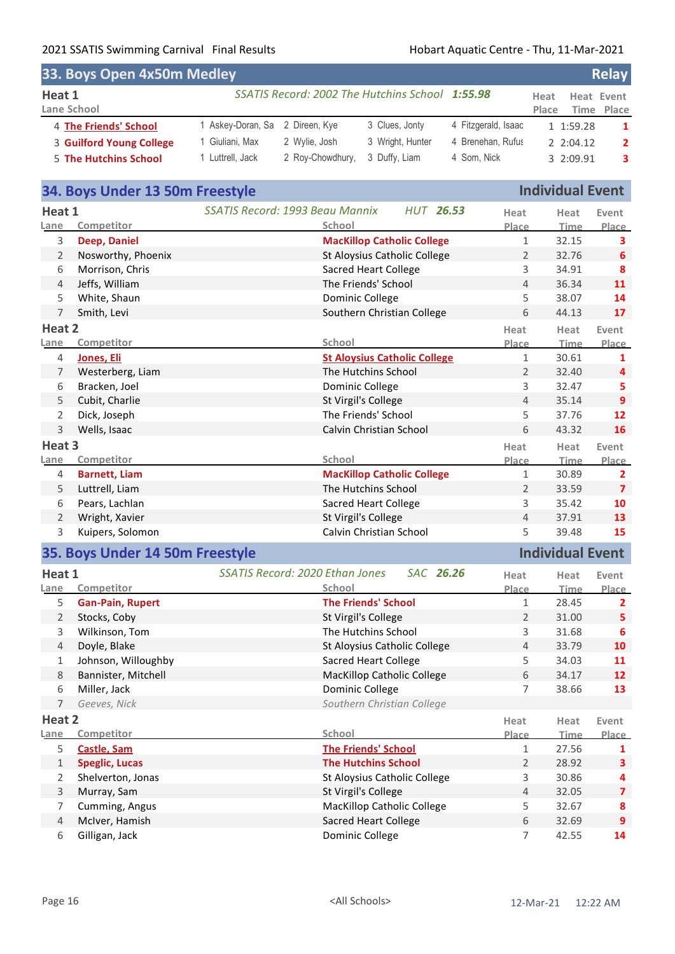| <b>Relay</b><br>33. Boys Open 4x50m Medley |                                 |                  |                                                 |                     |       |            |                |  |
|--------------------------------------------|---------------------------------|------------------|-------------------------------------------------|---------------------|-------|------------|----------------|--|
| Heat 1                                     |                                 |                  | SSATIS Record: 2002 The Hutchins School 1:55.98 |                     | Heat  | Heat Event |                |  |
| Lane School                                |                                 |                  |                                                 |                     | Place |            | Time Place     |  |
| 4 The Friends' School                      | 1 Askey-Doran, Sa 2 Direen, Kye |                  | 3 Clues, Jonty                                  | 4 Fitzgerald, Isaac |       | 1 1:59.28  | $\mathbf{1}$   |  |
| 3 Guilford Young College                   | 1 Giuliani, Max                 | 2 Wylie, Josh    | 3 Wright, Hunter                                | 4 Brenehan, Rufus   |       | 2 2:04.12  | $\overline{2}$ |  |
| 5 The Hutchins School                      | 1 Luttrell, Jack                | 2 Roy-Chowdhury, | 3 Duffy, Liam                                   | 4 Som, Nick         |       | 3 2:09.91  | 3              |  |

## **34. Boys Under 13 50m Freestyle Individual Event**

| Heat 1              |                                      | SSATIS Record: 1993 Beau Mannix<br><b>HUT 26.53</b>           | Heat                  | Heat                    | Event                   |
|---------------------|--------------------------------------|---------------------------------------------------------------|-----------------------|-------------------------|-------------------------|
| Lane                | Competitor                           | School                                                        | Place                 | Time                    | Place                   |
| 3                   | Deep, Daniel                         | <b>MacKillop Catholic College</b>                             | $\mathbf{1}$          | 32.15                   | 3                       |
| $\overline{2}$      | Nosworthy, Phoenix                   | St Aloysius Catholic College                                  | $\overline{2}$        | 32.76                   | 6                       |
| 6                   | Morrison, Chris                      | <b>Sacred Heart College</b>                                   | 3                     | 34.91                   | 8                       |
| $\overline{4}$      | Jeffs, William                       | The Friends' School                                           | 4                     | 36.34                   | 11                      |
| 5                   | White, Shaun                         | Dominic College                                               | 5                     | 38.07                   | 14                      |
| $\overline{7}$      | Smith, Levi                          | Southern Christian College                                    | 6                     | 44.13                   | 17                      |
| Heat 2              |                                      |                                                               | Heat                  | Heat                    | Event                   |
| Lane                | Competitor                           | School                                                        | Place                 | <b>Time</b>             | Place                   |
| 4                   | Jones, Eli                           | <b>St Aloysius Catholic College</b>                           | $\mathbf{1}$          | 30.61                   | $\mathbf{1}$            |
| 7                   | Westerberg, Liam                     | The Hutchins School                                           | $\overline{2}$        | 32.40                   | 4                       |
| 6                   | Bracken, Joel                        | Dominic College                                               | 3                     | 32.47                   | 5                       |
| 5                   | Cubit, Charlie                       | St Virgil's College                                           | $\overline{4}$        | 35.14                   | $\overline{9}$          |
| $\overline{2}$      | Dick, Joseph                         | The Friends' School                                           | 5                     | 37.76                   | 12                      |
| $\mathsf{3}$        | Wells, Isaac                         | Calvin Christian School                                       | 6                     | 43.32                   | 16                      |
| Heat 3              |                                      |                                                               | Heat                  | Heat                    | Event                   |
| Lane                | Competitor                           | School                                                        | Place                 | Time                    | Place                   |
| 4                   | <b>Barnett, Liam</b>                 | <b>MacKillop Catholic College</b>                             | $\mathbf{1}$          | 30.89                   | $\overline{2}$          |
| 5                   | Luttrell, Liam                       | The Hutchins School                                           | $\overline{2}$        | 33.59                   | $\overline{\mathbf{z}}$ |
| 6                   | Pears, Lachlan                       | <b>Sacred Heart College</b>                                   | 3                     | 35.42                   | 10                      |
| 2                   | Wright, Xavier                       | St Virgil's College                                           | $\overline{4}$        | 37.91                   | 13                      |
|                     |                                      |                                                               |                       |                         |                         |
| 3                   | Kuipers, Solomon                     | Calvin Christian School                                       | 5                     | 39.48                   | 15                      |
|                     | 35. Boys Under 14 50m Freestyle      |                                                               |                       | <b>Individual Event</b> |                         |
|                     |                                      |                                                               |                       |                         |                         |
| Heat 1              |                                      | <b>SSATIS Record: 2020 Ethan Jones</b><br>SAC 26.26<br>School | Heat                  | Heat                    | Event                   |
| Lane<br>5           | Competitor                           | <b>The Friends' School</b>                                    | Place<br>$\mathbf{1}$ | Time                    | $\overline{2}$          |
|                     | <b>Gan-Pain, Rupert</b>              |                                                               | $\overline{2}$        | 28.45                   | 5                       |
| $\overline{2}$      | Stocks, Coby                         | St Virgil's College                                           |                       | 31.00                   | 6                       |
| 3<br>$\overline{4}$ | Wilkinson, Tom                       | The Hutchins School                                           | 3<br>4                | 31.68                   | 10                      |
| 1                   | Doyle, Blake                         | St Aloysius Catholic College                                  |                       | 33.79                   |                         |
| 8                   | Johnson, Willoughby                  | <b>Sacred Heart College</b>                                   | 5<br>6                | 34.03<br>34.17          | 11<br>12                |
| 6                   | Bannister, Mitchell                  | <b>MacKillop Catholic College</b>                             | $\overline{7}$        |                         |                         |
| $\overline{7}$      | Miller, Jack<br>Geeves, Nick         | Dominic College                                               |                       | 38.66                   | 13                      |
|                     |                                      | Southern Christian College                                    |                       |                         |                         |
| Heat 2<br>Lane      | Competitor                           | School                                                        | Heat                  | Heat                    | Place<br>Event          |
| 5                   |                                      |                                                               | Place<br>$\mathbf{1}$ | Time<br>27.56           | Place<br>1              |
| $\mathbf{1}$        | Castle, Sam<br><b>Speglic, Lucas</b> | <b>The Friends' School</b><br><b>The Hutchins School</b>      | $\overline{2}$        | 28.92                   | 3                       |
| $\overline{2}$      | Shelverton, Jonas                    | St Aloysius Catholic College                                  | 3                     | 30.86                   | 4                       |
| 3                   | Murray, Sam                          | St Virgil's College                                           | 4                     | 32.05                   | $\overline{7}$          |
| $\overline{7}$      | Cumming, Angus                       | MacKillop Catholic College                                    | 5                     | 32.67                   | 8                       |
| $\overline{4}$      | McIver, Hamish                       | <b>Sacred Heart College</b>                                   | 6                     | 32.69                   | 9                       |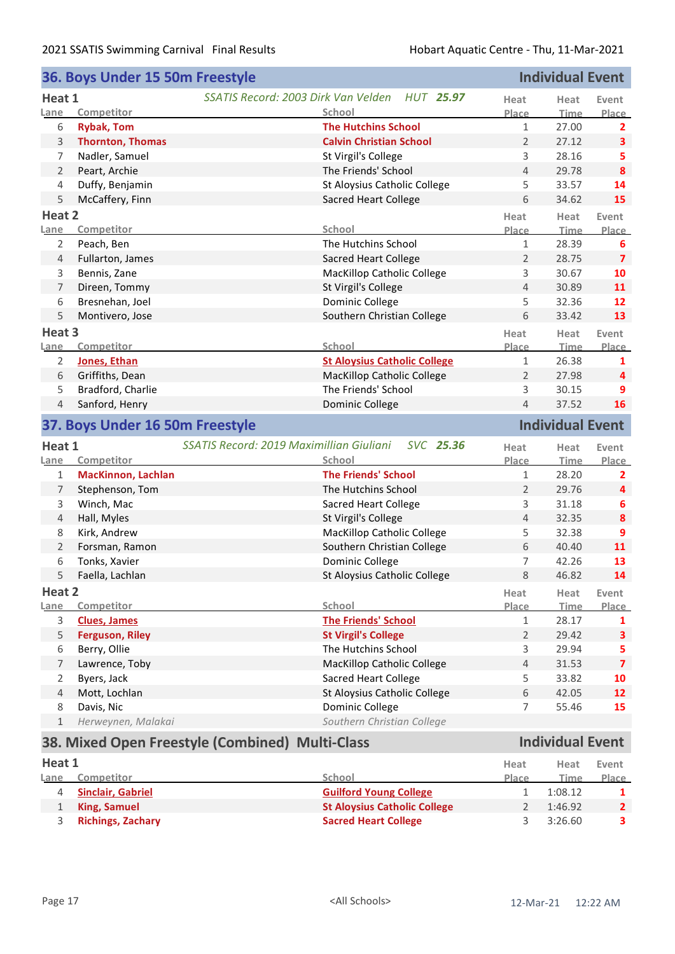|                | 36. Boys Under 15 50m Freestyle |                                                                        |                | <b>Individual Event</b> |                         |
|----------------|---------------------------------|------------------------------------------------------------------------|----------------|-------------------------|-------------------------|
| Heat 1         |                                 | SSATIS Record: 2003 Dirk Van Velden<br>HUT 25.97                       | Heat           | Heat                    | Event                   |
| Lane           | Competitor                      | School                                                                 | Place          | <b>Time</b>             | Place                   |
| 6              | <b>Rybak, Tom</b>               | <b>The Hutchins School</b>                                             | 1              | 27.00                   | $\mathbf{2}$            |
| 3              | <b>Thornton, Thomas</b>         | <b>Calvin Christian School</b>                                         | $\overline{2}$ | 27.12                   | $\overline{\mathbf{3}}$ |
| 7              | Nadler, Samuel                  | St Virgil's College                                                    | 3              | 28.16                   | 5                       |
| 2              | Peart, Archie                   | The Friends' School                                                    | $\overline{4}$ | 29.78                   | $\boldsymbol{8}$        |
| 4              | Duffy, Benjamin                 | St Aloysius Catholic College                                           | 5              | 33.57                   | 14                      |
| 5              | McCaffery, Finn                 | Sacred Heart College                                                   | 6              | 34.62                   | 15                      |
| Heat 2         |                                 |                                                                        | Heat           | Heat                    | Event                   |
| Lane           | Competitor                      | School                                                                 | Place          | <b>Time</b>             | Place                   |
| 2              | Peach, Ben                      | The Hutchins School                                                    | $\mathbf{1}$   | 28.39                   | 6                       |
| 4              | Fullarton, James                | <b>Sacred Heart College</b>                                            | $\overline{2}$ | 28.75                   | $\overline{\mathbf{z}}$ |
| 3              | Bennis, Zane                    | <b>MacKillop Catholic College</b>                                      | 3              | 30.67                   | 10                      |
| 7              | Direen, Tommy                   | St Virgil's College                                                    | $\overline{4}$ | 30.89                   | 11                      |
| 6              | Bresnehan, Joel                 | Dominic College                                                        | 5              | 32.36                   | 12                      |
| 5              | Montivero, Jose                 | Southern Christian College                                             | 6              | 33.42                   | 13                      |
| Heat 3         |                                 |                                                                        | Heat           | Heat                    | Event                   |
| Lane           | Competitor                      | School                                                                 | Place          | Time                    | Place                   |
| $\overline{2}$ | Jones, Ethan                    | <b>St Aloysius Catholic College</b>                                    | $\mathbf{1}$   | 26.38                   | 1                       |
| 6              | Griffiths, Dean                 | MacKillop Catholic College                                             | 2              | 27.98                   | 4                       |
| 5              | Bradford, Charlie               | The Friends' School                                                    | 3              | 30.15                   | 9                       |
| 4              | Sanford, Henry                  | Dominic College                                                        | 4              | 37.52                   | 16                      |
|                |                                 |                                                                        |                |                         |                         |
|                | 37. Boys Under 16 50m Freestyle |                                                                        |                | <b>Individual Event</b> |                         |
|                |                                 |                                                                        |                |                         |                         |
| Heat 1<br>Lane | Competitor                      | SSATIS Record: 2019 Maximillian Giuliani<br><b>SVC 25.36</b><br>School | Heat<br>Place  | Heat<br>Time            | Event                   |
| $\mathbf{1}$   | <b>MacKinnon, Lachlan</b>       | <b>The Friends' School</b>                                             | $\mathbf{1}$   | 28.20                   | Place<br>$\overline{2}$ |
| 7              | Stephenson, Tom                 | The Hutchins School                                                    | $\overline{2}$ | 29.76                   | 4                       |
| 3              | Winch, Mac                      | <b>Sacred Heart College</b>                                            | 3              | 31.18                   | 6                       |
| 4              | Hall, Myles                     | St Virgil's College                                                    | $\overline{4}$ | 32.35                   | 8                       |
| 8              |                                 |                                                                        | 5              | 32.38                   | 9                       |
| $\overline{2}$ | Kirk, Andrew<br>Forsman, Ramon  | MacKillop Catholic College<br>Southern Christian College               | 6              | 40.40                   | 11                      |
| 6              | Tonks, Xavier                   | Dominic College                                                        | $\overline{7}$ | 42.26                   | 13                      |
| 5              |                                 | St Aloysius Catholic College                                           | 8              | 46.82                   | 14                      |
| Heat 2         | Faella, Lachlan                 |                                                                        | Heat           |                         |                         |
| Lane           | Competitor                      | School                                                                 | Place          | Heat<br><b>Time</b>     | Event                   |
| $\mathsf{3}$   | <b>Clues, James</b>             | <b>The Friends' School</b>                                             | $1\,$          | 28.17                   | 1                       |
| 5              | <b>Ferguson, Riley</b>          | <b>St Virgil's College</b>                                             | 2              | 29.42                   | 3                       |
| 6              | Berry, Ollie                    | The Hutchins School                                                    | 3              | 29.94                   | 5                       |
| 7              | Lawrence, Toby                  | MacKillop Catholic College                                             | $\overline{4}$ | 31.53                   | $\overline{7}$          |
| $\overline{2}$ | Byers, Jack                     | Sacred Heart College                                                   | 5              | 33.82                   | 10                      |
| 4              | Mott, Lochlan                   | St Aloysius Catholic College                                           | 6              | 42.05                   | 12                      |
| 8              | Davis, Nic                      | Dominic College                                                        | 7              | 55.46                   | 15                      |
| $\mathbf{1}$   | Herweynen, Malakai              | Southern Christian College                                             |                |                         | Place                   |

## **38. Mixed Open Freestyle (Combined) Multi-Class Individual Event**

## **Heat 1 Lane Competitor School Heat Event Time Place Heat Place** 4 **Sinclair, Gabriel Guilford Young College** 1 1:08.12 1<br> **Guilford Young College** 1 1:08.12 1<br> **St Aloysius Catholic College** 2 1:46.92 2 1 **King, Samuel St Aloysius Catholic College** 2 1:46.92 **2** 3 **Richings, Zachary Sacred Heart College** 3 3:26.60 **3**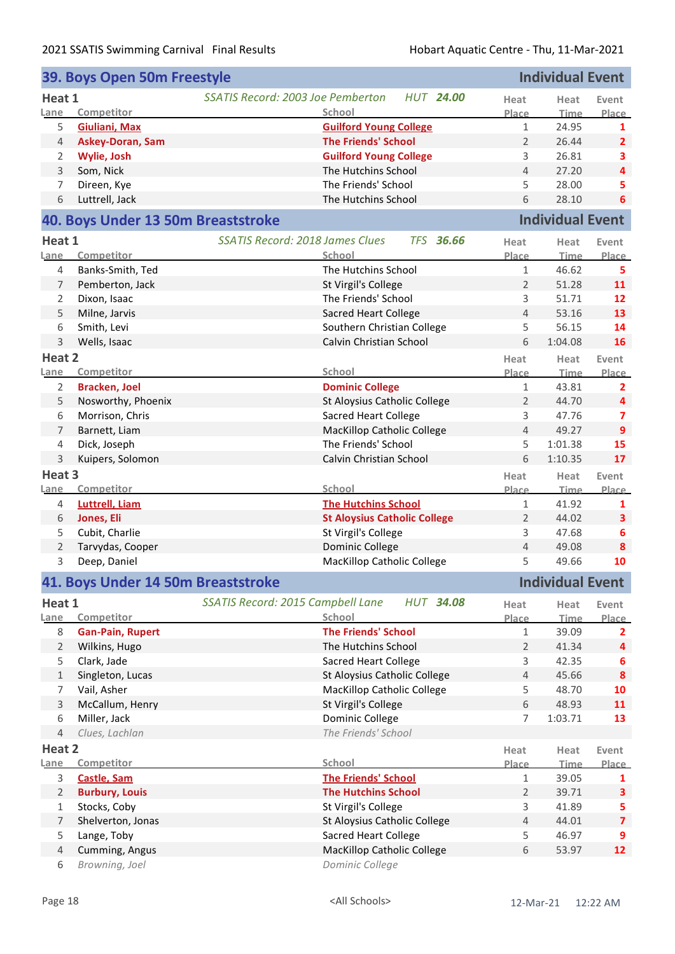|                | 39. Boys Open 50m Freestyle        |                                                       |                | <b>Individual Event</b> |                         |
|----------------|------------------------------------|-------------------------------------------------------|----------------|-------------------------|-------------------------|
| Heat 1         |                                    | SSATIS Record: 2003 Joe Pemberton<br><b>HUT 24.00</b> | Heat           | Heat                    | Event                   |
| Lane           | Competitor                         | School                                                | Place          | <b>Time</b>             | Place                   |
| 5              | <b>Giuliani, Max</b>               | <b>Guilford Young College</b>                         | $\mathbf{1}$   | 24.95                   | 1                       |
| 4              | <b>Askey-Doran, Sam</b>            | <b>The Friends' School</b>                            | $\overline{2}$ | 26.44                   | $\overline{2}$          |
| 2              | Wylie, Josh                        | <b>Guilford Young College</b>                         | 3              | 26.81                   | 3                       |
| 3              | Som, Nick                          | The Hutchins School                                   | $\overline{4}$ | 27.20                   | $\overline{\mathbf{4}}$ |
| 7              | Direen, Kye                        | The Friends' School                                   | 5              | 28.00                   | 5                       |
| 6              | Luttrell, Jack                     | The Hutchins School                                   | 6              | 28.10                   | 6                       |
|                | 40. Boys Under 13 50m Breaststroke |                                                       |                | <b>Individual Event</b> |                         |
| Heat 1         |                                    | SSATIS Record: 2018 James Clues<br><b>TFS 36.66</b>   | Heat           | Heat                    | Event                   |
| Lane           | Competitor                         | School                                                | Place          | <b>Time</b>             | Place                   |
| 4              | Banks-Smith, Ted                   | The Hutchins School                                   | $\mathbf{1}$   | 46.62                   | 5                       |
| 7              | Pemberton, Jack                    | St Virgil's College                                   | $\overline{2}$ | 51.28                   | 11                      |
| 2              | Dixon, Isaac                       | The Friends' School                                   | 3              | 51.71                   | 12                      |
| 5              | Milne, Jarvis                      | <b>Sacred Heart College</b>                           | $\overline{4}$ | 53.16                   | 13                      |
| 6              | Smith, Levi                        | Southern Christian College                            | 5              | 56.15                   | 14                      |
| 3              | Wells, Isaac                       | Calvin Christian School                               | 6              | 1:04.08                 | 16                      |
| Heat 2         |                                    |                                                       | Heat           | Heat                    | Event                   |
| Lane           | Competitor                         | School                                                | Place          | <b>Time</b>             | Place                   |
| 2              | <b>Bracken, Joel</b>               | <b>Dominic College</b>                                | $\mathbf{1}$   | 43.81                   | $\overline{2}$          |
| 5              | Nosworthy, Phoenix                 | St Aloysius Catholic College                          | $\overline{2}$ | 44.70                   | 4                       |
| 6              | Morrison, Chris                    | Sacred Heart College                                  | 3              | 47.76                   | 7                       |
| 7              | Barnett, Liam                      | <b>MacKillop Catholic College</b>                     | $\overline{4}$ | 49.27                   | 9                       |
| 4              | Dick, Joseph                       | The Friends' School                                   | 5              | 1:01.38                 | 15                      |
| 3              | Kuipers, Solomon                   | Calvin Christian School                               | 6              | 1:10.35                 | 17                      |
|                |                                    |                                                       |                |                         |                         |
| Heat 3         |                                    |                                                       | Heat           | Heat                    | Event                   |
| Lane           | Competitor                         | School                                                | Place          | <b>Time</b>             | Place                   |
| 4              | <b>Luttrell, Liam</b>              | <b>The Hutchins School</b>                            | $\mathbf{1}$   | 41.92                   | 1                       |
| 6              | Jones, Eli                         | <b>St Aloysius Catholic College</b>                   | $\overline{2}$ | 44.02                   | 3                       |
| 5              | Cubit, Charlie                     | St Virgil's College                                   | 3              | 47.68                   | 6                       |
| 2              | Tarvydas, Cooper                   | Dominic College                                       | $\overline{4}$ | 49.08                   | 8                       |
| 3              | Deep, Daniel                       | <b>MacKillop Catholic College</b>                     | 5              | 49.66                   | 10                      |
|                | 41. Boys Under 14 50m Breaststroke |                                                       |                | <b>Individual Event</b> |                         |
| Heat 1         |                                    | SSATIS Record: 2015 Campbell Lane<br><b>HUT 34.08</b> | Heat           | Heat                    | Event                   |
| Lane           | Competitor                         | School                                                | Place          | <b>Time</b>             | <b>Place</b>            |
| 8              | <b>Gan-Pain, Rupert</b>            | <b>The Friends' School</b>                            | 1              | 39.09                   | $\mathbf{2}$            |
| $\overline{2}$ | Wilkins, Hugo                      | The Hutchins School                                   | $\overline{2}$ | 41.34                   | 4                       |
| 5              | Clark, Jade                        | Sacred Heart College                                  | 3              | 42.35                   | 6                       |
| $\mathbf{1}$   | Singleton, Lucas                   | St Aloysius Catholic College                          | $\overline{4}$ | 45.66                   | $\boldsymbol{8}$        |
| 7              | Vail, Asher                        | MacKillop Catholic College                            | 5              | 48.70                   | 10                      |
| 3              | McCallum, Henry                    | St Virgil's College                                   | 6              | 48.93                   | 11                      |
| 6              | Miller, Jack                       | Dominic College                                       | $\overline{7}$ | 1:03.71                 | 13                      |
| 4              | Clues, Lachlan                     | The Friends' School                                   |                |                         |                         |
| Heat 2         |                                    |                                                       | Heat           | Heat                    | Event                   |
| Lane           | Competitor                         | School                                                | Place          | Time                    | Place                   |
| 3              | Castle, Sam                        | <b>The Friends' School</b>                            | $\mathbf{1}$   | 39.05                   | 1                       |
| $\overline{2}$ | <b>Burbury, Louis</b>              | <b>The Hutchins School</b>                            | $\overline{2}$ | 39.71                   | 3                       |
| 1              | Stocks, Coby                       | St Virgil's College                                   | 3              | 41.89                   | 5                       |
| $\overline{7}$ | Shelverton, Jonas                  | St Aloysius Catholic College                          | $\overline{4}$ | 44.01                   | $\overline{7}$          |
| 5              | Lange, Toby                        | Sacred Heart College                                  | 5              | 46.97                   | 9                       |
| $\overline{4}$ |                                    |                                                       |                |                         |                         |
|                | Cumming, Angus                     | MacKillop Catholic College                            | 6              | 53.97                   | 12                      |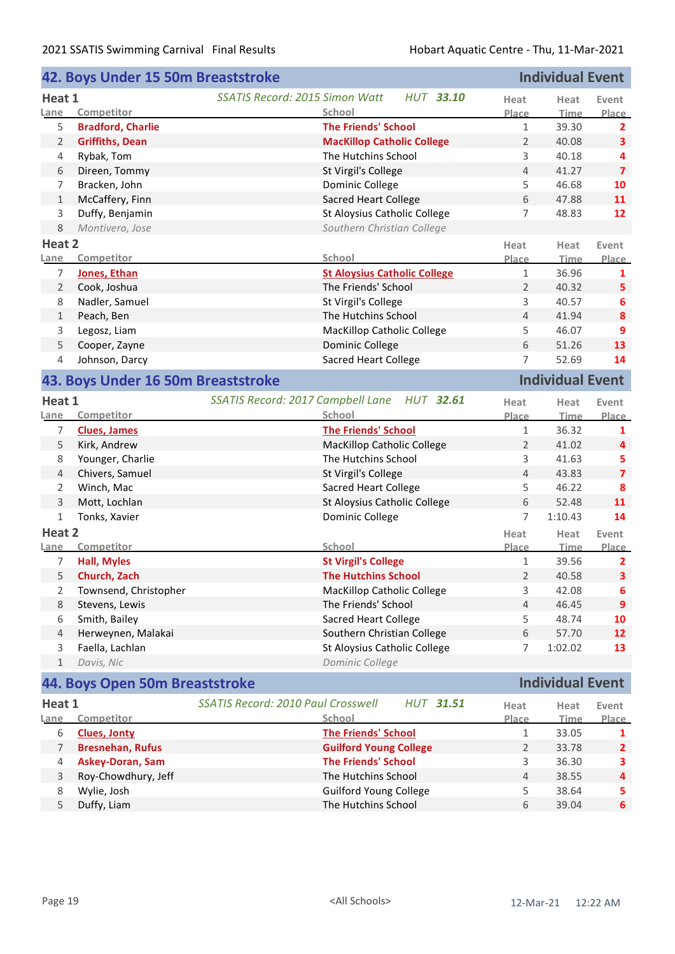|                | 42. Boys Under 15 50m Breaststroke |                                           |                                     |                | <b>Individual Event</b> |                         |
|----------------|------------------------------------|-------------------------------------------|-------------------------------------|----------------|-------------------------|-------------------------|
| Heat 1<br>Lane | Competitor                         | SSATIS Record: 2015 Simon Watt<br>School  | <b>HUT 33.10</b>                    | Heat<br>Place  | Heat<br><b>Time</b>     | Event<br>Place          |
| 5              | <b>Bradford, Charlie</b>           |                                           | <b>The Friends' School</b>          | $\mathbf{1}$   | 39.30                   | $\overline{2}$          |
| $\overline{2}$ | <b>Griffiths, Dean</b>             |                                           | <b>MacKillop Catholic College</b>   | $\overline{2}$ | 40.08                   | $\overline{\mathbf{3}}$ |
| 4              | Rybak, Tom                         |                                           | The Hutchins School                 | 3              | 40.18                   | 4                       |
| 6              | Direen, Tommy                      | St Virgil's College                       |                                     | $\overline{4}$ | 41.27                   | $\overline{\mathbf{z}}$ |
| 7              | Bracken, John                      | Dominic College                           |                                     | 5              | 46.68                   | 10                      |
| $\mathbf{1}$   | McCaffery, Finn                    |                                           | <b>Sacred Heart College</b>         | 6              | 47.88                   | 11                      |
| 3              | Duffy, Benjamin                    |                                           | St Aloysius Catholic College        | $\overline{7}$ | 48.83                   | 12                      |
| 8              | Montivero, Jose                    |                                           | Southern Christian College          |                |                         |                         |
| Heat 2         |                                    |                                           |                                     | Heat           | Heat                    | Event                   |
| Lane           | Competitor                         | School                                    |                                     | Place          | <b>Time</b>             | Place                   |
| 7              | Jones, Ethan                       |                                           | <b>St Aloysius Catholic College</b> | $\mathbf{1}$   | 36.96                   | 1                       |
| $\overline{2}$ | Cook, Joshua                       |                                           | The Friends' School                 | 2              | 40.32                   | 5                       |
| 8              | Nadler, Samuel                     | St Virgil's College                       |                                     | 3              | 40.57                   | 6                       |
| 1              | Peach, Ben                         |                                           | The Hutchins School                 | $\overline{4}$ | 41.94                   | $\boldsymbol{8}$        |
| 3              | Legosz, Liam                       |                                           | <b>MacKillop Catholic College</b>   | 5              | 46.07                   | 9                       |
| 5              | Cooper, Zayne                      | Dominic College                           |                                     | 6              | 51.26                   | 13                      |
| 4              | Johnson, Darcy                     |                                           | <b>Sacred Heart College</b>         | 7              | 52.69                   | 14                      |
|                | 43. Boys Under 16 50m Breaststroke |                                           |                                     |                | <b>Individual Event</b> |                         |
| Heat 1         |                                    | SSATIS Record: 2017 Campbell Lane         | <b>HUT 32.61</b>                    | Heat           | Heat                    | Event                   |
| Lane           | Competitor                         | School                                    |                                     | Place          | <b>Time</b>             | Place                   |
| 7              | <b>Clues, James</b>                |                                           | <b>The Friends' School</b>          | $\mathbf{1}$   | 36.32                   | 1                       |
| 5              | Kirk, Andrew                       |                                           | <b>MacKillop Catholic College</b>   | $\overline{2}$ | 41.02                   | 4                       |
| 8              | Younger, Charlie                   |                                           | The Hutchins School                 | 3              | 41.63                   | 5                       |
| 4              | Chivers, Samuel                    | St Virgil's College                       |                                     | $\overline{4}$ | 43.83                   | $\overline{\mathbf{z}}$ |
| 2              | Winch, Mac                         |                                           | <b>Sacred Heart College</b>         | 5              | 46.22                   | 8                       |
| 3              | Mott, Lochlan                      |                                           | St Aloysius Catholic College        | 6              | 52.48                   | 11                      |
| 1              | Tonks, Xavier                      | Dominic College                           |                                     | 7              | 1:10.43                 | 14                      |
| Heat 2         |                                    |                                           |                                     | Heat           | Heat                    | Event                   |
| Lane           | Competitor                         | School                                    |                                     | Place          | <b>Time</b>             | Place                   |
| 7              | <b>Hall, Myles</b>                 | <b>St Virgil's College</b>                |                                     | $\mathbf{1}$   | 39.56                   | $\overline{2}$          |
| 5              | Church, Zach                       |                                           | <b>The Hutchins School</b>          | $\overline{2}$ | 40.58                   | $\mathbf{3}$            |
| 2              | Townsend, Christopher              |                                           | <b>MacKillop Catholic College</b>   | 3              | 42.08                   | 6                       |
| 8              | Stevens, Lewis                     |                                           | The Friends' School                 | $\overline{4}$ | 46.45                   | 9                       |
| 6              | Smith, Bailey                      |                                           | <b>Sacred Heart College</b>         | 5              | 48.74                   | 10                      |
| 4              | Herweynen, Malakai                 |                                           | Southern Christian College          | 6              | 57.70                   | 12                      |
| 3              | Faella, Lachlan                    |                                           | St Aloysius Catholic College        | $\overline{7}$ | 1:02.02                 | 13                      |
| $\mathbf{1}$   | Davis, Nic                         | Dominic College                           |                                     |                |                         |                         |
|                | 44. Boys Open 50m Breaststroke     |                                           |                                     |                | <b>Individual Event</b> |                         |
| Heat 1         |                                    | <b>SSATIS Record: 2010 Paul Crosswell</b> | <b>HUT 31.51</b>                    | Heat           | Heat                    | Event                   |
| Lane           | Competitor                         | School                                    |                                     | Place          | <b>Time</b>             | Place                   |
| 6              | <b>Clues, Jonty</b>                |                                           | <b>The Friends' School</b>          | $\mathbf{1}$   | 33.05                   | 1                       |
| 7              | <b>Bresnehan, Rufus</b>            |                                           | <b>Guilford Young College</b>       | 2              | 33.78                   | $\mathbf{2}$            |
| 4              | <b>Askey-Doran, Sam</b>            |                                           | <b>The Friends' School</b>          | 3              | 36.30                   | 3                       |
| 3              | Roy-Chowdhury, Jeff                |                                           | The Hutchins School                 | $\overline{4}$ | 38.55                   | 4                       |
| 8              | Wylie, Josh                        |                                           | Guilford Young College              | 5              | 38.64                   | 5                       |
| 5              | Duffy, Liam                        |                                           | The Hutchins School                 | 6              | 39.04                   | $6\phantom{a}$          |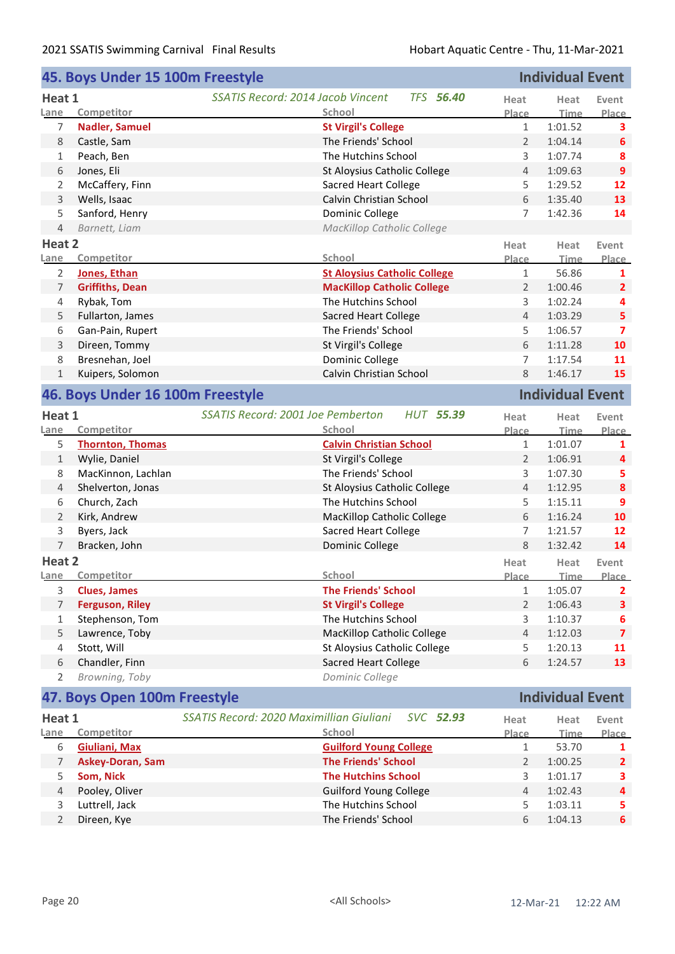|                | 45. Boys Under 15 100m Freestyle |                                                       |                      | <b>Individual Event</b> |                       |  |  |  |
|----------------|----------------------------------|-------------------------------------------------------|----------------------|-------------------------|-----------------------|--|--|--|
| Heat 1         |                                  | <b>TFS 56.40</b><br>SSATIS Record: 2014 Jacob Vincent | Heat                 | Heat                    | Event                 |  |  |  |
| Lane           | Competitor                       | School                                                | Place                | <b>Time</b>             | Place                 |  |  |  |
| 7              | <b>Nadler, Samuel</b>            | <b>St Virgil's College</b>                            | $\mathbf{1}$         | 1:01.52                 | 3                     |  |  |  |
| 8              | Castle, Sam                      | The Friends' School                                   | $\overline{2}$       | 1:04.14                 | 6                     |  |  |  |
| 1              | Peach, Ben                       | The Hutchins School                                   | 3                    | 1:07.74                 | 8                     |  |  |  |
| 6              | Jones, Eli                       | St Aloysius Catholic College                          | 4                    | 1:09.63                 | 9                     |  |  |  |
| 2              | McCaffery, Finn                  | <b>Sacred Heart College</b>                           | 5                    | 1:29.52                 | 12                    |  |  |  |
| 3              | Wells, Isaac                     | Calvin Christian School                               | 6                    | 1:35.40                 | 13                    |  |  |  |
| 5              | Sanford, Henry                   | Dominic College                                       | $\overline{7}$       | 1:42.36                 | 14                    |  |  |  |
| $\overline{4}$ | Barnett, Liam                    | MacKillop Catholic College                            |                      |                         |                       |  |  |  |
|                |                                  |                                                       |                      |                         |                       |  |  |  |
| Heat 2         |                                  | School                                                | Heat                 | Heat                    | Event                 |  |  |  |
| Lane           | Competitor                       |                                                       | Place                | <b>Time</b>             | Place                 |  |  |  |
| 2              | Jones, Ethan                     | <b>St Aloysius Catholic College</b>                   | $\mathbf{1}$         | 56.86                   | 1                     |  |  |  |
| $\overline{7}$ | <b>Griffiths, Dean</b>           | <b>MacKillop Catholic College</b>                     | $\overline{2}$       | 1:00.46                 | $\overline{2}$        |  |  |  |
| 4              | Rybak, Tom                       | The Hutchins School                                   | 3                    | 1:02.24                 | 4                     |  |  |  |
| 5              | Fullarton, James                 | <b>Sacred Heart College</b>                           | 4                    | 1:03.29                 | 5                     |  |  |  |
| 6              | Gan-Pain, Rupert                 | The Friends' School                                   | 5                    | 1:06.57                 | $\overline{7}$        |  |  |  |
| 3              | Direen, Tommy                    | St Virgil's College                                   | 6                    | 1:11.28                 | 10                    |  |  |  |
| 8              | Bresnehan, Joel                  | Dominic College                                       | $\overline{7}$       | 1:17.54                 | 11                    |  |  |  |
| $\mathbf{1}$   | Kuipers, Solomon                 | Calvin Christian School                               | 8                    | 1:46.17                 | 15                    |  |  |  |
|                | 46. Boys Under 16 100m Freestyle |                                                       |                      | <b>Individual Event</b> |                       |  |  |  |
| Heat 1         |                                  | SSATIS Record: 2001 Joe Pemberton<br><b>HUT 55.39</b> | Heat                 | Heat                    | Event                 |  |  |  |
| Lane           | Competitor                       | School                                                | Place                | <b>Time</b>             | Place                 |  |  |  |
| 5              | <b>Thornton, Thomas</b>          | <b>Calvin Christian School</b>                        | 1                    | 1:01.07                 | 1                     |  |  |  |
| $\mathbf{1}$   | Wylie, Daniel                    | St Virgil's College                                   | $\overline{2}$       | 1:06.91                 | 4                     |  |  |  |
| 8              | MacKinnon, Lachlan               | The Friends' School                                   | 3                    | 1:07.30                 | 5                     |  |  |  |
| $\overline{4}$ | Shelverton, Jonas                | St Aloysius Catholic College                          | $\overline{4}$       | 1:12.95                 | 8                     |  |  |  |
| 6              | Church, Zach                     | The Hutchins School                                   | 5                    | 1:15.11                 | 9                     |  |  |  |
| $\overline{2}$ | Kirk, Andrew                     | <b>MacKillop Catholic College</b>                     | 6                    | 1:16.24                 | 10                    |  |  |  |
| 3              | Byers, Jack                      | <b>Sacred Heart College</b>                           | 7                    | 1:21.57                 | 12                    |  |  |  |
| 7              | Bracken, John                    | Dominic College                                       | 8                    | 1:32.42                 | 14                    |  |  |  |
| Heat 2         |                                  |                                                       |                      |                         |                       |  |  |  |
| <b>Lane</b>    | Competitor                       | School                                                | Heat<br><b>Place</b> | Heat<br><b>Time</b>     | Event<br><b>Place</b> |  |  |  |
| 3              | <b>Clues, James</b>              | <b>The Friends' School</b>                            | 1                    | 1:05.07                 | $\overline{2}$        |  |  |  |
| $\overline{7}$ | <b>Ferguson, Riley</b>           | <b>St Virgil's College</b>                            | $\overline{2}$       | 1:06.43                 | 3                     |  |  |  |
| 1              | Stephenson, Tom                  | The Hutchins School                                   | 3                    | 1:10.37                 | 6                     |  |  |  |
| 5              | Lawrence, Toby                   | MacKillop Catholic College                            | 4                    | 1:12.03                 | $\overline{7}$        |  |  |  |
| 4              | Stott, Will                      | St Aloysius Catholic College                          | 5                    | 1:20.13                 | 11                    |  |  |  |
| 6              | Chandler, Finn                   | <b>Sacred Heart College</b>                           | 6                    | 1:24.57                 | 13                    |  |  |  |
| 2              | Browning, Toby                   | Dominic College                                       |                      |                         |                       |  |  |  |
|                |                                  |                                                       |                      |                         |                       |  |  |  |
|                | 47. Boys Open 100m Freestyle     |                                                       |                      | <b>Individual Event</b> |                       |  |  |  |
| Heat 1         |                                  | SSATIS Record: 2020 Maximillian Giuliani<br>SVC 52.93 | Heat                 | Heat                    | Event                 |  |  |  |
| <u>Lane</u>    | Competitor                       | School                                                | Place                | <b>Time</b>             | Place                 |  |  |  |
| 6              | <b>Giuliani, Max</b>             | <b>Guilford Young College</b>                         | $\mathbf{1}$         | 53.70                   | 1                     |  |  |  |
| 7              | <b>Askey-Doran, Sam</b>          | <b>The Friends' School</b>                            | 2                    | 1:00.25                 | $\overline{2}$        |  |  |  |
| 5              | Som, Nick                        | <b>The Hutchins School</b>                            | 3                    | 1:01.17                 | 3                     |  |  |  |
| $\overline{4}$ | Pooley, Oliver                   | <b>Guilford Young College</b>                         | 4                    | 1:02.43                 | 4                     |  |  |  |
| 3              | Luttrell, Jack                   | The Hutchins School                                   | 5                    | 1:03.11                 | 5                     |  |  |  |
| $\overline{2}$ | Direen, Kye                      | The Friends' School<br>6<br>1:04.13                   |                      |                         |                       |  |  |  |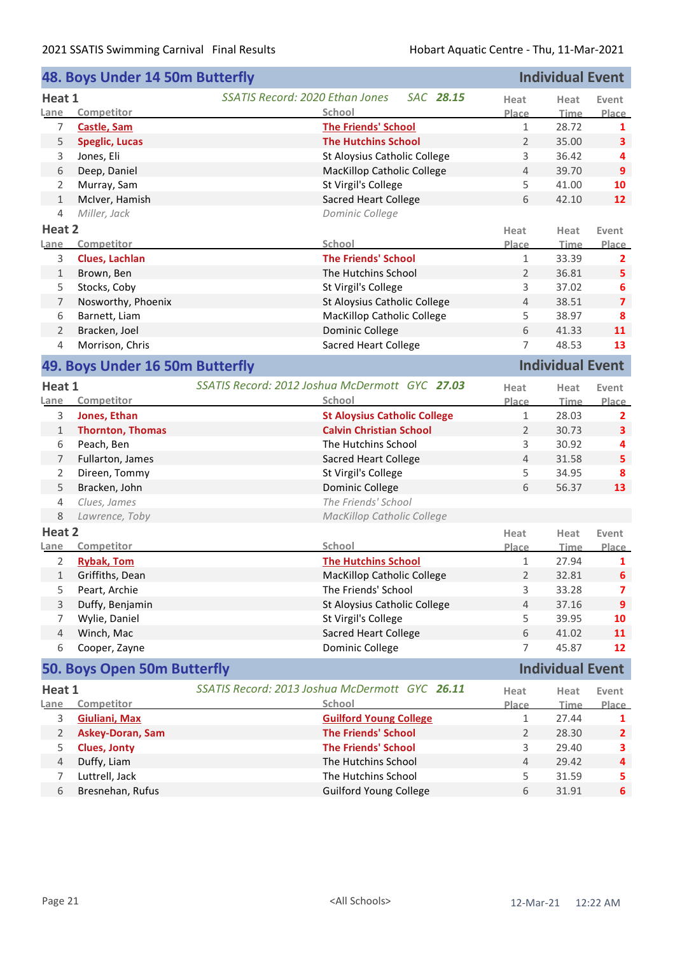|                | 48. Boys Under 14 50m Butterfly |                                                |                                                                       |                                | <b>Individual Event</b> |                  |
|----------------|---------------------------------|------------------------------------------------|-----------------------------------------------------------------------|--------------------------------|-------------------------|------------------|
| Heat 1         |                                 | <b>SSATIS Record: 2020 Ethan Jones</b>         | SAC 28.15                                                             | Heat                           | Heat                    | Event            |
| Lane           | Competitor                      |                                                | School                                                                | Place                          | <b>Time</b>             | Place            |
| 7              | <b>Castle, Sam</b>              |                                                | <b>The Friends' School</b>                                            | 1                              | 28.72                   | $\mathbf{1}$     |
| 5              | <b>Speglic, Lucas</b>           |                                                | <b>The Hutchins School</b>                                            | $\overline{2}$                 | 35.00                   | 3                |
| 3              | Jones, Eli                      |                                                | St Aloysius Catholic College                                          | 3                              | 36.42                   | 4                |
| 6              | Deep, Daniel                    |                                                | MacKillop Catholic College                                            | $\overline{4}$                 | 39.70                   | 9                |
| 2              | Murray, Sam                     |                                                | St Virgil's College                                                   | 5                              | 41.00                   | 10               |
| $\mathbf{1}$   | McIver, Hamish                  |                                                | Sacred Heart College                                                  | 6                              | 42.10                   | 12               |
| 4              | Miller, Jack                    |                                                | Dominic College                                                       |                                |                         |                  |
| Heat 2         |                                 |                                                |                                                                       | Heat                           | Heat                    | Event            |
| Lane           | Competitor                      |                                                | School                                                                | Place                          | <b>Time</b>             | Place            |
| 3              | Clues, Lachlan                  |                                                | <b>The Friends' School</b>                                            | $\mathbf{1}$                   | 33.39                   | $\overline{2}$   |
| 1              | Brown, Ben                      |                                                | The Hutchins School                                                   | $\overline{2}$                 | 36.81                   | 5                |
| 5              | Stocks, Coby                    |                                                | St Virgil's College                                                   | 3                              | 37.02                   | 6                |
| 7              | Nosworthy, Phoenix              |                                                | St Aloysius Catholic College                                          | 4                              | 38.51                   | $\overline{7}$   |
| 6              | Barnett, Liam                   |                                                | <b>MacKillop Catholic College</b>                                     | 5                              | 38.97                   | 8                |
| $\overline{2}$ | Bracken, Joel                   |                                                | Dominic College                                                       | 6                              | 41.33                   | 11               |
| 4              | Morrison, Chris                 |                                                | <b>Sacred Heart College</b>                                           | $\overline{7}$                 | 48.53                   | 13               |
|                | 49. Boys Under 16 50m Butterfly |                                                |                                                                       |                                | <b>Individual Event</b> |                  |
|                |                                 |                                                |                                                                       |                                |                         |                  |
| Heat 1         |                                 | SSATIS Record: 2012 Joshua McDermott GYC 27.03 | School                                                                | Heat                           | Heat                    | Event            |
| Lane           | Competitor                      |                                                |                                                                       | Place                          | <b>Time</b>             | Place            |
| 3              | Jones, Ethan                    |                                                | <b>St Aloysius Catholic College</b><br><b>Calvin Christian School</b> | $\mathbf{1}$<br>$\overline{2}$ | 28.03                   | $\overline{2}$   |
| $\mathbf{1}$   | <b>Thornton, Thomas</b>         |                                                | The Hutchins School                                                   | 3                              | 30.73<br>30.92          | 3                |
| 6              | Peach, Ben                      |                                                |                                                                       | 4                              |                         | 4                |
| 7              | Fullarton, James                |                                                | <b>Sacred Heart College</b>                                           |                                | 31.58                   | 5                |
| $\overline{2}$ | Direen, Tommy                   |                                                | St Virgil's College                                                   | 5                              | 34.95                   | 8                |
| 5              | Bracken, John                   |                                                | Dominic College<br>The Friends' School                                | 6                              | 56.37                   | 13               |
| 4              | Clues, James                    |                                                |                                                                       |                                |                         |                  |
| 8              | Lawrence, Toby                  |                                                | MacKillop Catholic College                                            |                                |                         |                  |
| Heat 2         |                                 |                                                |                                                                       | Heat                           | Heat                    | Event            |
| Lane           | Competitor                      |                                                | School                                                                | Place                          | <b>Time</b>             | Place            |
| 2              | <b>Rybak, Tom</b>               |                                                | <b>The Hutchins School</b>                                            | 1                              | 27.94                   | $\mathbf{1}$     |
| 1              | Griffiths, Dean                 |                                                | <b>MacKillop Catholic College</b>                                     | $\mathfrak{D}$                 | 32.81                   | 6                |
| 5              | Peart, Archie                   |                                                | The Friends' School                                                   | 3                              | 33.28                   | 7                |
| 3              | Duffy, Benjamin                 |                                                | St Aloysius Catholic College                                          | 4                              | 37.16                   | 9                |
| 7              | Wylie, Daniel                   |                                                | St Virgil's College                                                   | 5                              | 39.95                   | 10               |
| 4              | Winch, Mac                      |                                                | Sacred Heart College                                                  | 6                              | 41.02                   | 11               |
| 6              | Cooper, Zayne                   |                                                | Dominic College                                                       | 7                              | 45.87                   | 12               |
|                | 50. Boys Open 50m Butterfly     |                                                |                                                                       |                                | <b>Individual Event</b> |                  |
| Heat 1         |                                 | SSATIS Record: 2013 Joshua McDermott GYC 26.11 |                                                                       | Heat                           | Heat                    | Event            |
| Lane           | Competitor                      |                                                | School                                                                | Place                          | Time                    | Place            |
| 3              | <b>Giuliani, Max</b>            |                                                | <b>Guilford Young College</b>                                         | 1                              | 27.44                   | 1                |
| 2              | <b>Askey-Doran, Sam</b>         |                                                | <b>The Friends' School</b>                                            | $\overline{2}$                 | 28.30                   | $\overline{2}$   |
| 5              | <b>Clues, Jonty</b>             |                                                | <b>The Friends' School</b>                                            | 3                              | 29.40                   | 3                |
| 4              | Duffy, Liam                     |                                                | The Hutchins School                                                   | $\overline{4}$                 | 29.42                   | 4                |
| 7              | Luttrell, Jack                  |                                                | The Hutchins School                                                   | 5                              | 31.59                   | 5                |
| 6              | Bresnehan, Rufus                |                                                | <b>Guilford Young College</b>                                         | 6                              | 31.91                   | $\boldsymbol{6}$ |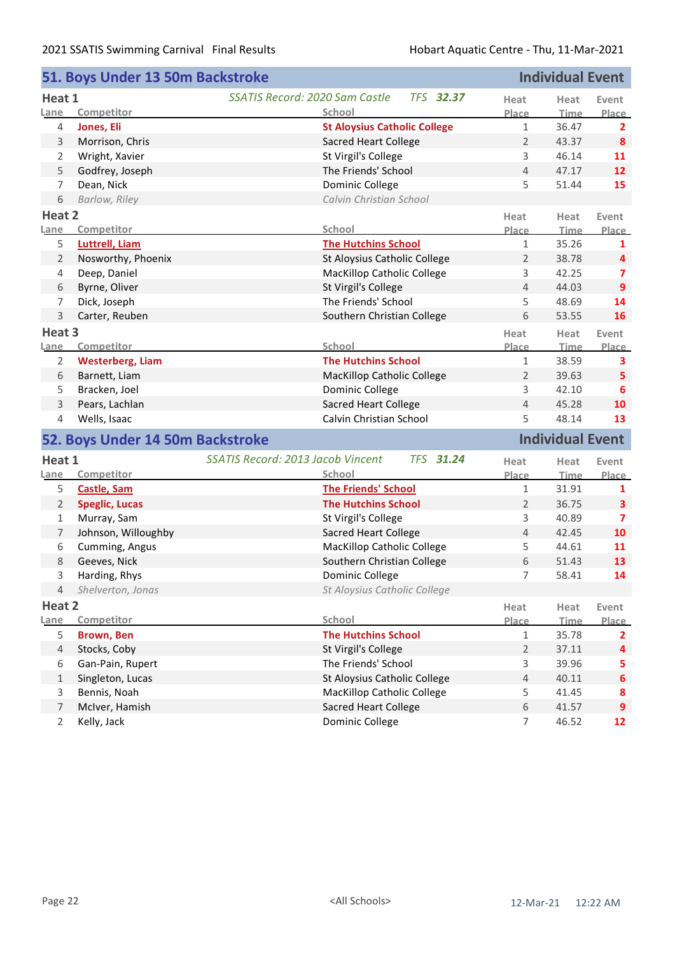|                                  | 51. Boys Under 13 50m Backstroke |                                                              |                | <b>Individual Event</b> |                        |
|----------------------------------|----------------------------------|--------------------------------------------------------------|----------------|-------------------------|------------------------|
| Heat 1                           |                                  | SSATIS Record: 2020 Sam Castle<br><b>TFS 32.37</b>           | Heat           | Heat                    | Event                  |
| Lane                             | Competitor                       | School                                                       | Place          | <b>Time</b>             | Place                  |
| 4                                | Jones, Eli                       | <b>St Aloysius Catholic College</b>                          | $\mathbf{1}$   | 36.47                   | $\mathbf{2}$           |
| $\mathsf{3}$                     | Morrison, Chris                  | <b>Sacred Heart College</b>                                  | $\overline{2}$ | 43.37                   | 8                      |
| 2                                | Wright, Xavier                   | St Virgil's College                                          | 3              | 46.14                   | 11                     |
| 5                                | Godfrey, Joseph                  | The Friends' School                                          | $\overline{4}$ | 47.17                   | 12                     |
| $\overline{7}$                   | Dean, Nick                       | Dominic College                                              | 5              | 51.44                   | 15                     |
| 6                                | Barlow, Riley                    | Calvin Christian School                                      |                |                         |                        |
| Heat 2                           |                                  |                                                              | Heat           | Heat                    | Event                  |
| Lane                             | Competitor                       | School                                                       | Place          | <u>Time</u>             | Place                  |
| 5                                | <b>Luttrell, Liam</b>            | <b>The Hutchins School</b>                                   | $\mathbf{1}$   | 35.26                   | $\mathbf{1}$           |
| $\overline{2}$                   | Nosworthy, Phoenix               | St Aloysius Catholic College                                 | $\overline{2}$ | 38.78                   | 4                      |
| 4                                | Deep, Daniel                     | <b>MacKillop Catholic College</b>                            | 3              | 42.25                   | 7                      |
| 6                                | Byrne, Oliver                    | St Virgil's College                                          | $\overline{4}$ | 44.03                   | $\overline{9}$         |
| 7                                | Dick, Joseph                     | The Friends' School                                          | 5              | 48.69                   | 14                     |
| 3                                | Carter, Reuben                   | Southern Christian College                                   | 6              | 53.55                   | 16                     |
| Heat 3                           |                                  |                                                              | Heat           | Heat                    | Event                  |
| Lane                             | Competitor                       | School                                                       | Place          | Time                    | Place                  |
| $\overline{2}$                   | <b>Westerberg, Liam</b>          | <b>The Hutchins School</b>                                   | $\mathbf{1}$   | 38.59                   | 3                      |
| 6                                | Barnett, Liam                    | <b>MacKillop Catholic College</b>                            | $\overline{2}$ | 39.63                   | 5                      |
| 5                                | Bracken, Joel                    | Dominic College                                              | 3              | 42.10                   | 6                      |
|                                  |                                  |                                                              |                |                         |                        |
| 3                                | Pears, Lachlan                   | <b>Sacred Heart College</b>                                  | 4              | 45.28                   | 10                     |
| 4                                | Wells, Isaac                     | Calvin Christian School                                      | 5              | 48.14                   | 13                     |
|                                  | 52. Boys Under 14 50m Backstroke |                                                              |                | <b>Individual Event</b> |                        |
| Heat 1                           |                                  | <b>SSATIS Record: 2013 Jacob Vincent</b><br><b>TFS 31.24</b> | Heat           | Heat                    | Event                  |
| Lane                             | Competitor                       | School                                                       | Place          | <b>Time</b>             | Place                  |
| 5                                | <b>Castle, Sam</b>               | <b>The Friends' School</b>                                   | $\mathbf{1}$   | 31.91                   | 1                      |
| $\overline{2}$                   | <b>Speglic, Lucas</b>            | <b>The Hutchins School</b>                                   | $\overline{2}$ | 36.75                   | 3                      |
| $\mathbf{1}$                     | Murray, Sam                      | St Virgil's College                                          | 3              | 40.89                   | 7                      |
| $\overline{7}$                   | Johnson, Willoughby              | <b>Sacred Heart College</b>                                  | $\overline{4}$ | 42.45                   | 10                     |
| 6                                | Cumming, Angus                   | MacKillop Catholic College                                   | 5              | 44.61                   | 11                     |
| 8                                | Geeves, Nick                     | Southern Christian College                                   | 6              | 51.43                   | 13                     |
| 3                                | Harding, Rhys                    | Dominic College                                              | 7              | 58.41                   | 14                     |
| 4                                | Shelverton, Jonas                | St Aloysius Catholic College                                 |                |                         |                        |
| Heat 2                           |                                  |                                                              | Heat           | Heat                    | Event                  |
| Lane                             | Competitor                       | School                                                       | Place          | Time                    | Place                  |
| 5                                | <b>Brown, Ben</b>                | <b>The Hutchins School</b>                                   | $\mathbf{1}$   | 35.78                   | 2                      |
| $\overline{4}$                   | Stocks, Coby                     | St Virgil's College                                          | $\overline{2}$ | 37.11                   | 4                      |
| 6                                | Gan-Pain, Rupert                 | The Friends' School                                          | 3              | 39.96                   | 5                      |
| $\mathbf{1}$                     | Singleton, Lucas                 | St Aloysius Catholic College                                 | $\overline{4}$ | 40.11                   | $\boldsymbol{6}$       |
| 3                                | Bennis, Noah                     | MacKillop Catholic College                                   | 5              | 41.45                   | 8                      |
| $\overline{7}$<br>$\overline{2}$ | McIver, Hamish<br>Kelly, Jack    | Sacred Heart College<br>Dominic College                      | 6<br>7         | 41.57<br>46.52          | $\boldsymbol{9}$<br>12 |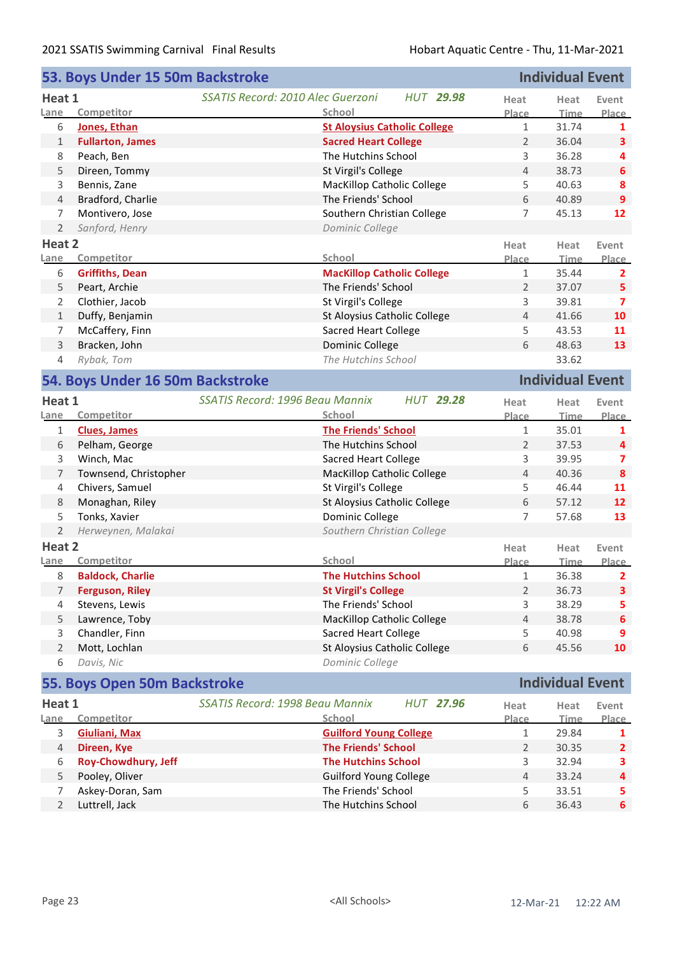|                                                             | 53. Boys Under 15 50m Backstroke |                                                              |                | <b>Individual Event</b> |                         |  |
|-------------------------------------------------------------|----------------------------------|--------------------------------------------------------------|----------------|-------------------------|-------------------------|--|
| Heat 1                                                      |                                  | <b>SSATIS Record: 2010 Alec Guerzoni</b><br><b>HUT 29.98</b> | Heat           | Heat                    | Event                   |  |
| Lane                                                        | Competitor                       | School                                                       | Place          | Time                    | Place                   |  |
| 6                                                           | Jones, Ethan                     | <b>St Aloysius Catholic College</b>                          | $\mathbf{1}$   | 31.74                   | 1                       |  |
| $\mathbf{1}$                                                | <b>Fullarton, James</b>          | <b>Sacred Heart College</b>                                  | $\overline{2}$ | 36.04                   | 3                       |  |
| 8                                                           | Peach, Ben                       | The Hutchins School                                          | 3              | 36.28                   | 4                       |  |
| 5                                                           | Direen, Tommy                    | St Virgil's College                                          | 4              | 38.73                   | 6                       |  |
| 3                                                           | Bennis, Zane                     | <b>MacKillop Catholic College</b>                            | 5              | 40.63                   | 8                       |  |
| 4                                                           | Bradford, Charlie                | The Friends' School                                          | 6              | 40.89                   | $\overline{9}$          |  |
| 7                                                           | Montivero, Jose                  | Southern Christian College                                   | $\overline{7}$ | 45.13                   | 12                      |  |
| $\overline{2}$                                              | Sanford, Henry                   | Dominic College                                              |                |                         |                         |  |
| Heat 2                                                      |                                  |                                                              | Heat           | Heat                    | Event                   |  |
| Lane                                                        | Competitor                       | School                                                       | Place          | Time                    | Place                   |  |
| 6                                                           | <b>Griffiths, Dean</b>           | <b>MacKillop Catholic College</b>                            | 1              | 35.44                   | $\mathbf{2}$            |  |
| 5                                                           | Peart, Archie                    | The Friends' School                                          | $\overline{2}$ | 37.07                   | 5                       |  |
| 2                                                           | Clothier, Jacob                  | St Virgil's College                                          | 3              | 39.81                   | $\overline{ }$          |  |
| $\mathbf{1}$                                                | Duffy, Benjamin                  | St Aloysius Catholic College                                 | $\overline{4}$ | 41.66                   | 10                      |  |
| 7                                                           | McCaffery, Finn                  | <b>Sacred Heart College</b>                                  | 5              | 43.53                   | 11                      |  |
| 3                                                           | Bracken, John                    | Dominic College                                              | 6              | 48.63                   | 13                      |  |
| 4                                                           | Rybak, Tom                       | The Hutchins School                                          |                | 33.62                   |                         |  |
| <b>Individual Event</b><br>54. Boys Under 16 50m Backstroke |                                  |                                                              |                |                         |                         |  |
| Heat 1                                                      |                                  | <b>SSATIS Record: 1996 Beau Mannix</b><br><b>HUT 29.28</b>   |                |                         |                         |  |
| Lane                                                        | Competitor                       | School                                                       | Heat<br>Place  | Heat<br>Time            | Event<br><b>Place</b>   |  |
| $\mathbf{1}$                                                | <b>Clues, James</b>              | <b>The Friends' School</b>                                   | $\mathbf{1}$   | 35.01                   | 1                       |  |
| 6                                                           | Pelham, George                   | The Hutchins School                                          | $\overline{2}$ | 37.53                   | 4                       |  |
| 3                                                           | Winch, Mac                       | <b>Sacred Heart College</b>                                  | 3              | 39.95                   | 7                       |  |
| $\overline{7}$                                              | Townsend, Christopher            | <b>MacKillop Catholic College</b>                            | 4              | 40.36                   | $\boldsymbol{8}$        |  |
| 4                                                           | Chivers, Samuel                  | St Virgil's College                                          | 5              | 46.44                   | 11                      |  |
| $\,8\,$                                                     | Monaghan, Riley                  | St Aloysius Catholic College                                 | 6              | 57.12                   | 12                      |  |
| 5                                                           | Tonks, Xavier                    | Dominic College                                              | 7              | 57.68                   | 13                      |  |
| 2                                                           | Herweynen, Malakai               | Southern Christian College                                   |                |                         |                         |  |
| Heat 2                                                      |                                  |                                                              | Heat           |                         | Event                   |  |
| Lane                                                        | Competitor                       | School                                                       | Place          | Heat<br><b>Time</b>     | Place                   |  |
| 8                                                           | <b>Baldock, Charlie</b>          | <b>The Hutchins School</b>                                   | $\mathbf{1}$   | 36.38                   | $\overline{\mathbf{2}}$ |  |
| 7                                                           | <b>Ferguson, Riley</b>           | <b>St Virgil's College</b>                                   | $\overline{2}$ | 36.73                   | $\overline{\mathbf{3}}$ |  |
| 4                                                           | Stevens, Lewis                   | The Friends' School                                          | 3              | 38.29                   | 5                       |  |
| 5                                                           | Lawrence, Toby                   | MacKillop Catholic College                                   | 4              | 38.78                   | 6                       |  |
| 3                                                           | Chandler, Finn                   | <b>Sacred Heart College</b>                                  | 5              | 40.98                   | 9                       |  |
| $\overline{2}$                                              | Mott, Lochlan                    | St Aloysius Catholic College                                 | 6              | 45.56                   | 10                      |  |
| 6                                                           | Davis, Nic                       | Dominic College                                              |                |                         |                         |  |
|                                                             |                                  |                                                              |                | <b>Individual Event</b> |                         |  |
|                                                             | 55. Boys Open 50m Backstroke     |                                                              |                |                         |                         |  |
| Heat 1                                                      |                                  | SSATIS Record: 1998 Beau Mannix<br><b>HUT 27.96</b>          | Heat           | Heat                    | Event                   |  |
| Lane                                                        | Competitor                       | School                                                       | Place          | <b>Time</b>             | Place                   |  |
| 3                                                           | Giuliani, Max                    | <b>Guilford Young College</b>                                | $\mathbf{1}$   | 29.84                   | 1                       |  |
| $\overline{4}$                                              | Direen, Kye                      | <b>The Friends' School</b>                                   | $\overline{2}$ | 30.35                   | $\mathbf{2}$            |  |
| 6                                                           | Roy-Chowdhury, Jeff              | <b>The Hutchins School</b>                                   | 3              | 32.94                   | 3                       |  |
| 5                                                           | Pooley, Oliver                   | <b>Guilford Young College</b>                                | 4              | 33.24                   | 4                       |  |
| 7                                                           | Askey-Doran, Sam                 | The Friends' School                                          | 5              | 33.51                   | 5                       |  |
| $\overline{2}$                                              | Luttrell, Jack                   | The Hutchins School                                          | 6              | 36.43                   | $\boldsymbol{6}$        |  |